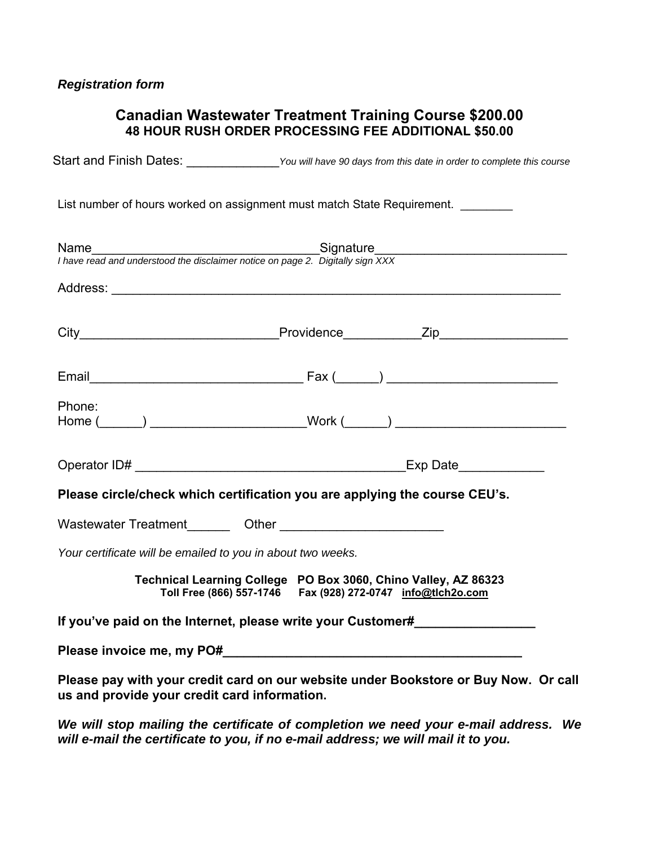## *Registration form*

## **Canadian Wastewater Treatment Training Course \$200.00 48 HOUR RUSH ORDER PROCESSING FEE ADDITIONAL \$50.00**

Start and Finish Dates: \_\_\_\_\_\_\_\_\_\_\_\_\_\_\_*You will have 90 days from this date in order to complete this course* 

List number of hours worked on assignment must match State Requirement.

| Name<br>I have read and understood the disclaimer notice on page 2. Digitally sign XXX | Signature_____________________                                                                                                      |
|----------------------------------------------------------------------------------------|-------------------------------------------------------------------------------------------------------------------------------------|
|                                                                                        |                                                                                                                                     |
|                                                                                        |                                                                                                                                     |
|                                                                                        |                                                                                                                                     |
| Phone:                                                                                 | Home (______) _________________________Work (______) ___________________________                                                    |
|                                                                                        |                                                                                                                                     |
|                                                                                        | Please circle/check which certification you are applying the course CEU's.                                                          |
|                                                                                        |                                                                                                                                     |
| Your certificate will be emailed to you in about two weeks.                            |                                                                                                                                     |
|                                                                                        | Technical Learning College PO Box 3060, Chino Valley, AZ 86323<br>Toll Free (866) 557-1746    Fax (928) 272-0747    info@tlch2o.com |
|                                                                                        | If you've paid on the Internet, please write your Customer#                                                                         |
|                                                                                        |                                                                                                                                     |
| us and provide your credit card information.                                           | Please pay with your credit card on our website under Bookstore or Buy Now. Or call                                                 |

*We will stop mailing the certificate of completion we need your e-mail address. We will e-mail the certificate to you, if no e-mail address; we will mail it to you.*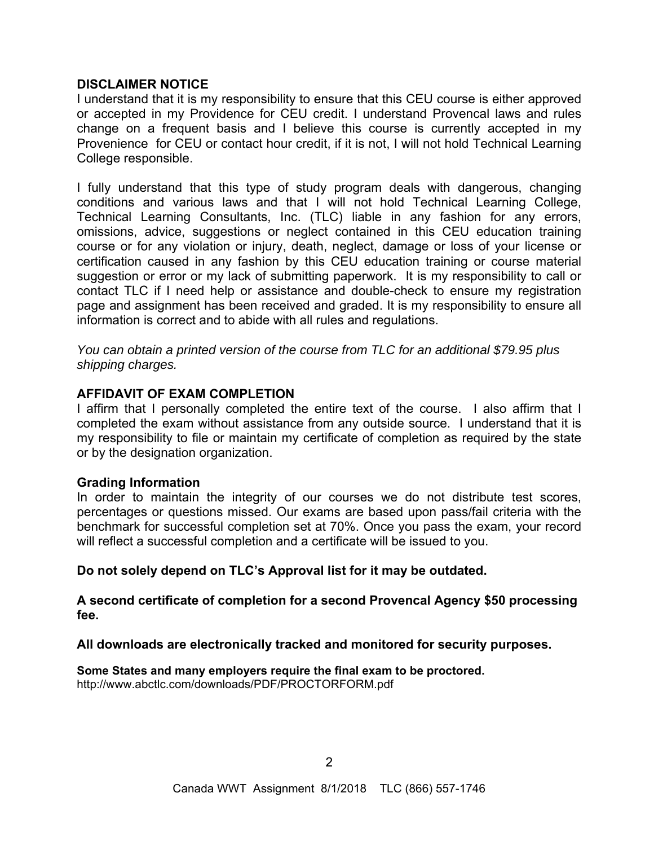## **DISCLAIMER NOTICE**

I understand that it is my responsibility to ensure that this CEU course is either approved or accepted in my Providence for CEU credit. I understand Provencal laws and rules change on a frequent basis and I believe this course is currently accepted in my Provenience for CEU or contact hour credit, if it is not, I will not hold Technical Learning College responsible.

I fully understand that this type of study program deals with dangerous, changing conditions and various laws and that I will not hold Technical Learning College, Technical Learning Consultants, Inc. (TLC) liable in any fashion for any errors, omissions, advice, suggestions or neglect contained in this CEU education training course or for any violation or injury, death, neglect, damage or loss of your license or certification caused in any fashion by this CEU education training or course material suggestion or error or my lack of submitting paperwork. It is my responsibility to call or contact TLC if I need help or assistance and double-check to ensure my registration page and assignment has been received and graded. It is my responsibility to ensure all information is correct and to abide with all rules and regulations.

*You can obtain a printed version of the course from TLC for an additional \$79.95 plus shipping charges.* 

## **AFFIDAVIT OF EXAM COMPLETION**

I affirm that I personally completed the entire text of the course. I also affirm that I completed the exam without assistance from any outside source. I understand that it is my responsibility to file or maintain my certificate of completion as required by the state or by the designation organization.

## **Grading Information**

In order to maintain the integrity of our courses we do not distribute test scores, percentages or questions missed. Our exams are based upon pass/fail criteria with the benchmark for successful completion set at 70%. Once you pass the exam, your record will reflect a successful completion and a certificate will be issued to you.

**Do not solely depend on TLC's Approval list for it may be outdated.** 

**A second certificate of completion for a second Provencal Agency \$50 processing fee.** 

**All downloads are electronically tracked and monitored for security purposes.** 

**Some States and many employers require the final exam to be proctored.**  http://www.abctlc.com/downloads/PDF/PROCTORFORM.pdf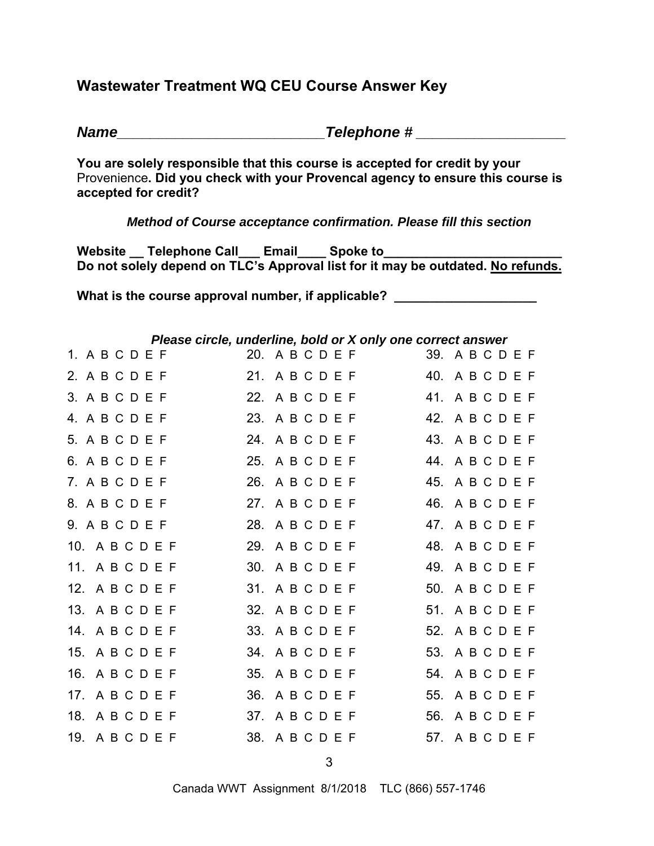# **Wastewater Treatment WQ CEU Course Answer Key**

*Name\_\_\_\_\_\_\_\_\_\_\_\_\_\_\_\_\_\_\_\_\_\_\_\_\_Telephone # \_\_\_\_\_\_\_\_\_\_\_\_\_\_\_\_\_\_* 

**You are solely responsible that this course is accepted for credit by your**  Provenience**. Did you check with your Provencal agency to ensure this course is accepted for credit?** 

*Method of Course acceptance confirmation. Please fill this section* 

Website Telephone Call Email Spoke to **Do not solely depend on TLC's Approval list for it may be outdated. No refunds.** 

What is the course approval number, if applicable? \_\_\_\_\_\_\_\_\_\_\_\_\_\_\_\_\_\_\_\_\_\_\_\_\_\_\_\_\_

| Please circle, underline, bold or X only one correct answer |                 |  |                 |  |  |  |
|-------------------------------------------------------------|-----------------|--|-----------------|--|--|--|
| 1. A B C D E F                                              | 20. ABCDEF      |  | 39. A B C D E F |  |  |  |
| 2. A B C D E F                                              | 21. ABCDEF      |  | 40. ABCDEF      |  |  |  |
| 3. A B C D E F                                              | 22. ABCDEF      |  | 41. ABCDEF      |  |  |  |
| 4. A B C D E F                                              | 23. ABCDEF      |  | 42. ABCDEF      |  |  |  |
| 5. A B C D E F                                              | 24. ABCDEF      |  | 43. ABCDEF      |  |  |  |
| 6. A B C D E F                                              | 25. A B C D E F |  | 44. ABCDEF      |  |  |  |
| 7. A B C D E F                                              | 26. A B C D E F |  | 45. A B C D E F |  |  |  |
| 8. A B C D E F                                              | 27. ABCDEF      |  | 46. ABCDEF      |  |  |  |
| 9. A B C D E F                                              | 28. ABCDEF      |  | 47. A B C D E F |  |  |  |
| 10. ABCDEF                                                  | 29. A B C D E F |  | 48. ABCDEF      |  |  |  |
| 11. ABCDEF                                                  | 30. ABCDEF      |  | 49. A B C D E F |  |  |  |
| 12. ABCDEF                                                  | 31. ABCDEF      |  | 50. A B C D E F |  |  |  |
| 13. ABCDEF                                                  | 32. A B C D E F |  | 51. ABCDEF      |  |  |  |
| 14. ABCDEF                                                  | 33. A B C D E F |  | 52. A B C D E F |  |  |  |
| 15. A B C D E F                                             | 34. A B C D E F |  | 53. A B C D E F |  |  |  |
| 16. A B C D E F                                             | 35. A B C D E F |  | 54. A B C D E F |  |  |  |
| 17. ABCDEF                                                  | 36. A B C D E F |  | 55. A B C D E F |  |  |  |
| 18. ABCDEF                                                  | 37. ABCDEF      |  | 56. A B C D E F |  |  |  |
| 19. ABCDEF                                                  | 38. A B C D E F |  | 57. ABCDEF      |  |  |  |

*Please circle, underline, bold or X only one correct answer*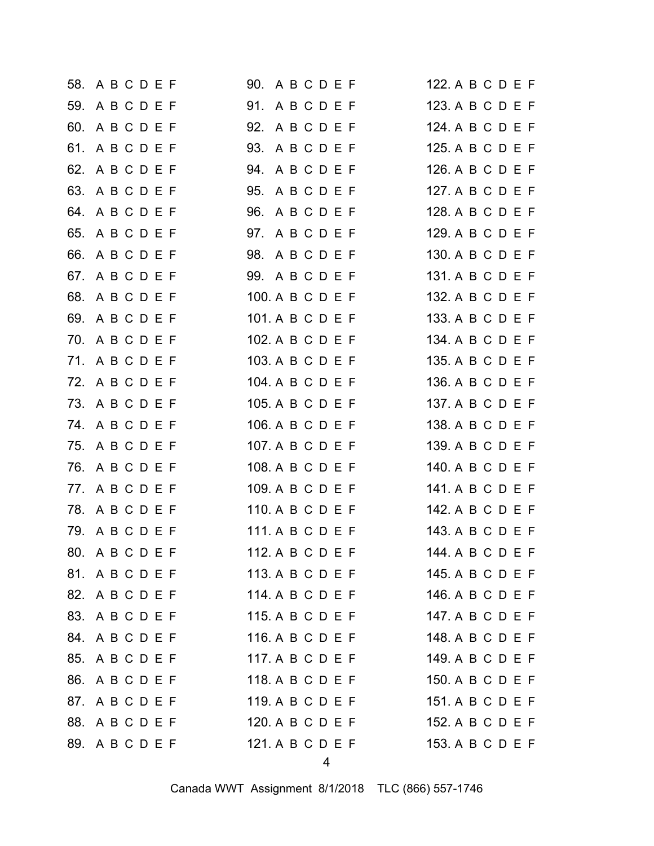| 58. A B C D E F | 90. A B C D E F  | 122. A B C D E F |
|-----------------|------------------|------------------|
| 59. A B C D E F | 91. ABCDEF       | 123. A B C D E F |
| 60. A B C D E F | 92. A B C D E F  | 124. A B C D E F |
| 61. A B C D E F | 93. A B C D E F  | 125. A B C D E F |
| 62. A B C D E F | 94. ABCDEF       | 126. A B C D E F |
| 63. A B C D E F | 95. A B C D E F  | 127. A B C D E F |
| 64. A B C D E F | 96. A B C D E F  | 128. A B C D E F |
| 65. A B C D E F | 97. ABCDEF       | 129. A B C D E F |
| 66. A B C D E F | 98. ABCDEF       | 130. A B C D E F |
| 67. A B C D E F | 99. A B C D E F  | 131. A B C D E F |
| 68. A B C D E F | 100. A B C D E F | 132. A B C D E F |
| 69. A B C D E F | 101. A B C D E F | 133. A B C D E F |
| 70. ABCDEF      | 102. A B C D E F | 134. A B C D E F |
| 71. ABCDEF      | 103. A B C D E F | 135. A B C D E F |
| 72. ABCDEF      | 104. A B C D E F | 136. A B C D E F |
| 73. A B C D E F | 105. A B C D E F | 137. A B C D E F |
| 74. ABCDEF      | 106. A B C D E F | 138. A B C D E F |
| 75. A B C D E F | 107. A B C D E F | 139. A B C D E F |
| 76. A B C D E F | 108. A B C D E F | 140. A B C D E F |
| 77. A B C D E F | 109. A B C D E F | 141. A B C D E F |
| 78. ABCDEF      | 110. A B C D E F | 142. A B C D E F |
| 79. ABCDEF      | 111. A B C D E F | 143. A B C D E F |
| 80. ABCDEF      | 112. A B C D E F | 144. A B C D E F |
| 81. A B C D E F | 113. A B C D E F | 145. A B C D E F |
| 82. A B C D E F | 114. A B C D E F | 146. A B C D E F |
| 83. A B C D E F | 115. A B C D E F | 147. A B C D E F |
| 84. ABCDEF      | 116. A B C D E F | 148. A B C D E F |
| 85. A B C D E F | 117. A B C D E F | 149. A B C D E F |
| 86. A B C D E F | 118. A B C D E F | 150. A B C D E F |
| 87. ABCDEF      | 119. A B C D E F | 151. A B C D E F |
| 88. ABCDEF      | 120. A B C D E F | 152. A B C D E F |
| 89. A B C D E F | 121. A B C D E F | 153. A B C D E F |
|                 |                  |                  |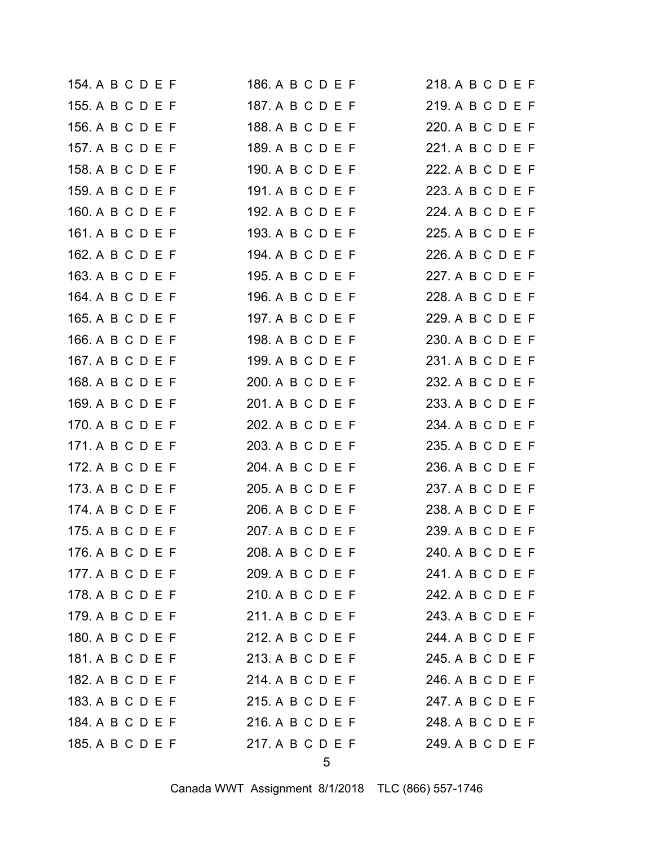| 154. A B C D E F | 186. A B C D E F | 218. A B C D E F |
|------------------|------------------|------------------|
| 155. A B C D E F | 187. A B C D E F | 219. A B C D E F |
| 156. A B C D E F | 188. A B C D E F | 220. A B C D E F |
| 157. A B C D E F | 189. A B C D E F | 221. A B C D E F |
| 158. A B C D E F | 190. A B C D E F | 222. A B C D E F |
| 159. A B C D E F | 191. A B C D E F | 223. A B C D E F |
| 160. A B C D E F | 192. A B C D E F | 224. A B C D E F |
| 161. A B C D E F | 193. A B C D E F | 225. A B C D E F |
| 162. A B C D E F | 194. A B C D E F | 226. A B C D E F |
| 163. A B C D E F | 195. A B C D E F | 227. A B C D E F |
| 164. A B C D E F | 196. A B C D E F | 228. A B C D E F |
| 165. A B C D E F | 197. A B C D E F | 229. A B C D E F |
| 166. A B C D E F | 198. A B C D E F | 230. A B C D E F |
| 167. A B C D E F | 199. A B C D E F | 231. A B C D E F |
| 168. A B C D E F | 200. A B C D E F | 232. A B C D E F |
| 169. A B C D E F | 201. A B C D E F | 233. A B C D E F |
| 170. A B C D E F | 202. A B C D E F | 234. A B C D E F |
| 171. A B C D E F | 203. A B C D E F | 235. A B C D E F |
| 172. A B C D E F | 204. A B C D E F | 236. A B C D E F |
| 173. A B C D E F | 205. A B C D E F | 237. A B C D E F |
| 174. A B C D E F | 206. A B C D E F | 238. A B C D E F |
| 175. A B C D E F | 207. A B C D E F | 239. A B C D E F |
| 176. A B C D E F | 208. A B C D E F | 240. A B C D E F |
| 177. A B C D E F | 209. A B C D E F | 241. A B C D E F |
| 178. A B C D E F | 210. A B C D E F | 242. A B C D E F |
| 179. A B C D E F | 211. A B C D E F | 243. A B C D E F |
| 180. A B C D E F | 212. A B C D E F | 244. A B C D E F |
| 181. A B C D E F | 213. A B C D E F | 245. A B C D E F |
| 182. A B C D E F | 214. A B C D E F | 246. A B C D E F |
| 183. A B C D E F | 215. A B C D E F | 247. A B C D E F |
| 184. A B C D E F | 216. A B C D E F | 248. A B C D E F |
| 185. A B C D E F | 217. A B C D E F | 249. A B C D E F |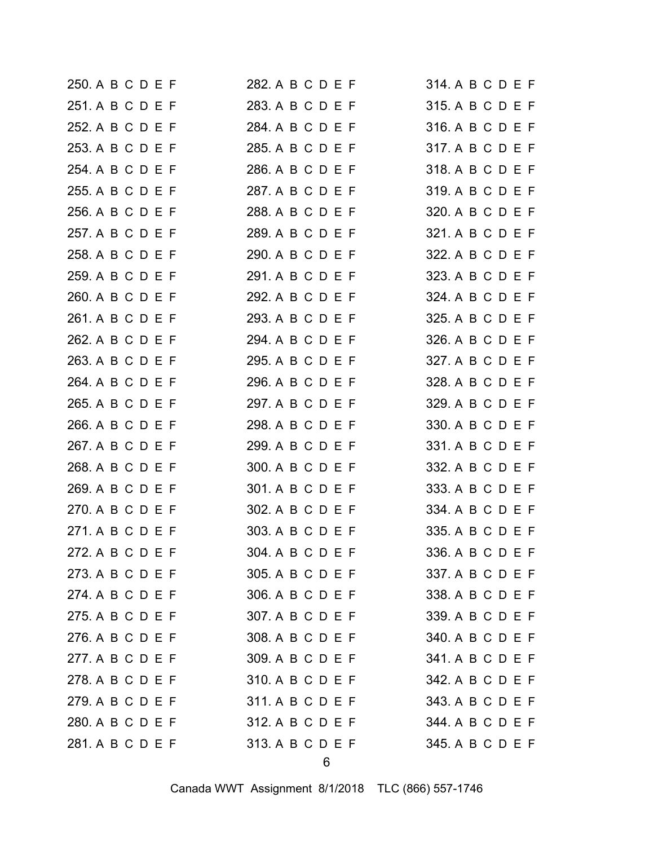| 250. A B C D E F | 282. A B C D E F | 314. A B C D E F |
|------------------|------------------|------------------|
| 251. A B C D E F | 283. A B C D E F | 315. A B C D E F |
| 252. A B C D E F | 284. A B C D E F | 316. A B C D E F |
| 253. A B C D E F | 285. A B C D E F | 317. A B C D E F |
| 254. A B C D E F | 286. A B C D E F | 318. A B C D E F |
| 255. A B C D E F | 287. A B C D E F | 319. A B C D E F |
| 256. A B C D E F | 288. A B C D E F | 320. A B C D E F |
| 257. A B C D E F | 289. A B C D E F | 321. A B C D E F |
| 258. A B C D E F | 290. A B C D E F | 322. A B C D E F |
| 259. A B C D E F | 291. A B C D E F | 323. A B C D E F |
| 260. A B C D E F | 292. A B C D E F | 324. A B C D E F |
| 261. A B C D E F | 293. A B C D E F | 325. A B C D E F |
| 262. A B C D E F | 294. A B C D E F | 326. A B C D E F |
| 263. A B C D E F | 295. A B C D E F | 327. A B C D E F |
| 264. A B C D E F | 296. A B C D E F | 328. A B C D E F |
| 265. A B C D E F | 297. A B C D E F | 329. A B C D E F |
| 266. A B C D E F | 298. A B C D E F | 330. A B C D E F |
| 267. A B C D E F | 299. A B C D E F | 331. A B C D E F |
| 268. A B C D E F | 300. A B C D E F | 332. A B C D E F |
| 269. A B C D E F | 301. A B C D E F | 333. A B C D E F |
| 270. A B C D E F | 302. A B C D E F | 334. A B C D E F |
| 271. A B C D E F | 303. A B C D E F | 335. A B C D E F |
| 272. A B C D E F | 304. A B C D E F | 336. A B C D E F |
| 273. A B C D E F | 305. A B C D E F | 337. A B C D E F |
| 274. A B C D E F | 306. A B C D E F | 338. A B C D E F |
| 275. A B C D E F | 307. A B C D E F | 339. A B C D E F |
| 276. A B C D E F | 308. A B C D E F | 340. A B C D E F |
| 277. A B C D E F | 309. A B C D E F | 341. A B C D E F |
| 278. A B C D E F | 310. A B C D E F | 342. A B C D E F |
| 279. A B C D E F | 311. A B C D E F | 343. A B C D E F |
| 280. A B C D E F | 312. A B C D E F | 344. A B C D E F |
| 281. A B C D E F | 313. A B C D E F | 345. A B C D E F |
|                  |                  |                  |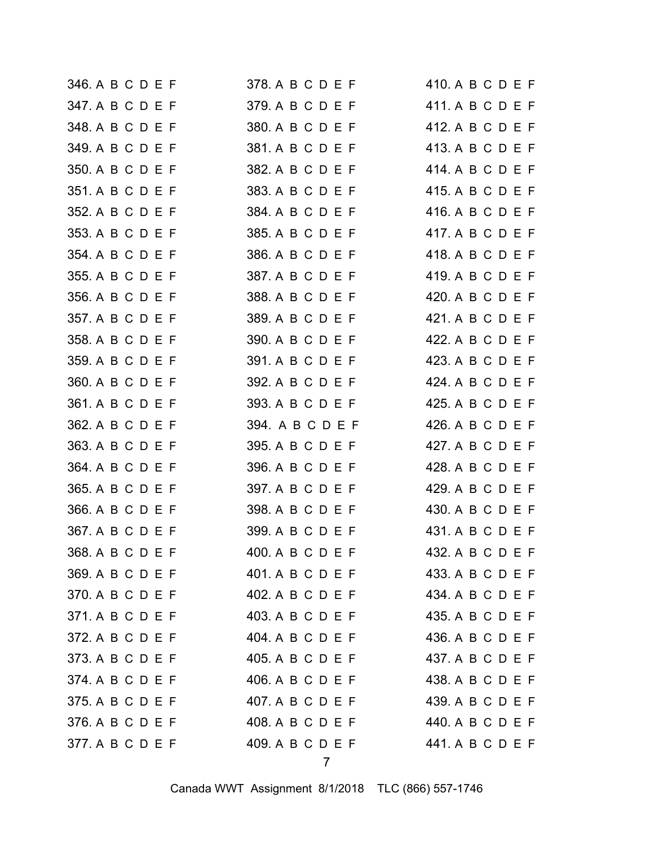| 346. A B C D E F | 378. A B C D E F | 410. A B C D E F |
|------------------|------------------|------------------|
| 347. A B C D E F | 379. A B C D E F | 411. A B C D E F |
| 348. A B C D E F | 380. A B C D E F | 412. A B C D E F |
| 349. A B C D E F | 381. A B C D E F | 413. A B C D E F |
| 350. A B C D E F | 382. A B C D E F | 414. A B C D E F |
| 351. A B C D E F | 383. A B C D E F | 415. A B C D E F |
| 352. A B C D E F | 384. A B C D E F | 416. A B C D E F |
| 353. A B C D E F | 385. A B C D E F | 417. A B C D E F |
| 354. A B C D E F | 386. A B C D E F | 418. A B C D E F |
| 355. A B C D E F | 387. A B C D E F | 419. A B C D E F |
| 356. A B C D E F | 388. A B C D E F | 420. A B C D E F |
| 357. A B C D E F | 389. A B C D E F | 421. A B C D E F |
| 358. A B C D E F | 390. A B C D E F | 422. A B C D E F |
| 359. A B C D E F | 391. A B C D E F | 423. A B C D E F |
| 360. A B C D E F | 392. A B C D E F | 424. A B C D E F |
| 361. A B C D E F | 393. A B C D E F | 425. A B C D E F |
| 362. A B C D E F | 394. A B C D E F | 426. A B C D E F |
| 363. A B C D E F | 395. A B C D E F | 427. A B C D E F |
| 364. A B C D E F | 396. A B C D E F | 428. A B C D E F |
| 365. A B C D E F | 397. A B C D E F | 429. A B C D E F |
| 366. A B C D E F | 398. A B C D E F | 430. A B C D E F |
| 367. A B C D E F | 399. A B C D E F | 431. A B C D E F |
| 368. A B C D E F | 400. A B C D E F | 432. A B C D E F |
| 369. A B C D E F | 401. A B C D E F | 433. A B C D E F |
| 370. A B C D E F | 402. A B C D E F | 434. A B C D E F |
| 371. A B C D E F | 403. A B C D E F | 435. A B C D E F |
| 372. A B C D E F | 404. A B C D E F | 436. A B C D E F |
| 373. A B C D E F | 405. A B C D E F | 437. A B C D E F |
| 374. A B C D E F | 406. A B C D E F | 438. A B C D E F |
| 375. A B C D E F | 407. A B C D E F | 439. A B C D E F |
| 376. A B C D E F | 408. A B C D E F | 440. A B C D E F |
|                  |                  |                  |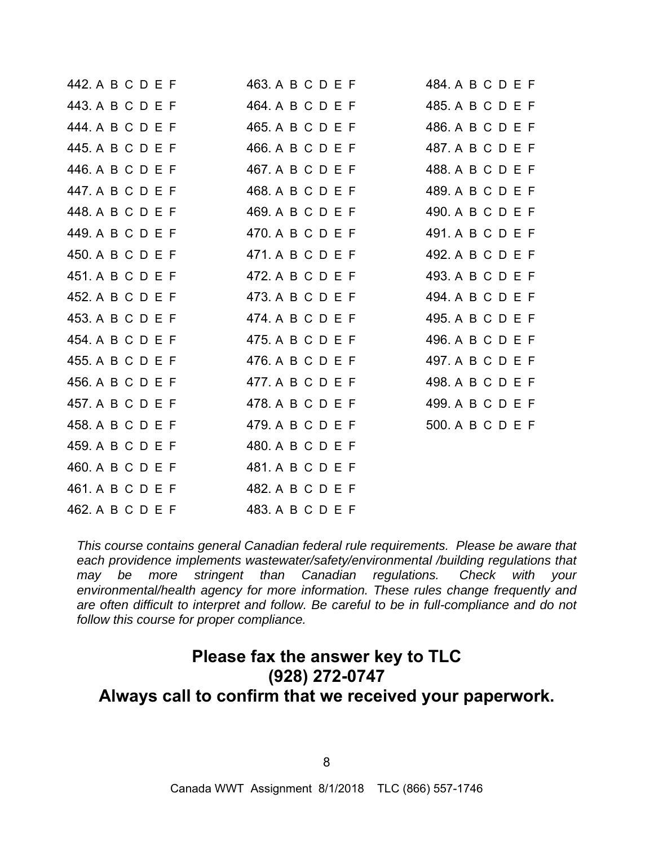| 442. A B C D E F | 463. A B C D E F | 484. A B C D E F |
|------------------|------------------|------------------|
| 443. A B C D E F | 464. A B C D E F | 485. A B C D E F |
| 444. A B C D E F | 465. A B C D E F | 486. A B C D E F |
| 445. A B C D E F | 466. A B C D E F | 487. A B C D E F |
| 446. A B C D E F | 467. A B C D E F | 488. A B C D E F |
| 447. A B C D E F | 468. A B C D E F | 489. A B C D E F |
| 448. A B C D E F | 469. A B C D E F | 490. A B C D E F |
| 449. A B C D E F | 470. A B C D E F | 491. A B C D E F |
| 450. A B C D E F | 471. A B C D E F | 492. A B C D E F |
| 451. A B C D E F | 472. A B C D E F | 493. A B C D E F |
| 452. A B C D E F | 473. A B C D E F | 494. A B C D E F |
| 453. A B C D E F | 474. A B C D E F | 495. A B C D E F |
| 454. A B C D E F | 475. A B C D E F | 496. A B C D E F |
| 455. A B C D E F | 476. A B C D E F | 497. A B C D E F |
| 456. A B C D E F | 477. A B C D E F | 498. A B C D E F |
| 457. A B C D E F | 478. A B C D E F | 499. A B C D E F |
| 458. A B C D E F | 479. A B C D E F | 500. A B C D E F |
| 459. A B C D E F | 480. A B C D E F |                  |
| 460. A B C D E F | 481. A B C D E F |                  |
| 461. A B C D E F | 482. A B C D E F |                  |
| 462. A B C D E F | 483. A B C D E F |                  |

*This course contains general Canadian federal rule requirements. Please be aware that each providence implements wastewater/safety/environmental /building regulations that may be more stringent than Canadian regulations. Check with your environmental/health agency for more information. These rules change frequently and are often difficult to interpret and follow. Be careful to be in full-compliance and do not follow this course for proper compliance.* 

# **Please fax the answer key to TLC (928) 272-0747 Always call to confirm that we received your paperwork.**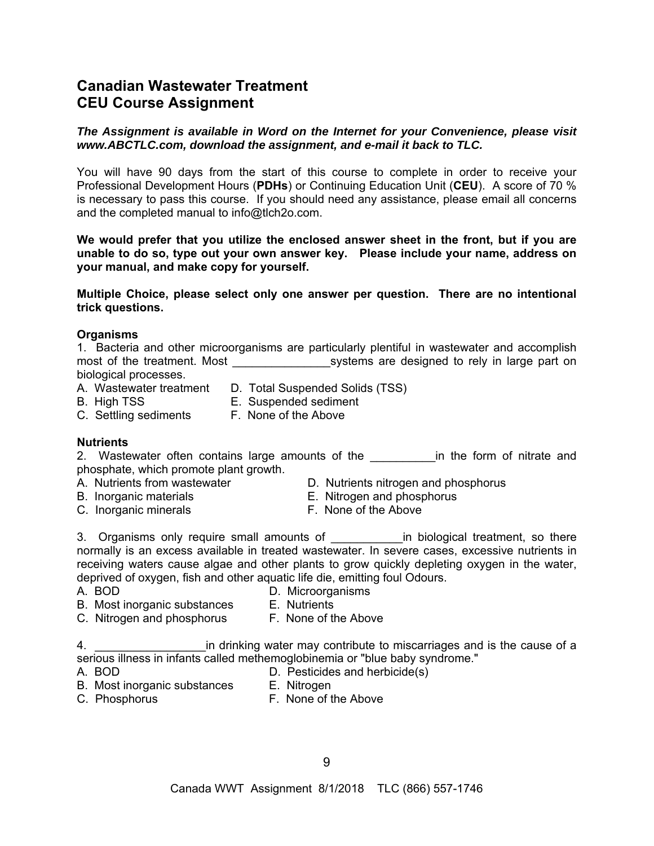# **Canadian Wastewater Treatment CEU Course Assignment**

## *The Assignment is available in Word on the Internet for your Convenience, please visit www.ABCTLC.com, download the assignment, and e-mail it back to TLC.*

You will have 90 days from the start of this course to complete in order to receive your Professional Development Hours (**PDHs**) or Continuing Education Unit (**CEU**). A score of 70 % is necessary to pass this course. If you should need any assistance, please email all concerns and the completed manual to info@tlch2o.com.

**We would prefer that you utilize the enclosed answer sheet in the front, but if you are unable to do so, type out your own answer key. Please include your name, address on your manual, and make copy for yourself.** 

**Multiple Choice, please select only one answer per question. There are no intentional trick questions.** 

## **Organisms**

|                       |                             | 1. Bacteria and other microorganisms are particularly plentiful in wastewater and accomplish |  |                                               |  |  |  |
|-----------------------|-----------------------------|----------------------------------------------------------------------------------------------|--|-----------------------------------------------|--|--|--|
|                       | most of the treatment. Most |                                                                                              |  | systems are designed to rely in large part on |  |  |  |
| biological processes. |                             |                                                                                              |  |                                               |  |  |  |

- A. Wastewater treatment D. Total Suspended Solids (TSS)
- B. High TSS E. Suspended sediment
- 
- 
- C. Settling sediments F. None of the Above

#### **Nutrients**

2. Wastewater often contains large amounts of the **Example 1** in the form of nitrate and phosphate, which promote plant growth.

- 
- 
- C. Inorganic minerals **F. None of the Above**
- A. Nutrients from wastewater D. Nutrients nitrogen and phosphorus
- B. Inorganic materials **E. Nitrogen and phosphorus** 
	-

3. Organisms only require small amounts of The Lands in biological treatment, so there normally is an excess available in treated wastewater. In severe cases, excessive nutrients in receiving waters cause algae and other plants to grow quickly depleting oxygen in the water, deprived of oxygen, fish and other aquatic life die, emitting foul Odours.

- 
- A. BOD D. Microorganisms
- B. Most inorganic substances E. Nutrients
	-
- C. Nitrogen and phosphorus F. None of the Above

4. \_\_\_\_\_\_\_\_\_\_\_\_\_\_\_\_\_in drinking water may contribute to miscarriages and is the cause of a serious illness in infants called methemoglobinemia or "blue baby syndrome."

- 
- A. BOD D. Pesticides and herbicide(s)
- B. Most inorganic substances E. Nitrogen
	-
- C. Phosphorus **F. None of the Above**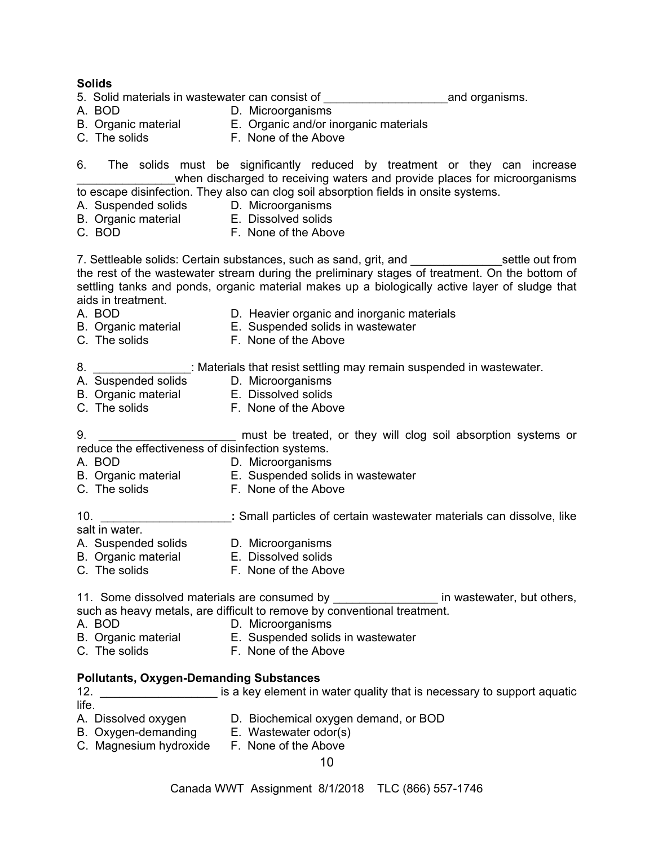**Solids**  5. Solid materials in wastewater can consist of **construct of the solution of the system** and organisms. A. BOD D. Microorganisms B. Organic material E. Organic and/or inorganic materials C. The solids **F. None of the Above** 6. The solids must be significantly reduced by treatment or they can increase when discharged to receiving waters and provide places for microorganisms to escape disinfection. They also can clog soil absorption fields in onsite systems. A. Suspended solids D. Microorganisms B. Organic material E. Dissolved solids C. BOD F. None of the Above 7. Settleable solids: Certain substances, such as sand, grit, and **come that in the settle out from** the rest of the wastewater stream during the preliminary stages of treatment. On the bottom of settling tanks and ponds, organic material makes up a biologically active layer of sludge that aids in treatment. A. BOD **D. Heavier organic and inorganic materials** B. Organic material E. Suspended solids in wastewater C. The solids **F. None of the Above** 8. \_\_\_\_\_\_\_\_\_\_\_\_\_\_\_: Materials that resist settling may remain suspended in wastewater. A. Suspended solids D. Microorganisms B. Organic material E. Dissolved solids C. The solids **F. None of the Above** 9. **\_\_\_\_\_\_\_\_\_\_\_\_\_\_\_** must be treated, or they will clog soil absorption systems or reduce the effectiveness of disinfection systems. A. BOD D. Microorganisms B. Organic material E. Suspended solids in wastewater C. The solids **F. None of the Above** 10. \_\_\_\_\_\_\_\_\_\_\_\_\_\_\_\_\_\_\_\_**:** Small particles of certain wastewater materials can dissolve, like salt in water. A. Suspended solids D. Microorganisms B. Organic material E. Dissolved solids C. The solids **F. None of the Above** 11. Some dissolved materials are consumed by \_\_\_\_\_\_\_\_\_\_\_\_\_\_\_\_\_\_\_ in wastewater, but others, such as heavy metals, are difficult to remove by conventional treatment. A. BOD D. Microorganisms B. Organic material E. Suspended solids in wastewater C. The solids **F. None of the Above Pollutants, Oxygen-Demanding Substances**  12. \_\_\_\_\_\_\_\_\_\_\_\_\_\_\_\_\_\_\_\_\_\_ is a key element in water quality that is necessary to support aquatic life.

- A. Dissolved oxygen D. Biochemical oxygen demand, or BOD
- B. Oxygen-demanding E. Wastewater odor(s)
- C. Magnesium hydroxide F. None of the Above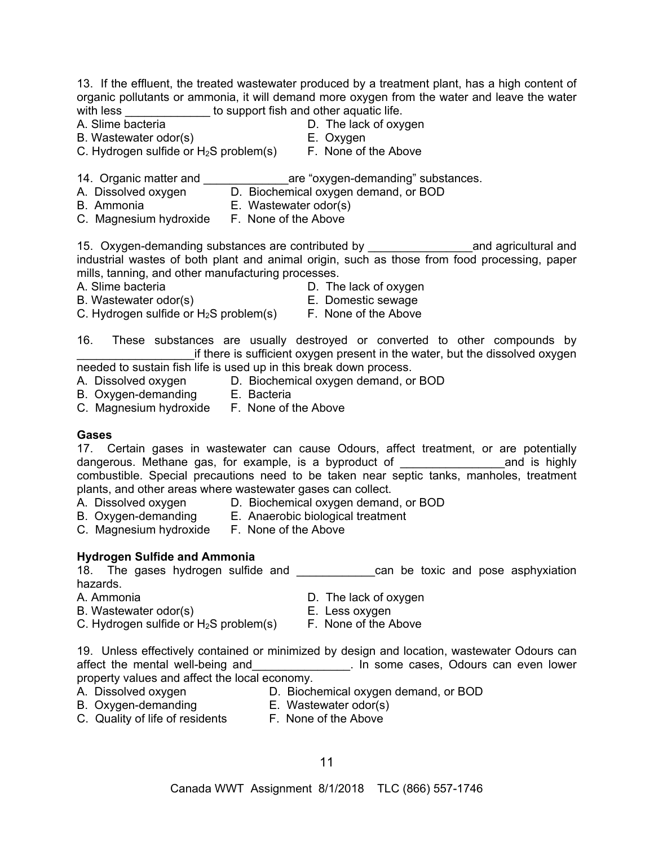13. If the effluent, the treated wastewater produced by a treatment plant, has a high content of organic pollutants or ammonia, it will demand more oxygen from the water and leave the water with less \_\_\_\_\_\_\_\_\_\_\_\_\_\_\_ to support fish and other aquatic life.

- A. Slime bacteria **D.** The lack of oxygen
- B. Wastewater odor(s) E. Oxygen
- C. Hydrogen sulfide or  $H_2S$  problem(s) F. None of the Above
- 
- 
- 14. Organic matter and **the same of the same of the set of the set of the set of the set of the set of the set o**
- A. Dissolved oxygen D. Biochemical oxygen demand, or BOD
- B. Ammonia E. Wastewater odor(s)
- C. Magnesium hydroxide F. None of the Above

15. Oxygen-demanding substances are contributed by \_\_\_\_\_\_\_\_\_\_\_\_\_\_\_\_\_\_\_\_\_\_\_\_\_\_\_\_\_ and agricultural and industrial wastes of both plant and animal origin, such as those from food processing, paper mills, tanning, and other manufacturing processes.

- A. Slime bacteria **D.** The lack of oxygen
	-
- B. Wastewater odor(s) E. Domestic sewage C. Hydrogen sulfide or  $H_2S$  problem(s) F. None of the Above
	-
- 16. These substances are usually destroyed or converted to other compounds by if there is sufficient oxygen present in the water, but the dissolved oxygen needed to sustain fish life is used up in this break down process.
- A. Dissolved oxygen D. Biochemical oxygen demand, or BOD
- B. Oxygen-demanding E. Bacteria
- C. Magnesium hydroxide F. None of the Above

#### **Gases**

17. Certain gases in wastewater can cause Odours, affect treatment, or are potentially dangerous. Methane gas, for example, is a byproduct of **the anality** and is highly combustible. Special precautions need to be taken near septic tanks, manholes, treatment plants, and other areas where wastewater gases can collect.

- A. Dissolved oxygen D. Biochemical oxygen demand, or BOD<br>B. Oxygen demanding E. Apperabio biological tractment
- 
- B. Oxygen-demanding E. Anaerobic biological treatment
- C. Magnesium hydroxide F. None of the Above

## **Hydrogen Sulfide and Ammonia**

18. The gases hydrogen sulfide and **the canactal can** be toxic and pose asphyxiation hazards.

- 
- A. Ammonia D. The lack of oxygen
- B. Wastewater odor(s) entitled the matrix of the E. Less oxygen C. Hydrogen sulfide or  $H_2S$  problem(s) F. None of the Above
	-
- 19. Unless effectively contained or minimized by design and location, wastewater Odours can affect the mental well-being and \_\_\_\_\_\_\_\_\_\_\_\_\_\_. In some cases, Odours can even lower property values and affect the local economy.
- 
- A. Dissolved oxygen D. Biochemical oxygen demand, or BOD
- B. Oxygen-demanding E. Wastewater odor(s)
	-
- C. Quality of life of residents F. None of the Above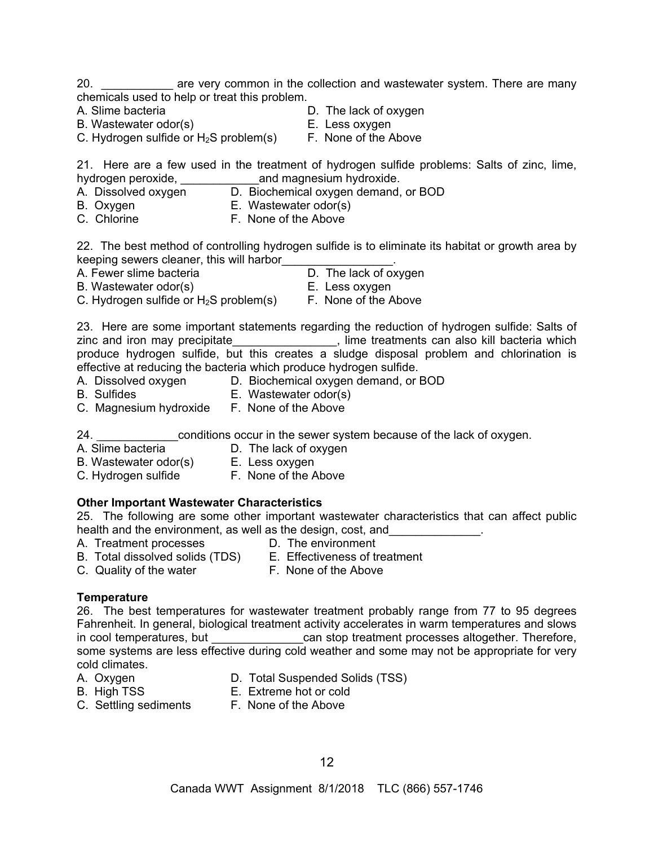20. \_\_\_\_\_\_\_\_\_\_\_\_ are very common in the collection and wastewater system. There are many chemicals used to help or treat this problem.

- 
- A. Slime bacteria  $\begin{array}{ccc} \textsf{D} & \textsf{D} & \textsf{D} & \textsf{C} \end{array}$  The lack of oxygen B. Wastewater odor(s)
- B. Wastewater odor(s) C. Hydrogen sulfide or  $H_2S$  problem(s) F. None of the Above
	-

21. Here are a few used in the treatment of hydrogen sulfide problems: Salts of zinc, lime, hydrogen peroxide, example and magnesium hydroxide.

- A. Dissolved oxygen D. Biochemical oxygen demand, or BOD
- B. Oxygen E. Wastewater odor(s)
- C. Chlorine F. None of the Above

22. The best method of controlling hydrogen sulfide is to eliminate its habitat or growth area by keeping sewers cleaner, this will harbor\_\_\_\_\_\_\_\_\_\_\_\_\_\_\_\_\_.

- A. Fewer slime bacteria **D.** The lack of oxygen
- B. Wastewater odor(s) E. Less oxygen
- C. Hydrogen sulfide or  $H_2S$  problem(s) F. None of the Above
- 

23. Here are some important statements regarding the reduction of hydrogen sulfide: Salts of zinc and iron may precipitate **the endemy contained which** sinc an also kill bacteria which produce hydrogen sulfide, but this creates a sludge disposal problem and chlorination is effective at reducing the bacteria which produce hydrogen sulfide.

- A. Dissolved oxygen D. Biochemical oxygen demand, or BOD
- 
- B. Sulfides E. Wastewater odor(s)
- C. Magnesium hydroxide F. None of the Above

24. \_\_\_\_\_\_\_\_\_\_\_\_\_\_\_\_\_\_conditions occur in the sewer system because of the lack of oxygen.

- 
- A. Slime bacteria **D.** The lack of oxygen
- B. Wastewater odor(s) E. Less oxygen
	-
- C. Hydrogen sulfide F. None of the Above

## **Other Important Wastewater Characteristics**

25. The following are some other important wastewater characteristics that can affect public health and the environment, as well as the design, cost, and

- A. Treatment processes **D.** The environment
	-
- B. Total dissolved solids (TDS) E. Effectiveness of treatment
- 
- C. Quality of the water F. None of the Above
	-

## **Temperature**

26. The best temperatures for wastewater treatment probably range from 77 to 95 degrees Fahrenheit. In general, biological treatment activity accelerates in warm temperatures and slows in cool temperatures, but \_\_\_\_\_\_\_\_\_\_\_\_\_\_\_\_can stop treatment processes altogether. Therefore, some systems are less effective during cold weather and some may not be appropriate for very cold climates.

- 
- A. Oxygen D. Total Suspended Solids (TSS)
- 
- B. High TSS E. Extreme hot or cold
- C. Settling sediments F. None of the Above
-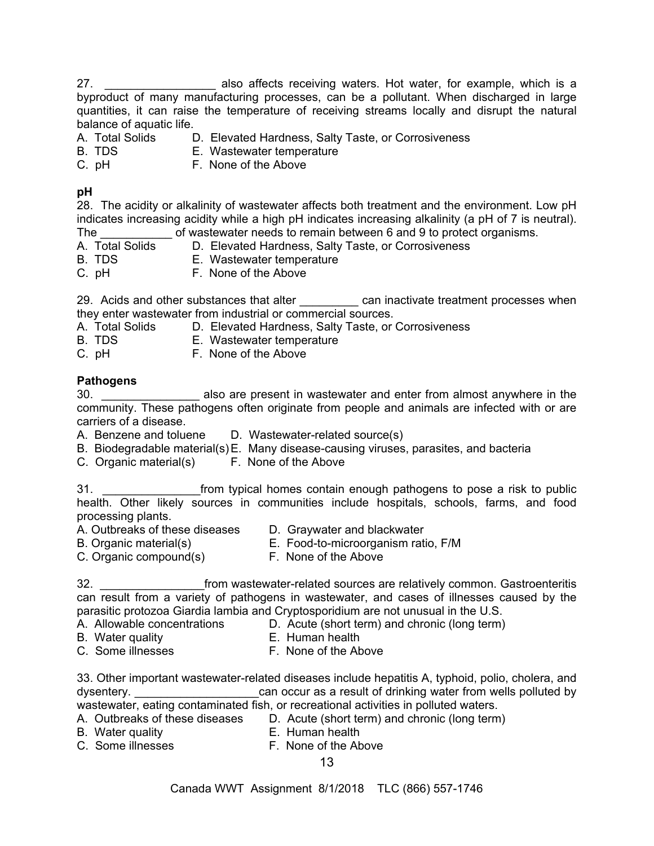27. **Example 27. 27. Example 27. 27. 27. 27. 28. 20. 20. 20. 20. 20. 20. 20. 20. 20. 20. 20. 20. 20. 20. 20. 20. 20. 20. 20. 20. 20. 20. 20. 20. 20. 20. 20.** byproduct of many manufacturing processes, can be a pollutant. When discharged in large quantities, it can raise the temperature of receiving streams locally and disrupt the natural balance of aquatic life.

- A. Total Solids D. Elevated Hardness, Salty Taste, or Corrosiveness
- B. TDS E. Wastewater temperature
- C. pH F. None of the Above

## **pH**

28. The acidity or alkalinity of wastewater affects both treatment and the environment. Low pH indicates increasing acidity while a high pH indicates increasing alkalinity (a pH of 7 is neutral). The of wastewater needs to remain between 6 and 9 to protect organisms.

- A. Total Solids D. Elevated Hardness, Salty Taste, or Corrosiveness
- B. TDS E. Wastewater temperature
- C. pH F. None of the Above

29. Acids and other substances that alter **Example 20** can inactivate treatment processes when they enter wastewater from industrial or commercial sources.

- A. Total Solids D. Elevated Hardness, Salty Taste, or Corrosiveness<br>B. TDS B. Wastewater temperature
- E. Wastewater temperature
- C. pH F. None of the Above

#### **Pathogens**

30. \_\_\_\_\_\_\_\_\_\_\_\_\_\_\_ also are present in wastewater and enter from almost anywhere in the community. These pathogens often originate from people and animals are infected with or are carriers of a disease.

- A. Benzene and toluene D. Wastewater-related source(s)
- B. Biodegradable material(s) E. Many disease-causing viruses, parasites, and bacteria
- C. Organic material(s) F. None of the Above

31. **Example 31. 12. The state of the state of the state of the state of the state of the state of the state of the state of the state of the state of the state of the state of the state of the state of the state of the** health. Other likely sources in communities include hospitals, schools, farms, and food processing plants.

- A. Outbreaks of these diseases D. Graywater and blackwater
- B. Organic material(s) E. Food-to-microorganism ratio, F/M
- 
- 
- 
- C. Organic compound(s) F. None of the Above
- 

32. \_\_\_\_\_\_\_\_\_\_\_\_\_\_\_\_from wastewater-related sources are relatively common. Gastroenteritis can result from a variety of pathogens in wastewater, and cases of illnesses caused by the parasitic protozoa Giardia lambia and Cryptosporidium are not unusual in the U.S.

- A. Allowable concentrations D. Acute (short term) and chronic (long term)
- 
- B. Water quality E. Human health
- C. Some illnesses F. None of the Above

33. Other important wastewater-related diseases include hepatitis A, typhoid, polio, cholera, and dysentery. The same can occur as a result of drinking water from wells polluted by wastewater, eating contaminated fish, or recreational activities in polluted waters.

A. Outbreaks of these diseases D. Acute (short term) and chronic (long term)

- 
- B. Water quality E. Human health
- C. Some illnesses F. None of the Above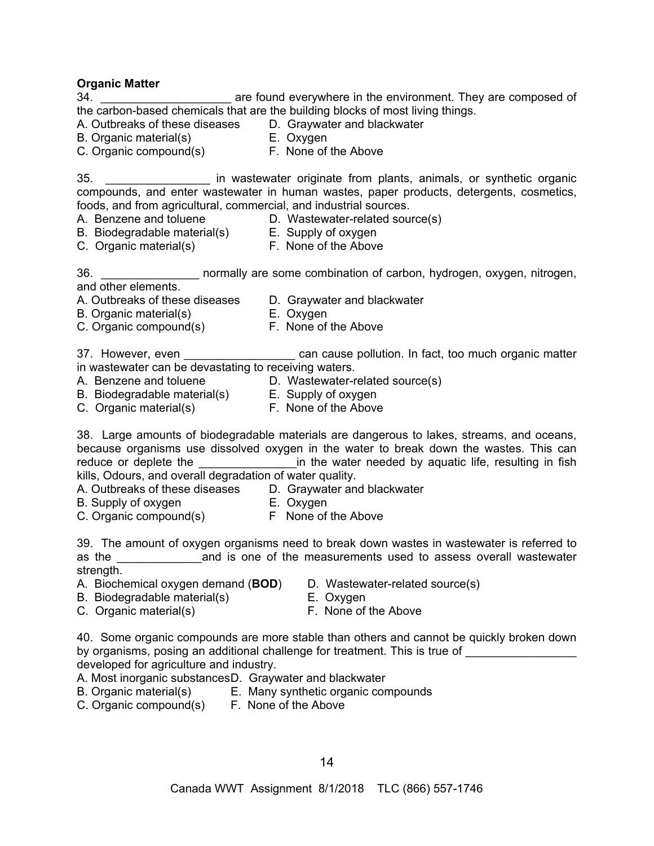**Organic Matter** 

are found everywhere in the environment. They are composed of the carbon-based chemicals that are the building blocks of most living things.

A. Outbreaks of these diseases D. Graywater and blackwater

- B. Organic material(s) E. Oxygen
- C. Organic compound(s) F. None of the Above

35. \_\_\_\_\_\_\_\_\_\_\_\_\_\_\_\_ in wastewater originate from plants, animals, or synthetic organic compounds, and enter wastewater in human wastes, paper products, detergents, cosmetics, foods, and from agricultural, commercial, and industrial sources.

- A. Benzene and toluene D. Wastewater-related source(s)
	-
- B. Biodegradable material(s) E. Supply of oxygen C. Organic material(s) F. None of the Above
	-

36. \_\_\_\_\_\_\_\_\_\_\_\_\_\_\_ normally are some combination of carbon, hydrogen, oxygen, nitrogen, and other elements.

- A. Outbreaks of these diseases D. Graywater and blackwater
	-
- B. Organic material(s) E. Oxygen
- C. Organic compound(s) F. None of the Above
- 

37. However, even \_\_\_\_\_\_\_\_\_\_\_\_\_\_\_\_\_\_\_\_ can cause pollution. In fact, too much organic matter in wastewater can be devastating to receiving waters.

- A. Benzene and toluene D. Wastewater-related source(s)
- B. Biodegradable material(s) E. Supply of oxygen
- 
- C. Organic material(s) F. None of the Above

38. Large amounts of biodegradable materials are dangerous to lakes, streams, and oceans, because organisms use dissolved oxygen in the water to break down the wastes. This can reduce or deplete the **the solution of the water needed by aquatic life**, resulting in fish kills, Odours, and overall degradation of water quality.

A. Outbreaks of these diseases D. Graywater and blackwater<br>B. Supply of oxygen B. Oxygen

- B. Supply of oxygen
- 
- C. Organic compound(s) F None of the Above

39. The amount of oxygen organisms need to break down wastes in wastewater is referred to as the **EXACCO and is one of the measurements used to assess overall wastewater** strength.

- A. Biochemical oxygen demand (**BOD**) D. Wastewater-related source(s)
	-
- B. Biodegradable material(s) E. Oxygen<br>
C. Organic material(s) F. None of the Above C. Organic material(s)
	-
- 40. Some organic compounds are more stable than others and cannot be quickly broken down by organisms, posing an additional challenge for treatment. This is true of developed for agriculture and industry.
- A. Most inorganic substances D. Graywater and blackwater
- B. Organic material(s) E. Many synthetic organic compounds
	-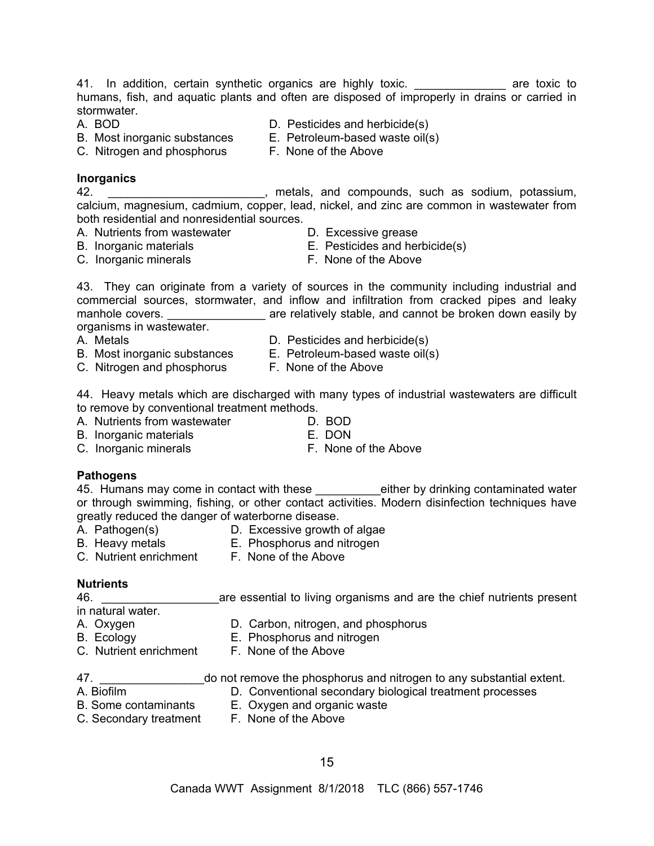41. In addition, certain synthetic organics are highly toxic. \_\_\_\_\_\_\_\_\_\_\_\_\_\_\_ are toxic to humans, fish, and aquatic plants and often are disposed of improperly in drains or carried in stormwater.

- 
- A. BOD D. Pesticides and herbicide(s)
- B. Most inorganic substances E. Petroleum-based waste oil(s)
- C. Nitrogen and phosphorus F. None of the Above

#### **Inorganics**

42. \_\_\_\_\_\_\_\_\_\_\_\_\_\_\_\_\_\_\_\_\_\_\_\_, metals, and compounds, such as sodium, potassium, calcium, magnesium, cadmium, copper, lead, nickel, and zinc are common in wastewater from both residential and nonresidential sources.

- A. Nutrients from wastewater **D. Excessive grease** 
	-
- B. Inorganic materials E. Pesticides and herbicide(s)
- C. Inorganic minerals **F. None of the Above**
- 
- 

43. They can originate from a variety of sources in the community including industrial and commercial sources, stormwater, and inflow and infiltration from cracked pipes and leaky manhole covers. The same of the relatively stable, and cannot be broken down easily by

organisms in wastewater.

- 
- A. Metals **D. Pesticides and herbicide(s)**
- B. Most inorganic substances E. Petroleum-based waste oil(s)
- C. Nitrogen and phosphorus F. None of the Above

44. Heavy metals which are discharged with many types of industrial wastewaters are difficult to remove by conventional treatment methods.

- A. Nutrients from wastewater **D. BOD**<br>B. Inorganic materials **B. E. DON**
- B. Inorganic materials
- C. Inorganic minerals **F. None of the Above**
- 

## **Pathogens**

45. Humans may come in contact with these error either by drinking contaminated water or through swimming, fishing, or other contact activities. Modern disinfection techniques have greatly reduced the danger of waterborne disease.

- 
- A. Pathogen(s) D. Excessive growth of algae
- 
- B. Heavy metals **E. Phosphorus and nitrogen**
- C. Nutrient enrichment F. None of the Above
- 

## **Nutrients**

46. \_\_\_\_\_\_\_\_\_\_\_\_\_\_\_\_\_\_are essential to living organisms and are the chief nutrients present in natural water.

- 
- A. Oxygen B. Carbon, nitrogen, and phosphorus<br>B. Ecology E. Phosphorus and nitrogen<br>C. Nutriant with the C. Nutriant with the C. Nutriant with the C. Nutrian with the C. Nutrian with the C. Nutrian with the C. Nutrian with
- 
- E. Phosphorus and nitrogen C. Nutrient enrichment F. None of the Above
- 
- 47. **Example 3** do not remove the phosphorus and nitrogen to any substantial extent.
- 
- A. Biofilm D. Conventional secondary biological treatment processes
- 
- 
- B. Some contaminants E. Oxygen and organic waste<br>C. Secondary treatment F. None of the Above C. Secondary treatment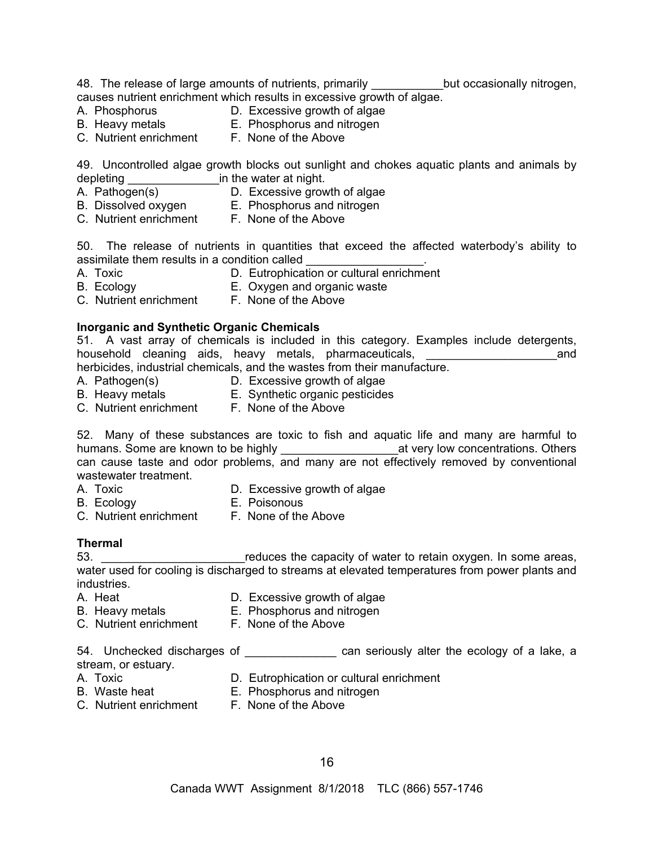48. The release of large amounts of nutrients, primarily \_\_\_\_\_\_\_\_\_\_\_\_but occasionally nitrogen, causes nutrient enrichment which results in excessive growth of algae.

- 
- A. Phosphorus **D. Excessive growth of algae**
- B. Heavy metals **E. Phosphorus and nitrogen**
- C. Nutrient enrichment F. None of the Above

49. Uncontrolled algae growth blocks out sunlight and chokes aquatic plants and animals by depleting \_\_\_\_\_\_\_\_\_\_\_\_\_\_in the water at night.

- A. Pathogen(s) D. Excessive growth of algae
- 
- B. Dissolved oxygen E. Phosphorus and nitrogen
- C. Nutrient enrichment F. None of the Above

50. The release of nutrients in quantities that exceed the affected waterbody's ability to assimilate them results in a condition called

- 
- A. Toxic **D. Eutrophication or cultural enrichment**
- B. Ecology **E. Oxygen and organic waste**
- C. Nutrient enrichment F. None of the Above

#### **Inorganic and Synthetic Organic Chemicals**

51. A vast array of chemicals is included in this category. Examples include detergents, household cleaning aids, heavy metals, pharmaceuticals, \_\_\_\_\_\_\_\_\_\_\_\_\_\_\_\_\_\_\_\_and

- herbicides, industrial chemicals, and the wastes from their manufacture.
- A. Pathogen(s) D. Excessive growth of algae
- B. Heavy metals E. Synthetic organic pesticides
- C. Nutrient enrichment F. None of the Above

52. Many of these substances are toxic to fish and aquatic life and many are harmful to humans. Some are known to be highly \_\_\_\_\_\_\_\_\_\_\_\_\_\_\_\_\_\_at very low concentrations. Others can cause taste and odor problems, and many are not effectively removed by conventional wastewater treatment.

- 
- A. Toxic **D. Excessive growth of algae**
- B. Ecology **E. Poisonous**
- C. Nutrient enrichment F. None of the Above

**Thermal**<br>53. \_\_\_\_\_\_ reduces the capacity of water to retain oxygen. In some areas, water used for cooling is discharged to streams at elevated temperatures from power plants and industries.

- A. Heat **D. Excessive growth of algae**
- B. Heavy metals **E. Phosphorus and nitrogen**
- C. Nutrient enrichment F. None of the Above

54. Unchecked discharges of **Exercise 20** can seriously alter the ecology of a lake, a

- stream, or estuary.
- A. Toxic **D. Eutrophication or cultural enrichment**
- B. Waste heat E. Phosphorus and nitrogen
- C. Nutrient enrichment F. None of the Above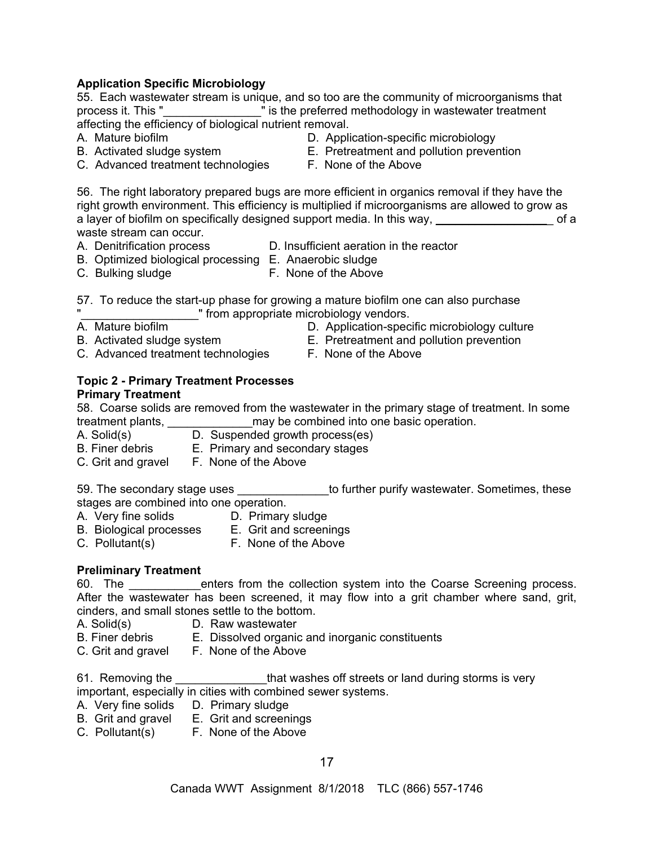## **Application Specific Microbiology**

55. Each wastewater stream is unique, and so too are the community of microorganisms that process it. This "\_\_\_\_\_\_\_\_\_\_\_\_\_\_\_" is the preferred methodology in wastewater treatment affecting the efficiency of biological nutrient removal.

- -
- C. Advanced treatment technologies F. None of the Above
- A. Mature biofilm D. Application-specific microbiology
- B. Activated sludge system E. Pretreatment and pollution prevention
	-

56. The right laboratory prepared bugs are more efficient in organics removal if they have the right growth environment. This efficiency is multiplied if microorganisms are allowed to grow as a layer of biofilm on specifically designed support media. In this way, example the solution of a waste stream can occur.

- A. Denitrification process D. Insufficient aeration in the reactor
	-
- B. Optimized biological processing E. Anaerobic sludge C. Bulking sludge F. None of the Above
- 57. To reduce the start-up phase for growing a mature biofilm one can also purchase "\_\_\_\_\_\_\_\_\_\_\_\_\_\_\_\_\_\_" from appropriate microbiology vendors.
- A. Mature biofilm D. Application-specific microbiology culture
- -
- B. Activated sludge system E. Pretreatment and pollution prevention
- C. Advanced treatment technologies F. None of the Above

# **Topic 2 - Primary Treatment Processes**

#### **Primary Treatment**

58. Coarse solids are removed from the wastewater in the primary stage of treatment. In some treatment plants, **Example 2** may be combined into one basic operation.

- A. Solid(s) D. Suspended growth process(es)
- B. Finer debris E. Primary and secondary stages
- C. Grit and gravelF. None of the Above

59. The secondary stage uses **Exercise 20** to further purify wastewater. Sometimes, these stages are combined into one operation.

- A. Very fine solids **D. Primary sludge** 
	-
- B. Biological processes E. Grit and screenings
- C. Pollutant(s)F. None of the Above

## **Preliminary Treatment**

60. The **Example 1** enters from the collection system into the Coarse Screening process. After the wastewater has been screened, it may flow into a grit chamber where sand, grit, cinders, and small stones settle to the bottom.

- A. Solid(s) D. Raw wastewater
- B. Finer debris E. Dissolved organic and inorganic constituents
- C. Grit and gravelF. None of the Above

61. Removing the **that washes off streets or land during storms is very** important, especially in cities with combined sewer systems.

- A. Very fine solids D. Primary sludge
- B. Grit and gravel E. Grit and screenings
- C. Pollutant(s)F. None of the Above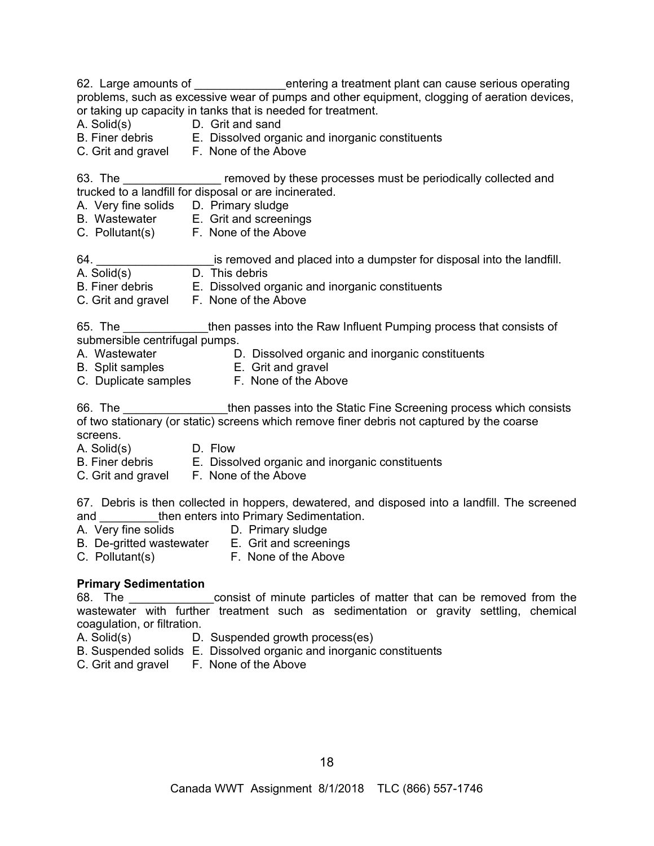62. Large amounts of \_\_\_\_\_\_\_\_\_\_\_\_\_\_\_entering a treatment plant can cause serious operating problems, such as excessive wear of pumps and other equipment, clogging of aeration devices, or taking up capacity in tanks that is needed for treatment.

- A. Solid(s) D. Grit and sand<br>B. Finer debris E. Dissolved orga
- E. Dissolved organic and inorganic constituents
- C. Grit and gravelF. None of the Above

63. The **Example 20** removed by these processes must be periodically collected and trucked to a landfill for disposal or are incinerated.

- A. Very fine solids D. Primary sludge
- B. Wastewater E. Grit and screenings
- C. Pollutant(s)F. None of the Above
- 64. **Example 3 and set of the set of the set of the set of the set of the set of the landfill.**
- A. Solid(s) D. This debris
- B. Finer debris E. Dissolved organic and inorganic constituents
- C. Grit and gravelF. None of the Above

65. The \_\_\_\_\_\_\_\_\_\_\_\_\_then passes into the Raw Influent Pumping process that consists of submersible centrifugal pumps.

- 
- A. Wastewater **D. Dissolved organic and inorganic constituents**
- B. Split samples E. Grit and gravel
- C. Duplicate samples F. None of the Above

66. The **Example 3 and Then update into the Static Fine Screening process which consists** of two stationary (or static) screens which remove finer debris not captured by the coarse screens.

- A. Solid(s) D. Flow
- B. Finer debris E. Dissolved organic and inorganic constituents
- C. Grit and gravelF. None of the Above

67. Debris is then collected in hoppers, dewatered, and disposed into a landfill. The screened and \_\_\_\_\_\_\_\_\_then enters into Primary Sedimentation.

- A. Very fine solids D. Primary sludge
- B. De-gritted wastewater E. Grit and screenings
	-
- 
- C. Pollutant(s)F. None of the Above

## **Primary Sedimentation**

68. The \_\_\_\_\_\_\_\_\_\_\_\_\_\_\_consist of minute particles of matter that can be removed from the wastewater with further treatment such as sedimentation or gravity settling, chemical coagulation, or filtration.

- A. Solid(s) D. Suspended growth process(es)
- B. Suspended solids E. Dissolved organic and inorganic constituents
- C. Grit and gravelF. None of the Above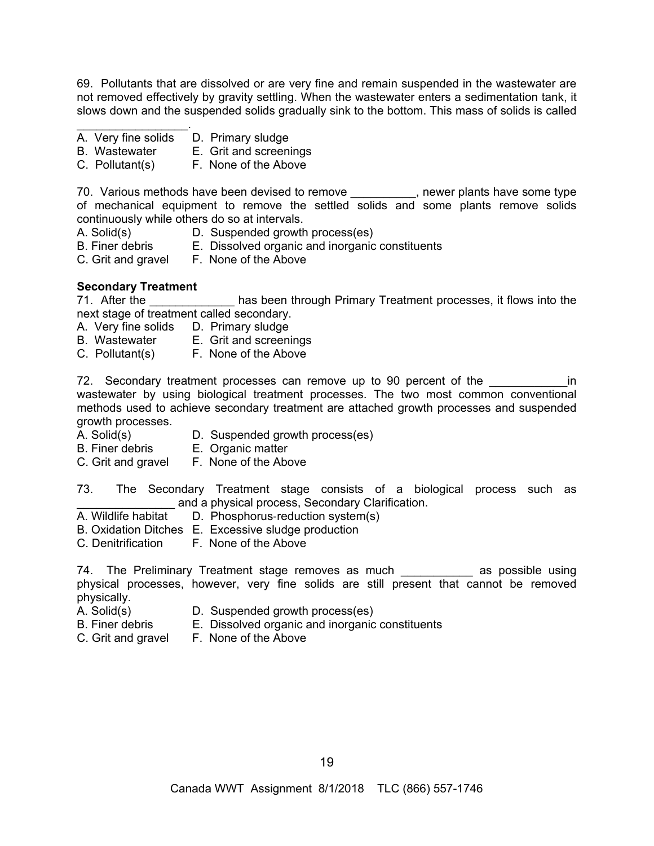69. Pollutants that are dissolved or are very fine and remain suspended in the wastewater are not removed effectively by gravity settling. When the wastewater enters a sedimentation tank, it slows down and the suspended solids gradually sink to the bottom. This mass of solids is called

- A. Very fine solids D. Primary sludge
- B. Wastewater E. Grit and screenings
- C. Pollutant(s)F. None of the Above

70. Various methods have been devised to remove \_\_\_\_\_\_\_\_\_\_, newer plants have some type of mechanical equipment to remove the settled solids and some plants remove solids continuously while others do so at intervals.

- A. Solid(s) D. Suspended growth process(es)
- B. Finer debris E. Dissolved organic and inorganic constituents
- C. Grit and gravelF. None of the Above

#### **Secondary Treatment**

 $\mathcal{L}=\{1,2,3,4,5\}$ 

71. After the **The Lands is a seam through Primary Treatment processes**, it flows into the next stage of treatment called secondary.

- A. Very fine solids D. Primary sludge
- B. Wastewater E. Grit and screenings
- C. Pollutant(s)F. None of the Above

72. Secondary treatment processes can remove up to 90 percent of the **constant of the** in wastewater by using biological treatment processes. The two most common conventional methods used to achieve secondary treatment are attached growth processes and suspended growth processes.

- A. Solid(s) D. Suspended growth process(es)
- B. Finer debris E. Organic matter
- C. Grit and gravelF. None of the Above
- 73. The Secondary Treatment stage consists of a biological process such as and a physical process, Secondary Clarification.
- A. Wildlife habitat D. Phosphorus-reduction system(s)
- B. Oxidation Ditches E. Excessive sludge production
- C. Denitrification F. None of the Above

74. The Preliminary Treatment stage removes as much \_\_\_\_\_\_\_\_\_\_\_ as possible using physical processes, however, very fine solids are still present that cannot be removed physically.

- 
- A. Solid(s) **D.** Suspended growth process(es)<br>B. Finer debris **E.** Dissolved organic and inorganic E. Dissolved organic and inorganic constituents
- C. Grit and gravelF. None of the Above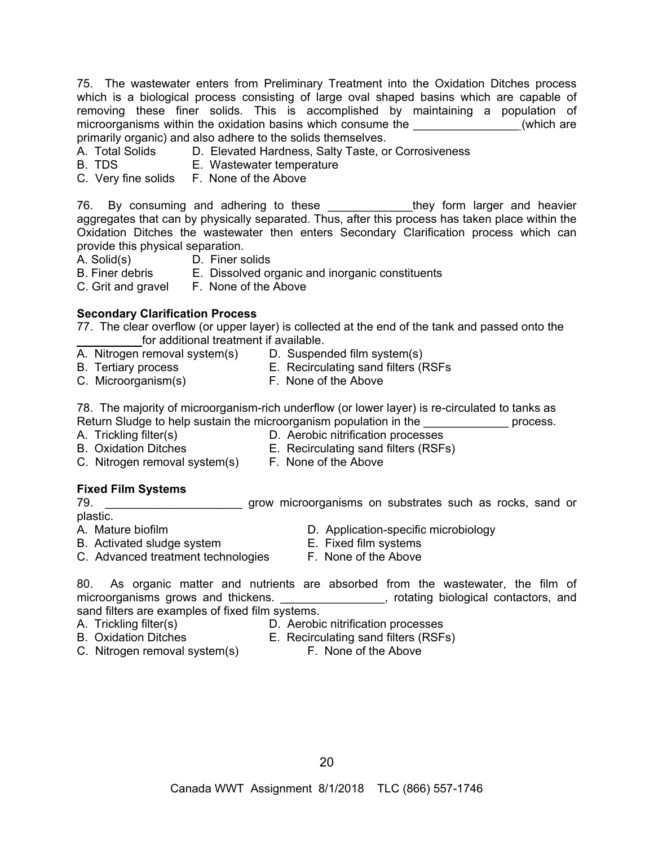75. The wastewater enters from Preliminary Treatment into the Oxidation Ditches process which is a biological process consisting of large oval shaped basins which are capable of removing these finer solids. This is accomplished by maintaining a population of microorganisms within the oxidation basins which consume the  $\sim$  (which are primarily organic) and also adhere to the solids themselves.

- A. Total Solids D. Elevated Hardness, Salty Taste, or Corrosiveness
- B. TDS E. Wastewater temperature
- C. Very fine solids F. None of the Above

76. By consuming and adhering to these they form larger and heavier aggregates that can by physically separated. Thus, after this process has taken place within the Oxidation Ditches the wastewater then enters Secondary Clarification process which can provide this physical separation.

- A. Solid(s) D. Finer solids
- B. Finer debris E. Dissolved organic and inorganic constituents

C. Grit and gravelF. None of the Above

## **Secondary Clarification Process**

77. The clear overflow (or upper layer) is collected at the end of the tank and passed onto the for additional treatment if available.

- A. Nitrogen removal system(s) D. Suspended film system(s)
	-
- 
- B. Tertiary process E. Recirculating sand filters (RSFs
- B. Tertiary process<br>
C. Microorganism(s) E. None of the Above<br>
F. None of the Above

78. The majority of microorganism-rich underflow (or lower layer) is re-circulated to tanks as Return Sludge to help sustain the microorganism population in the **with the state of process**.

- 
- A. Trickling filter(s)  $D.$  Aerobic nitrification processes
- B. Oxidation Ditches E. Recirculating sand filters (RSFs)
- C. Nitrogen removal system(s) F. None of the Above

## **Fixed Film Systems**

79. \_\_\_\_\_\_\_\_\_\_\_\_\_\_\_\_\_\_\_\_\_ grow microorganisms on substrates such as rocks, sand or plastic.

- -
- B. Activated sludge system **E. Fixed film systems** C. Advanced treatment technologies F. None of the Above
- A. Mature biofilm D. Application-specific microbiology
	-
- 
- 

80. As organic matter and nutrients are absorbed from the wastewater, the film of microorganisms grows and thickens. \_\_\_\_\_\_\_\_\_\_\_\_\_\_\_\_, rotating biological contactors, and sand filters are examples of fixed film systems.

A. Trickling filter(s) D. Aerobic nitrification processes

- B. Oxidation Ditches E. Recirculating sand filters (RSFs)
- C. Nitrogen removal system(s) F. None of the Above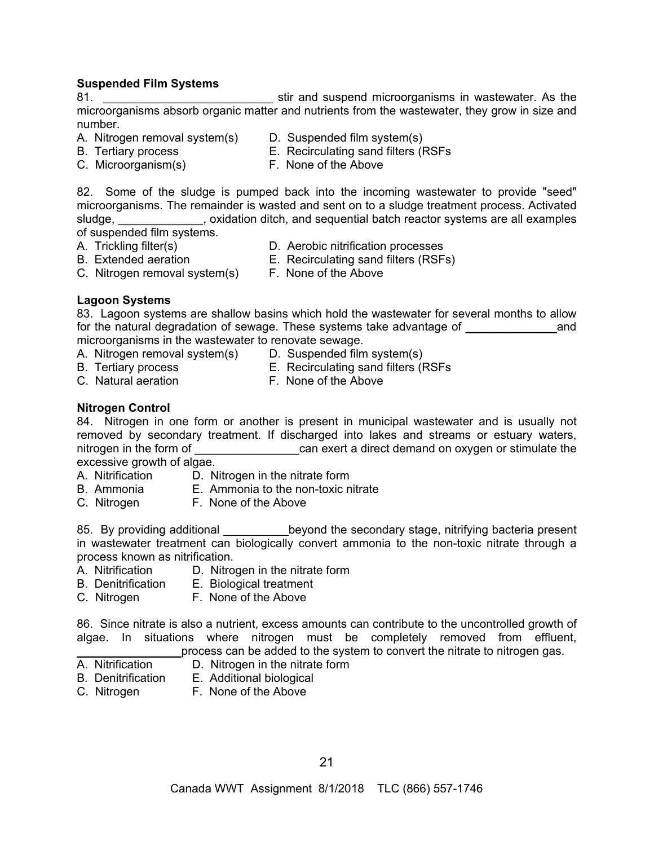## **Suspended Film Systems**

81. **But any stir and suspend microorganisms in wastewater.** As the microorganisms absorb organic matter and nutrients from the wastewater, they grow in size and number.

- A. Nitrogen removal system(s) D. Suspended film system(s)
	-
- 
- B. Tertiary process E. Recirculating sand filters (RSFs
- C. Microorganism(s) F. None of the Above

82. Some of the sludge is pumped back into the incoming wastewater to provide "seed" microorganisms. The remainder is wasted and sent on to a sludge treatment process. Activated sludge, subseteed boxidation ditch, and sequential batch reactor systems are all examples of suspended film systems.

- 
- A. Trickling filter(s) D. Aerobic nitrification processes
- B. Extended aeration E. Recirculating sand filters (RSFs)
- C. Nitrogen removal system(s) F. None of the Above
- 

## **Lagoon Systems**

83. Lagoon systems are shallow basins which hold the wastewater for several months to allow for the natural degradation of sewage. These systems take advantage of  $\Box$ microorganisms in the wastewater to renovate sewage.

- A. Nitrogen removal system(s) D. Suspended film system(s)
	-
- 
- B. Tertiary process E. Recirculating sand filters (RSFs
- C. Natural aeration **F. None of the Above** 
	-

## **Nitrogen Control**

84. Nitrogen in one form or another is present in municipal wastewater and is usually not removed by secondary treatment. If discharged into lakes and streams or estuary waters, nitrogen in the form of each can exert a direct demand on oxygen or stimulate the excessive growth of algae.

- A. Nitrification D. Nitrogen in the nitrate form
- B. Ammonia E. Ammonia to the non-toxic nitrate
- C. Nitrogen F. None of the Above

85. By providing additional beyond the secondary stage, nitrifying bacteria present in wastewater treatment can biologically convert ammonia to the non-toxic nitrate through a process known as nitrification.

- A. Nitrification D. Nitrogen in the nitrate form
- B. Denitrification E. Biological treatment
- C. Nitrogen F. None of the Above

86. Since nitrate is also a nutrient, excess amounts can contribute to the uncontrolled growth of algae. In situations where nitrogen must be completely removed from effluent, process can be added to the system to convert the nitrate to nitrogen gas.

- A. Nitrification D. Nitrogen in the nitrate form
- B. Denitrification E. Additional biological
- C. Nitrogen F. None of the Above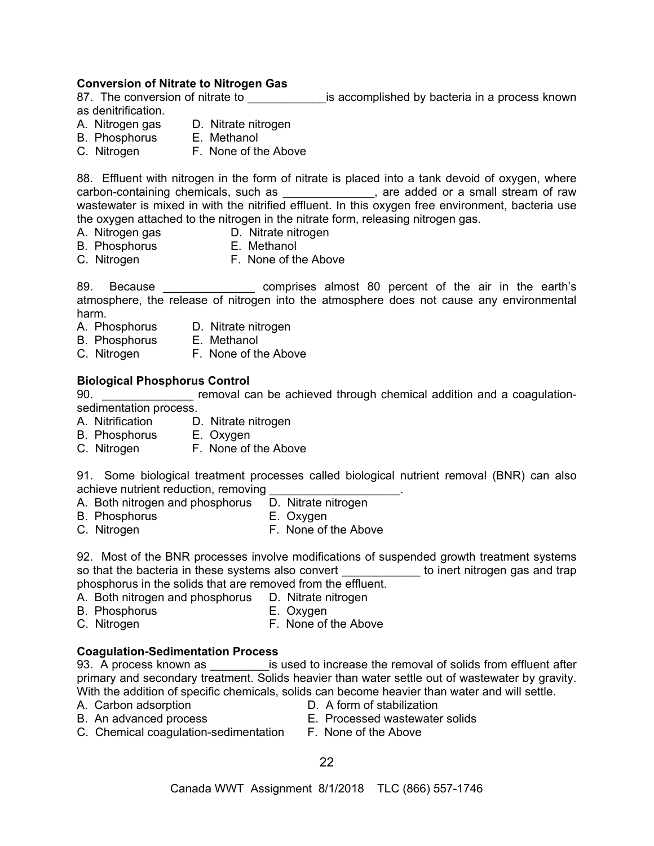**Conversion of Nitrate to Nitrogen Gas**  is accomplished by bacteria in a process known as denitrification.

- A. Nitrogen gas D. Nitrate nitrogen
- B. Phosphorus E. Methanol
- C. Nitrogen F. None of the Above

88. Effluent with nitrogen in the form of nitrate is placed into a tank devoid of oxygen, where carbon-containing chemicals, such as \_\_\_\_\_\_\_\_\_\_\_\_\_\_, are added or a small stream of raw wastewater is mixed in with the nitrified effluent. In this oxygen free environment, bacteria use the oxygen attached to the nitrogen in the nitrate form, releasing nitrogen gas.

- 
- A. Nitrogen gas D. Nitrate nitrogen
- B. Phosphorus E. Methanol
- C. Nitrogen F. None of the Above
- 

89. Because \_\_\_\_\_\_\_\_\_\_\_\_\_\_\_\_\_ comprises almost 80 percent of the air in the earth's atmosphere, the release of nitrogen into the atmosphere does not cause any environmental harm.

- A. Phosphorus D. Nitrate nitrogen
- B. Phosphorus E. Methanol
- C. Nitrogen F. None of the Above

#### **Biological Phosphorus Control**

90. \_\_\_\_\_\_\_\_\_\_\_\_\_\_ removal can be achieved through chemical addition and a coagulationsedimentation process.

- A. Nitrification D. Nitrate nitrogen
- B. Phosphorus E. Oxygen
- C. Nitrogen F. None of the Above

91. Some biological treatment processes called biological nutrient removal (BNR) can also achieve nutrient reduction, removing <br>A. Both nitrogen and phosphorus D. Nitrate nitrogen

- A. Both nitrogen and phosphorus
- B. Phosphorus **E. Oxygen**
- C. Nitrogen F. None of the Above

92. Most of the BNR processes involve modifications of suspended growth treatment systems so that the bacteria in these systems also convert example to inert nitrogen gas and trap phosphorus in the solids that are removed from the effluent.

- A. Both nitrogen and phosphorus D. Nitrate nitrogen
- B. Phosphorus E. Oxygen
- C. Nitrogen **F. None of the Above**

#### **Coagulation-Sedimentation Process**

93. A process known as **Example 1** is used to increase the removal of solids from effluent after primary and secondary treatment. Solids heavier than water settle out of wastewater by gravity. With the addition of specific chemicals, solids can become heavier than water and will settle.

- 
- A. Carbon adsorption **D.** A form of stabilization
- B. An advanced process E. Processed wastewater solids
	-
- C. Chemical coagulation-sedimentation F. None of the Above
	- 22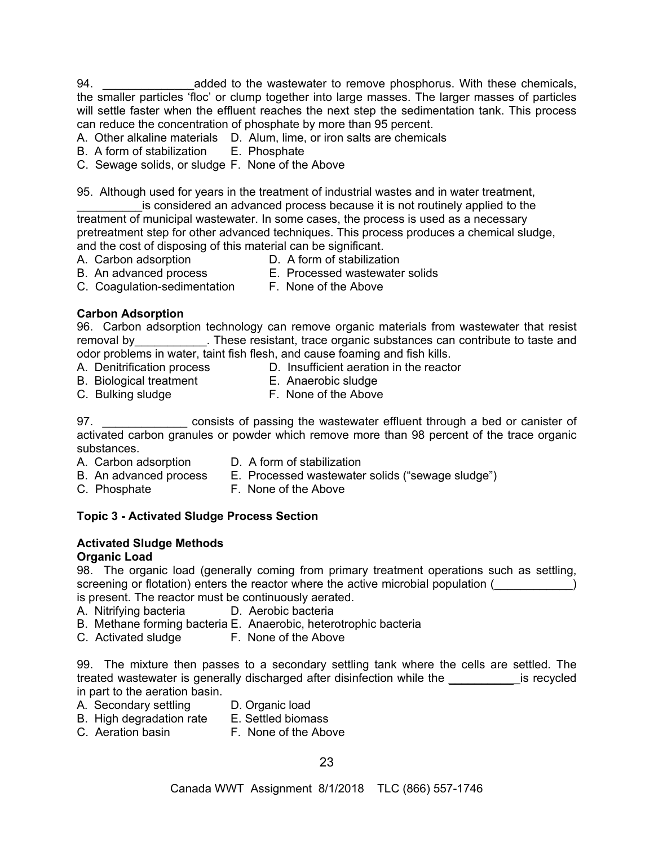94. \_\_\_\_\_\_\_\_\_\_\_\_\_\_\_\_\_\_\_\_added to the wastewater to remove phosphorus. With these chemicals, the smaller particles 'floc' or clump together into large masses. The larger masses of particles will settle faster when the effluent reaches the next step the sedimentation tank. This process can reduce the concentration of phosphate by more than 95 percent.

- A. Other alkaline materials D. Alum, lime, or iron salts are chemicals
- B. A form of stabilization E. Phosphate
- C. Sewage solids, or sludge F. None of the Above

95. Although used for years in the treatment of industrial wastes and in water treatment,

is considered an advanced process because it is not routinely applied to the treatment of municipal wastewater. In some cases, the process is used as a necessary pretreatment step for other advanced techniques. This process produces a chemical sludge, and the cost of disposing of this material can be significant.

- 
- A. Carbon adsorption **D.** A form of stabilization
- 
- B. An advanced process E. Processed wastewater solids
- C. Coagulation-sedimentation F. None of the Above
	-

## **Carbon Adsorption**

96. Carbon adsorption technology can remove organic materials from wastewater that resist removal by\_\_\_\_\_\_\_\_\_\_\_\_. These resistant, trace organic substances can contribute to taste and odor problems in water, taint fish flesh, and cause foaming and fish kills.

- A. Denitrification process D. Insufficient aeration in the reactor
- B. Biological treatment E. Anaerobic sludge
- C. Bulking sludge **F. None of the Above**
- 97. **Example 20** consists of passing the wastewater effluent through a bed or canister of activated carbon granules or powder which remove more than 98 percent of the trace organic substances.
- 
- A. Carbon adsorption D. A form of stabilization
- B. An advanced process E. Processed wastewater solids ("sewage sludge")
	-
- 
- C. Phosphate F. None of the Above

## **Topic 3 - Activated Sludge Process Section**

# **Activated Sludge Methods**

## **Organic Load**

98. The organic load (generally coming from primary treatment operations such as settling, screening or flotation) enters the reactor where the active microbial population ( is present. The reactor must be continuously aerated.

- A. Nitrifying bacteria D. Aerobic bacteria
- 
- B. Methane forming bacteria E. Anaerobic, heterotrophic bacteria
- C. Activated sludge F. None of the Above

99. The mixture then passes to a secondary settling tank where the cells are settled. The treated wastewater is generally discharged after disinfection while the strategies is recycled in part to the aeration basin.

- A. Secondary settling D. Organic load
- B. High degradation rate E. Settled biomass
- C. Aeration basin **F. None of the Above**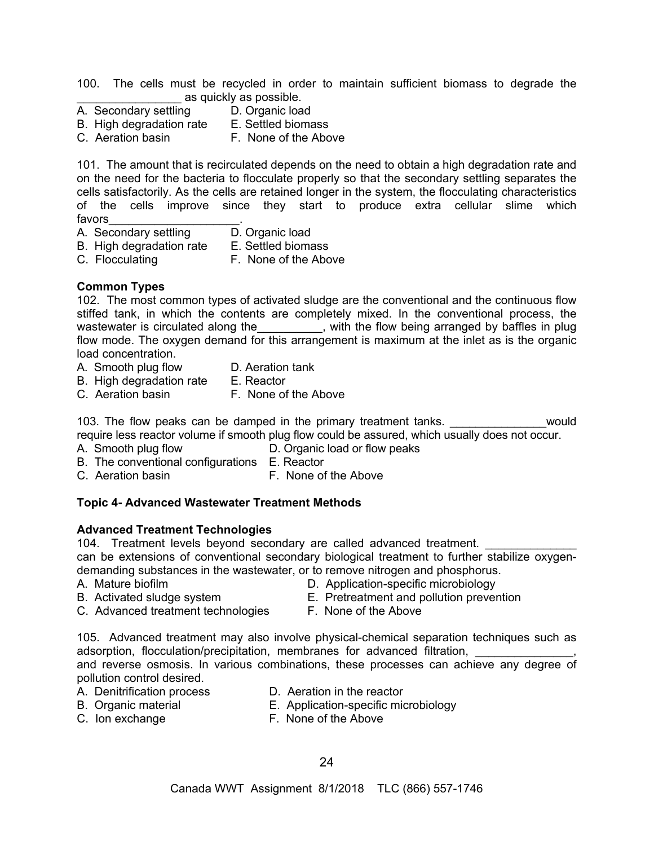100. The cells must be recycled in order to maintain sufficient biomass to degrade the as quickly as possible.

- A. Secondary settling in D. Organic load<br>
B. High degradation rate E. Settled biomass
	-
- B. High degradation rate
- C. Aeration basin F. None of the Above

101. The amount that is recirculated depends on the need to obtain a high degradation rate and on the need for the bacteria to flocculate properly so that the secondary settling separates the cells satisfactorily. As the cells are retained longer in the system, the flocculating characteristics of the cells improve since they start to produce extra cellular slime which favors\_\_\_\_\_\_\_\_\_\_\_\_\_\_\_\_\_\_\_\_.

- A. Secondary settling
- B. High degradation rate E. Settled biomass
- C. Flocculating F. None of the Above
- **Common Types**

102. The most common types of activated sludge are the conventional and the continuous flow stiffed tank, in which the contents are completely mixed. In the conventional process, the wastewater is circulated along the\_\_\_\_\_\_\_\_\_, with the flow being arranged by baffles in plug flow mode. The oxygen demand for this arrangement is maximum at the inlet as is the organic load concentration.

- A. Smooth plug flow D. Aeration tank
	-
- B. High degradation rate E. Reactor
- C. Aeration basin F. None of the Above

103. The flow peaks can be damped in the primary treatment tanks. \_\_\_\_\_\_\_\_\_\_\_\_\_\_\_ would

require less reactor volume if smooth plug flow could be assured, which usually does not occur.

- A. Smooth plug flow D. Organic load or flow peaks
	-
- B. The conventional configurations E. Reactor C. Aeration basin F. None of the Above

## **Topic 4- Advanced Wastewater Treatment Methods**

#### **Advanced Treatment Technologies**

104. Treatment levels beyond secondary are called advanced treatment.

can be extensions of conventional secondary biological treatment to further stabilize oxygendemanding substances in the wastewater, or to remove nitrogen and phosphorus.

- 
- A. Mature biofilm D. Application-specific microbiology
- B. Activated sludge system E. Pretreatment and pollution prevention
- C. Advanced treatment technologies F. None of the Above
- 

105. Advanced treatment may also involve physical-chemical separation techniques such as adsorption, flocculation/precipitation, membranes for advanced filtration,

and reverse osmosis. In various combinations, these processes can achieve any degree of pollution control desired.

- 
- A. Denitrification process D. Aeration in the reactor
- 
- B. Organic material E. Application-specific microbiology
- 
- C. Ion exchange F. None of the Above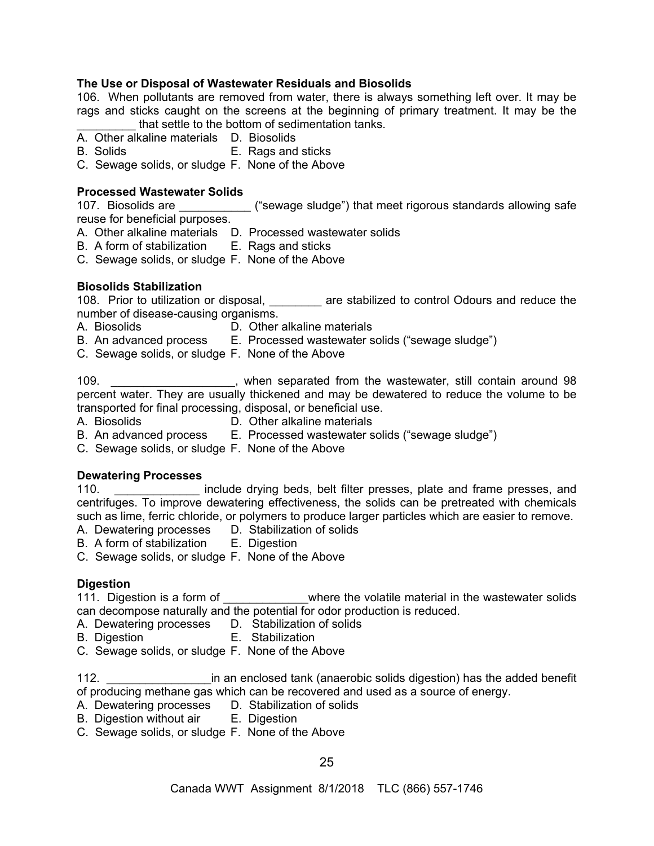## **The Use or Disposal of Wastewater Residuals and Biosolids**

106. When pollutants are removed from water, there is always something left over. It may be rags and sticks caught on the screens at the beginning of primary treatment. It may be the that settle to the bottom of sedimentation tanks.

- A. Other alkaline materials D. Biosolids
- B. Solids E. Rags and sticks
- C. Sewage solids, or sludge F. None of the Above

## **Processed Wastewater Solids**

107. Biosolids are **the sum and interest ("sewage sludge")** that meet rigorous standards allowing safe reuse for beneficial purposes.

- A. Other alkaline materials D. Processed wastewater solids
- B. A form of stabilization E. Rags and sticks
- C. Sewage solids, or sludge F. None of the Above

## **Biosolids Stabilization**

108. Prior to utilization or disposal, **the stabilized to control Odours and reduce the** number of disease-causing organisms.

- A. Biosolids D. Other alkaline materials
- B. An advanced process E. Processed wastewater solids ("sewage sludge")
- C. Sewage solids, or sludge F. None of the Above

109. \_\_\_\_\_\_\_\_\_\_\_\_\_\_\_\_\_\_\_, when separated from the wastewater, still contain around 98 percent water. They are usually thickened and may be dewatered to reduce the volume to be transported for final processing, disposal, or beneficial use.

- A. Biosolids D. Other alkaline materials
- B. An advanced process E. Processed wastewater solids ("sewage sludge")
- C. Sewage solids, or sludge F. None of the Above

## **Dewatering Processes**

110. \_\_\_\_\_\_\_\_\_\_\_\_\_ include drying beds, belt filter presses, plate and frame presses, and centrifuges. To improve dewatering effectiveness, the solids can be pretreated with chemicals such as lime, ferric chloride, or polymers to produce larger particles which are easier to remove.

- A. Dewatering processes D. Stabilization of solids
- B. A form of stabilization E. Digestion
- C. Sewage solids, or sludge F. None of the Above

## **Digestion**

111. Digestion is a form of \_\_\_\_\_\_\_\_\_\_\_\_\_\_where the volatile material in the wastewater solids can decompose naturally and the potential for odor production is reduced.

- A. Dewatering processes D. Stabilization of solids
- B. Digestion E. Stabilization
- C. Sewage solids, or sludge F. None of the Above

112. \_\_\_\_\_\_\_\_\_\_\_\_\_\_\_\_in an enclosed tank (anaerobic solids digestion) has the added benefit of producing methane gas which can be recovered and used as a source of energy.

- A. Dewatering processes D. Stabilization of solids
- B. Digestion without air **E. Digestion**
- C. Sewage solids, or sludge F. None of the Above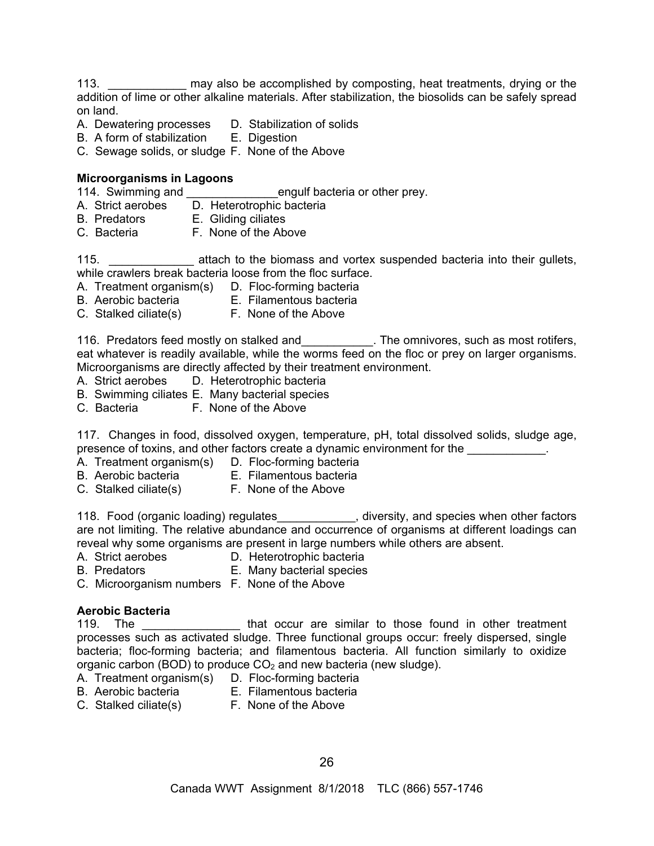113. \_\_\_\_\_\_\_\_\_\_\_\_ may also be accomplished by composting, heat treatments, drying or the addition of lime or other alkaline materials. After stabilization, the biosolids can be safely spread on land.

- A. Dewatering processes D. Stabilization of solids
- B. A form of stabilization E. Digestion
- C. Sewage solids, or sludge F. None of the Above

## **Microorganisms in Lagoons**

114. Swimming and \_\_\_\_\_\_\_\_\_\_\_\_\_\_\_\_\_engulf bacteria or other prey.

- A. Strict aerobes D. Heterotrophic bacteria
- B. Predators E. Gliding ciliates<br>C. Bacteria F. None of the Ab
- F. None of the Above

115. \_\_\_\_\_\_\_\_\_\_\_\_\_\_\_\_\_ attach to the biomass and vortex suspended bacteria into their gullets, while crawlers break bacteria loose from the floc surface.

- A. Treatment organism(s) D. Floc-forming bacteria
- B. Aerobic bacteria E. Filamentous bacteria
- C. Stalked ciliate(s) F. None of the Above

116. Predators feed mostly on stalked and The omnivores, such as most rotifers, eat whatever is readily available, while the worms feed on the floc or prey on larger organisms. Microorganisms are directly affected by their treatment environment.

- A. Strict aerobes D. Heterotrophic bacteria
- B. Swimming ciliates E. Many bacterial species
- C. Bacteria F. None of the Above

117. Changes in food, dissolved oxygen, temperature, pH, total dissolved solids, sludge age, presence of toxins, and other factors create a dynamic environment for the  $\blacksquare$ 

- A. Treatment organism(s) D. Floc-forming bacteria
- B. Aerobic bacteria E. Filamentous bacteria
	-
- C. Stalked ciliate(s) F. None of the Above

118. Food (organic loading) regulates\_\_\_\_\_\_\_\_\_\_\_\_, diversity, and species when other factors are not limiting. The relative abundance and occurrence of organisms at different loadings can reveal why some organisms are present in large numbers while others are absent.

- A. Strict aerobes D. Heterotrophic bacteria
- B. Predators E. Many bacterial species
- C. Microorganism numbers F. None of the Above

## **Aerobic Bacteria**

119. The **that occur** are similar to those found in other treatment processes such as activated sludge. Three functional groups occur: freely dispersed, single bacteria; floc-forming bacteria; and filamentous bacteria. All function similarly to oxidize organic carbon (BOD) to produce  $CO<sub>2</sub>$  and new bacteria (new sludge).

- A. Treatment organism(s) D. Floc-forming bacteria
- 
- B. Aerobic bacteria E. Filamentous bacteria
- C. Stalked ciliate(s) F. None of the Above
-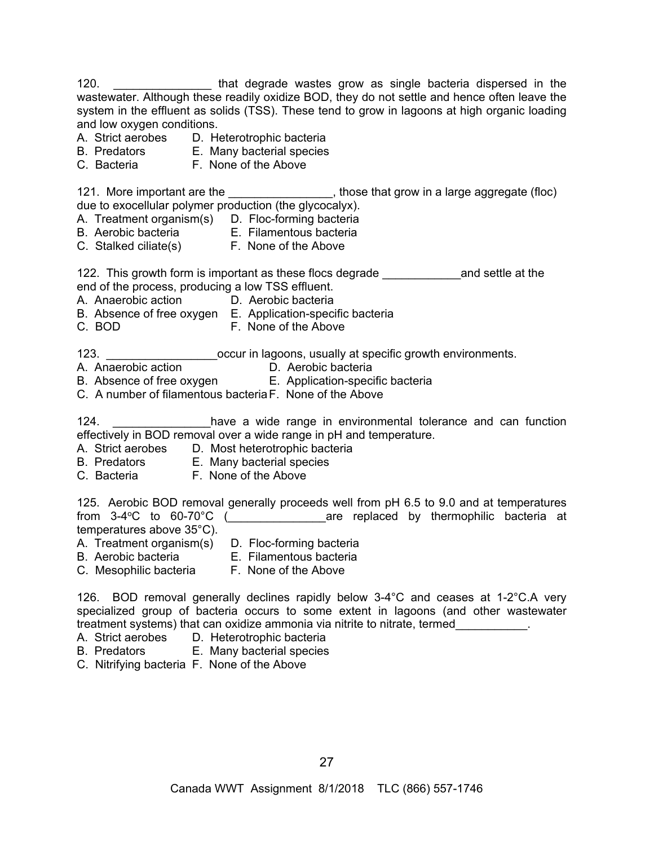120. \_\_\_\_\_\_\_\_\_\_\_\_\_\_\_ that degrade wastes grow as single bacteria dispersed in the wastewater. Although these readily oxidize BOD, they do not settle and hence often leave the system in the effluent as solids (TSS). These tend to grow in lagoons at high organic loading and low oxygen conditions.

- A. Strict aerobes D. Heterotrophic bacteria
- B. Predators E. Many bacterial species
- C. Bacteria F. None of the Above

121. More important are the \_\_\_\_\_\_\_\_\_\_\_\_\_\_\_\_, those that grow in a large aggregate (floc) due to exocellular polymer production (the glycocalyx).

- A. Treatment organism(s) D. Floc-forming bacteria
- B. Aerobic bacteria E. Filamentous bacteria
- C. Stalked ciliate(s) F. None of the Above

122. This growth form is important as these flocs degrade \_\_\_\_\_\_\_\_\_\_\_\_\_\_\_\_\_\_\_\_\_\_and settle at the end of the process, producing a low TSS effluent.

- A. Anaerobic action D. Aerobic bacteria
- B. Absence of free oxygen E. Application-specific bacteria
- C. BOD **F. None of the Above**

123. \_\_\_\_\_\_\_\_\_\_\_\_\_\_\_\_\_\_\_\_occur in lagoons, usually at specific growth environments.

- A. Anaerobic action **D. Aerobic bacteria**
- B. Absence of free oxygen **E. Application-specific bacteria**
- C. A number of filamentous bacteria F. None of the Above

124. **Example 2** have a wide range in environmental tolerance and can function effectively in BOD removal over a wide range in pH and temperature.

- A. Strict aerobes D. Most heterotrophic bacteria
- B. Predators E. Many bacterial species
- C. Bacteria F. None of the Above

125. Aerobic BOD removal generally proceeds well from pH 6.5 to 9.0 and at temperatures from  $3-4^{\circ}$ C to  $60-70^{\circ}$ C ( $\qquad \qquad$  are replaced by thermophilic bacteria at temperatures above 35°C).

- A. Treatment organism(s) D. Floc-forming bacteria
	-
- B. Aerobic bacteria E. Filamentous bacteria
- C. Mesophilic bacteria F. None of the Above

126. BOD removal generally declines rapidly below 3-4°C and ceases at 1-2°C.A very specialized group of bacteria occurs to some extent in lagoons (and other wastewater treatment systems) that can oxidize ammonia via nitrite to nitrate, termed

- A. Strict aerobes D. Heterotrophic bacteria
- B. Predators E. Many bacterial species
- C. Nitrifying bacteria F. None of the Above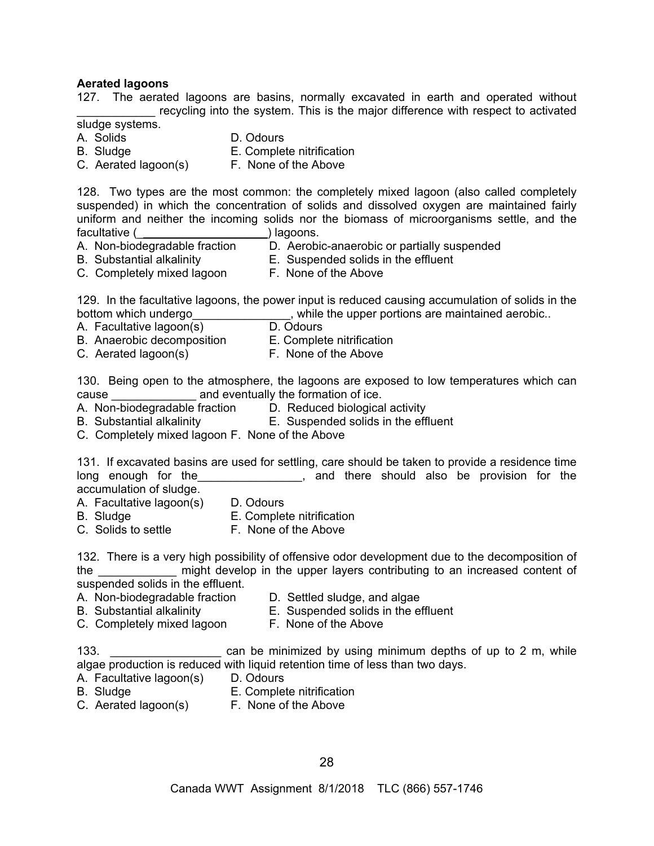#### **Aerated lagoons**

127. The aerated lagoons are basins, normally excavated in earth and operated without recycling into the system. This is the major difference with respect to activated

#### sludge systems.

- A. Solids D. Odours
- B. Sludge E. Complete nitrification
- C. Aerated lagoon(s) F. None of the Above

128. Two types are the most common: the completely mixed lagoon (also called completely suspended) in which the concentration of solids and dissolved oxygen are maintained fairly uniform and neither the incoming solids nor the biomass of microorganisms settle, and the facultative (\_\_\_\_\_\_\_\_\_\_\_\_\_\_\_\_\_\_\_\_) lagoons.

- A. Non-biodegradable fraction D. Aerobic-anaerobic or partially suspended
- B. Substantial alkalinity E. Suspended solids in the effluent
- C. Completely mixed lagoon F. None of the Above

129. In the facultative lagoons, the power input is reduced causing accumulation of solids in the bottom which undergo example the upper portions are maintained aerobic..

- A. Facultative lagoon(s) D. Odours
- B. Anaerobic decomposition E. Complete nitrification
- C. Aerated lagoon(s) F. None of the Above

130. Being open to the atmosphere, the lagoons are exposed to low temperatures which can cause **cause and eventually the formation of ice.** 

- A. Non-biodegradable fraction D. Reduced biological activity
- B. Substantial alkalinity E. Suspended solids in the effluent
- C. Completely mixed lagoon F. None of the Above

131. If excavated basins are used for settling, care should be taken to provide a residence time long enough for the **EXA CONCOCO**, and there should also be provision for the accumulation of sludge.

- A. Facultative lagoon(s) D. Odours
- 
- 
- 
- B. Sludge **E. Complete nitrification**<br>
C. Solids to settle **E. None of the Above** F. None of the Above

132. There is a very high possibility of offensive odor development due to the decomposition of the the might develop in the upper layers contributing to an increased content of suspended solids in the effluent.

- 
- A. Non-biodegradable fraction D. Settled sludge, and algae
- 
- 
- C. Completely mixed lagoon F. None of the Above
- B. Substantial alkalinity E. Suspended solids in the effluent
	-

133. \_\_\_\_\_\_\_\_\_\_\_\_\_\_\_\_\_ can be minimized by using minimum depths of up to 2 m, while algae production is reduced with liquid retention time of less than two days.

- A. Facultative lagoon(s) D. Odours
- 
- B. Sludge E. Complete nitrification
- C. Aerated lagoon(s) F. None of the Above
-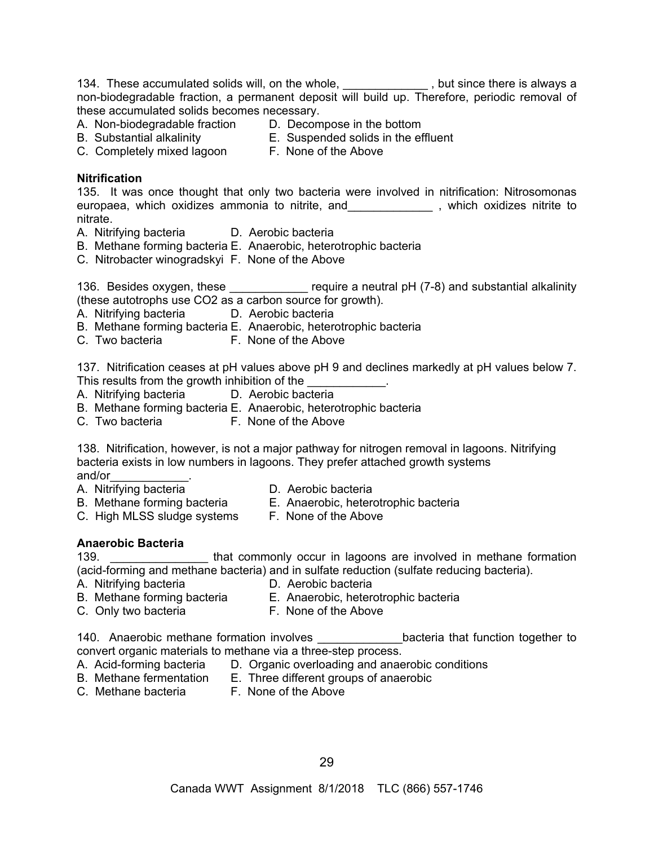134. These accumulated solids will, on the whole, **witch the manuation of the set of the set of the read of** always a non-biodegradable fraction, a permanent deposit will build up. Therefore, periodic removal of these accumulated solids becomes necessary.

- A. Non-biodegradable fraction D. Decompose in the bottom
- 
- B. Substantial alkalinity E. Suspended solids in the effluent
	-
- C. Completely mixed lagoon F. None of the Above

#### **Nitrification**

135. It was once thought that only two bacteria were involved in nitrification: Nitrosomonas europaea, which oxidizes ammonia to nitrite, and\_\_\_\_\_\_\_\_\_\_\_\_\_ , which oxidizes nitrite to nitrate.

- A. Nitrifying bacteria D. Aerobic bacteria
- B. Methane forming bacteria E. Anaerobic, heterotrophic bacteria
- C. Nitrobacter winogradskyi F. None of the Above

136. Besides oxygen, these \_\_\_\_\_\_\_\_\_\_\_\_\_ require a neutral pH (7-8) and substantial alkalinity (these autotrophs use CO2 as a carbon source for growth).

- A. Nitrifying bacteria D. Aerobic bacteria
- B. Methane forming bacteria E. Anaerobic, heterotrophic bacteria
- C. Two bacteria **F. None of the Above**

137. Nitrification ceases at pH values above pH 9 and declines markedly at pH values below 7. This results from the growth inhibition of the

- A. Nitrifying bacteria D. Aerobic bacteria
- B. Methane forming bacteria E. Anaerobic, heterotrophic bacteria
- C. Two bacteria **F. None of the Above**

138. Nitrification, however, is not a major pathway for nitrogen removal in lagoons. Nitrifying bacteria exists in low numbers in lagoons. They prefer attached growth systems and/or\_\_\_\_\_\_\_\_\_\_\_\_\_.

- A. Nitrifying bacteria **Calculatist Contracts** D. Aerobic bacteria
	-
- B. Methane forming bacteria E. Anaerobic, heterotrophic bacteria
- C. High MLSS sludge systems F. None of the Above
- 

## **Anaerobic Bacteria**

139. **Example 139.** That commonly occur in lagoons are involved in methane formation (acid-forming and methane bacteria) and in sulfate reduction (sulfate reducing bacteria).

- A. Nitrifying bacteria **D.** Aerobic bacteria
- B. Methane forming bacteria E. Anaerobic, heterotrophic bacteria
- 
- C. Only two bacteria **F. None of the Above**

140. Anaerobic methane formation involves **bacteria** that function together to convert organic materials to methane via a three-step process.

- A. Acid-forming bacteria D. Organic overloading and anaerobic conditions
- B. Methane fermentation E. Three different groups of anaerobic
- 
- C. Methane bacteria F. None of the Above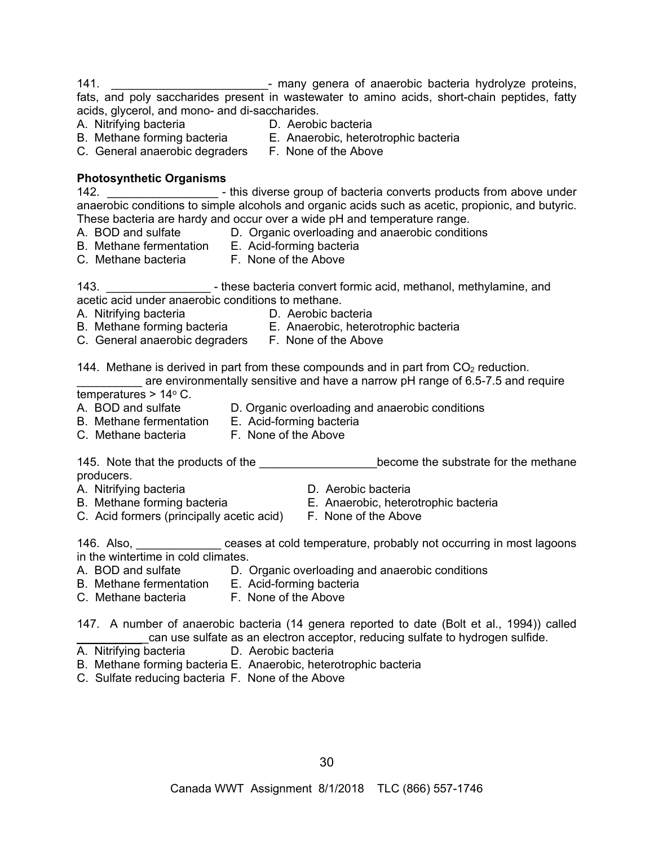141. \_\_\_\_\_\_\_\_\_\_\_\_\_\_\_\_\_\_\_\_\_\_\_\_- many genera of anaerobic bacteria hydrolyze proteins, fats, and poly saccharides present in wastewater to amino acids, short-chain peptides, fatty acids, glycerol, and mono- and di-saccharides.<br>A. Nitrifying bacteria **bully by D.** Aerobi

- A. Nitrifying bacteria D. Aerobic bacteria
- 
- B. Methane forming bacteria E. Anaerobic, heterotrophic bacteria
	-
- C. General anaerobic degraders F. None of the Above

#### **Photosynthetic Organisms**

142. \_\_\_\_\_\_\_\_\_\_\_\_\_\_\_\_\_ - this diverse group of bacteria converts products from above under anaerobic conditions to simple alcohols and organic acids such as acetic, propionic, and butyric. These bacteria are hardy and occur over a wide pH and temperature range.

- 
- A. BOD and sulfate D. Organic overloading and anaerobic conditions
- B. Methane fermentation E. Acid-forming bacteria
- C. Methane bacteria F. None of the Above
- 143. \_\_\_\_\_\_\_\_\_\_\_\_\_\_\_\_ these bacteria convert formic acid, methanol, methylamine, and

acetic acid under anaerobic conditions to methane.

- A. Nitrifying bacteria **D.** Aerobic bacteria
- B. Methane forming bacteria E. Anaerobic, heterotrophic bacteria
- C. General anaerobic degraders F. None of the Above

144. Methane is derived in part from these compounds and in part from  $CO<sub>2</sub>$  reduction.

are environmentally sensitive and have a narrow pH range of 6.5-7.5 and require temperatures  $> 14^{\circ}$  C.

- 
- A. BOD and sulfate D. Organic overloading and anaerobic conditions
- B. Methane fermentation E. Acid-forming bacteria<br>C. Methane bacteria F. None of the Above C. Methane bacteria
	-

145. Note that the products of the \_\_\_\_\_\_\_\_\_\_\_\_\_\_\_\_\_\_\_\_\_\_become the substrate for the methane producers.

- 
- A. Nitrifying bacteria **D. Aerobic bacteria**
- B. Methane forming bacteria **E. Anaerobic, heterotrophic bacteria**
- C. Acid formers (principally acetic acid) F. None of the Above
- 

146. Also, \_\_\_\_\_\_\_\_\_\_\_\_\_ ceases at cold temperature, probably not occurring in most lagoons in the wintertime in cold climates.

- 
- A. BOD and sulfate D. Organic overloading and anaerobic conditions
- B. Methane fermentation E. Acid-forming bacteria
- C. Methane bacteria F. None of the Above

147. A number of anaerobic bacteria (14 genera reported to date (Bolt et al., 1994)) called can use sulfate as an electron acceptor, reducing sulfate to hydrogen sulfide.

- A. Nitrifying bacteria D. Aerobic bacteria
- B. Methane forming bacteria E. Anaerobic, heterotrophic bacteria
- C. Sulfate reducing bacteria F. None of the Above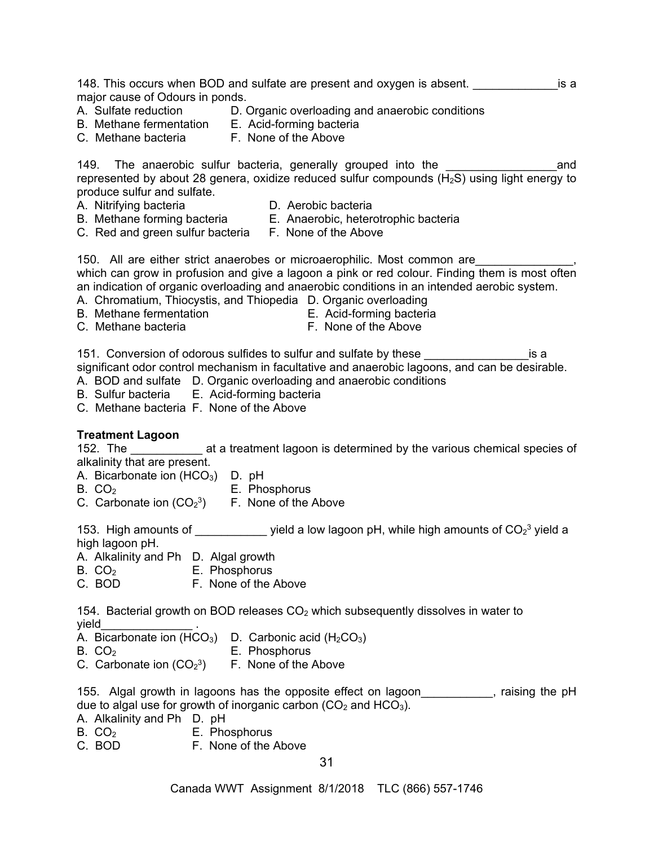148. This occurs when BOD and sulfate are present and oxygen is absent.  $\blacksquare$ major cause of Odours in ponds.

- A. Sulfate reduction D. Organic overloading and anaerobic conditions
- B. Methane fermentation E. Acid-forming bacteria
- 
- C. Methane bacteria F. None of the Above

149. The anaerobic sulfur bacteria, generally grouped into the the the sand represented by about 28 genera, oxidize reduced sulfur compounds  $(H_2S)$  using light energy to produce sulfur and sulfate.

- A. Nitrifying bacteria **Calculatis Contracts** D. Aerobic bacteria
	-
- B. Methane forming bacteria E. Anaerobic, heterotrophic bacteria
- C. Red and green sulfur bacteria F. None of the Above

150. All are either strict anaerobes or microaerophilic. Most common are\_\_\_\_\_\_\_\_\_\_\_\_\_\_\_, which can grow in profusion and give a lagoon a pink or red colour. Finding them is most often an indication of organic overloading and anaerobic conditions in an intended aerobic system.

- A. Chromatium, Thiocystis, and Thiopedia D. Organic overloading
- B. Methane fermentation E. Acid-forming bacteria
- 
- C. Methane bacteria **F. None of the Above**

151. Conversion of odorous sulfides to sulfur and sulfate by these **with an allocate in the set of the set of** sa significant odor control mechanism in facultative and anaerobic lagoons, and can be desirable. A. BOD and sulfate D. Organic overloading and anaerobic conditions

- B. Sulfur bacteria E. Acid-forming bacteria
- C. Methane bacteria F. None of the Above

## **Treatment Lagoon**

152. The all a treatment lagoon is determined by the various chemical species of alkalinity that are present.

- A. Bicarbonate ion  $(HCO<sub>3</sub>)$  D. pH
- B. CO<sub>2</sub> E. Phosphorus
- C. Carbonate ion  $(CO<sub>2</sub><sup>3</sup>)$  F. None of the Above

153. High amounts of  $\frac{1}{\sqrt{1-\frac{1}{2}}\sqrt{1-\frac{1}{2}}\sqrt{1-\frac{1}{2}}\sqrt{1-\frac{1}{2}}\sqrt{1-\frac{1}{2}}\sqrt{1-\frac{1}{2}}\sqrt{1-\frac{1}{2}}\sqrt{1-\frac{1}{2}}\sqrt{1-\frac{1}{2}}\sqrt{1-\frac{1}{2}}\sqrt{1-\frac{1}{2}}\sqrt{1-\frac{1}{2}}\sqrt{1-\frac{1}{2}}\sqrt{1-\frac{1}{2}}\sqrt{1-\frac{1}{2}}\sqrt{1-\frac{1}{2}}\sqrt{1-\frac{1}{2}}\sqrt{1-\frac{$ high lagoon pH.

- A. Alkalinity and Ph D. Algal growth
- B. CO<sub>2</sub> E. Phosphorus
- C. BOD F. None of the Above

154. Bacterial growth on BOD releases  $CO<sub>2</sub>$  which subsequently dissolves in water to yield\_\_\_\_\_\_\_\_\_\_\_\_\_\_ .

A. Bicarbonate ion  $(HCO<sub>3</sub>)$  D. Carbonic acid  $(H<sub>2</sub>CO<sub>3</sub>)$ 

- B. CO<sub>2</sub> E. Phosphorus
- C. Carbonate ion  $(CO<sub>2</sub><sup>3</sup>)$  F. None of the Above

155. Algal growth in lagoons has the opposite effect on lagoon\_\_\_\_\_\_\_\_\_\_\_, raising the pH due to algal use for growth of inorganic carbon  $(CO<sub>2</sub>$  and  $HCO<sub>3</sub>)$ .

- A. Alkalinity and Ph D. pH
- $B. CO<sub>2</sub>$  E. Phosphorus<br>C. BOD F. None of the *i*
- F. None of the Above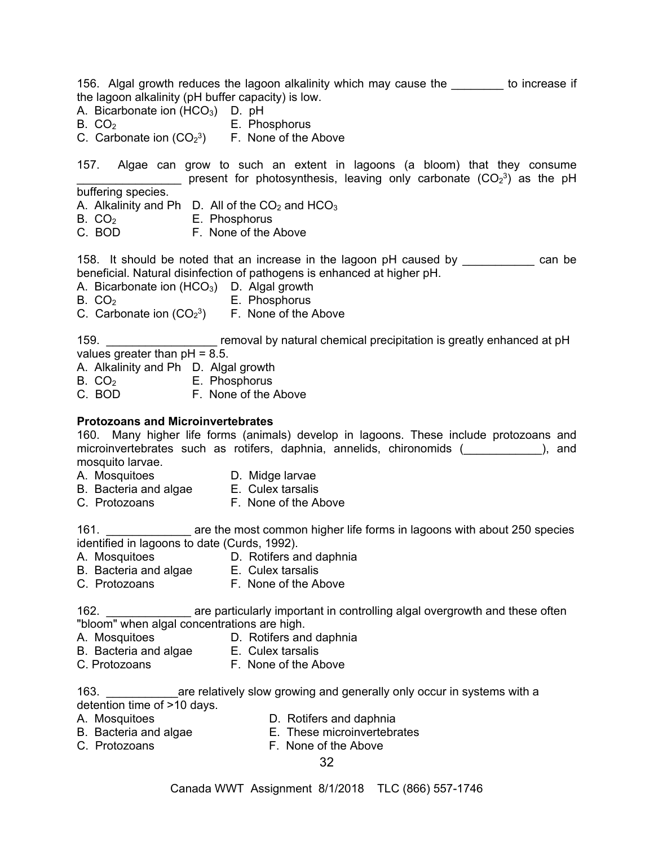156. Algal growth reduces the lagoon alkalinity which may cause the \_\_\_\_\_\_\_\_ to increase if the lagoon alkalinity (pH buffer capacity) is low.

A. Bicarbonate ion  $(HCO<sub>3</sub>)$  D. pH

- B. CO<sub>2</sub> E. Phosphorus
- C. Carbonate ion  $(CO<sub>2</sub><sup>3</sup>)$  F. None of the Above

157. Algae can grow to such an extent in lagoons (a bloom) that they consume **EXECUTE:** present for photosynthesis, leaving only carbonate  $(CO_2^3)$  as the pH buffering species.

- A. Alkalinity and Ph D. All of the  $CO<sub>2</sub>$  and  $HCO<sub>3</sub>$
- B. CO<sub>2</sub> E. Phosphorus
- C. BOD F. None of the Above

158. It should be noted that an increase in the lagoon pH caused by ean be beneficial. Natural disinfection of pathogens is enhanced at higher pH.

- A. Bicarbonate ion  $(HCO<sub>3</sub>)$  D. Algal growth
- 
- $B. CO<sub>2</sub>$  E. Phosphorus C. Carbonate ion  $(CO<sub>2</sub><sup>3</sup>)$  F. None of the Above

159. \_\_\_\_\_\_\_\_\_\_\_\_\_\_\_\_\_ removal by natural chemical precipitation is greatly enhanced at pH values greater than  $pH = 8.5$ .

- A. Alkalinity and Ph D. Algal growth
- B. CO<sub>2</sub> E. Phosphorus
- C. BOD F. None of the Above

## **Protozoans and Microinvertebrates**

160. Many higher life forms (animals) develop in lagoons. These include protozoans and microinvertebrates such as rotifers, daphnia, annelids, chironomids (  $\qquad \qquad$  ), and mosquito larvae.

- A. Mosquitoes D. Midge larvae
	-
- B. Bacteria and algae E. Culex tarsalis
- C. Protozoans F. None of the Above

161. \_\_\_\_\_\_\_\_\_\_\_\_\_\_\_\_ are the most common higher life forms in lagoons with about 250 species identified in lagoons to date (Curds, 1992).

- A. Mosquitoes D. Rotifers and daphnia
- B. Bacteria and algae E. Culex tarsalis
- C. Protozoans F. None of the Above

162. \_\_\_\_\_\_\_\_\_\_\_\_\_\_\_ are particularly important in controlling algal overgrowth and these often "bloom" when algal concentrations are high.

- A. Mosquitoes D. Rotifers and daphnia
- B. Bacteria and algae E. Culex tarsalis
- C. Protozoans F. None of the Above

163. \_\_\_\_\_\_\_\_\_\_\_are relatively slow growing and generally only occur in systems with a detention time of >10 days.

- 
- A. Mosquitoes **D. Rotifers and daphnia**
- B. Bacteria and algae E. These microinvertebrates
- C. Protozoans **F. None of the Above**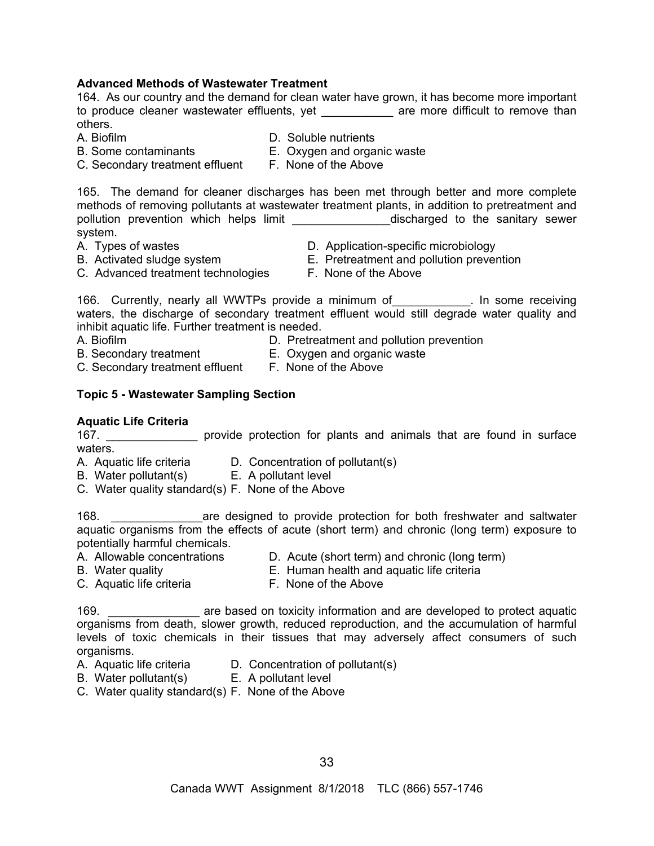## **Advanced Methods of Wastewater Treatment**

164. As our country and the demand for clean water have grown, it has become more important to produce cleaner wastewater effluents, yet example are more difficult to remove than others.

- 
- A. Biofilm **D.** Soluble nutrients
- B. Some contaminants E. Oxygen and organic waste
- C. Secondary treatment effluent F. None of the Above
	-

165. The demand for cleaner discharges has been met through better and more complete methods of removing pollutants at wastewater treatment plants, in addition to pretreatment and pollution prevention which helps limit \_\_\_\_\_\_\_\_\_\_\_\_\_\_\_\_\_\_\_discharged to the sanitary sewer system.

- 
- A. Types of wastes  $\begin{array}{ccc} 0. & \Delta & \Delta \end{array}$  D. Application-specific microbiology<br>B. Activated sludge system E. Pretreatment and pollution prever E. Pretreatment and pollution prevention
- C. Advanced treatment technologies F. None of the Above
	-

166. Currently, nearly all WWTPs provide a minimum of Theoretic Lines one receiving waters, the discharge of secondary treatment effluent would still degrade water quality and inhibit aquatic life. Further treatment is needed.

- A. Biofilm D. Pretreatment and pollution prevention
- B. Secondary treatment E. Oxygen and organic waste C. Secondary treatment effluent F. None of the Above

## **Topic 5 - Wastewater Sampling Section**

## **Aquatic Life Criteria**

167. **Example 20 reprovide protection for plants and animals that are found in surface** waters.

- A. Aquatic life criteria D. Concentration of pollutant(s)
- B. Water pollutant(s) E. A pollutant level
- C. Water quality standard(s) F. None of the Above

168. \_\_\_\_\_\_\_\_\_\_\_\_\_\_are designed to provide protection for both freshwater and saltwater aquatic organisms from the effects of acute (short term) and chronic (long term) exposure to potentially harmful chemicals.

- A. Allowable concentrations D. Acute (short term) and chronic (long term)
- B. Water quality E. Human health and aquatic life criteria
- C. Aquatic life criteria F. None of the Above

169. **Example 20 are based on toxicity information and are developed to protect aquatic** organisms from death, slower growth, reduced reproduction, and the accumulation of harmful levels of toxic chemicals in their tissues that may adversely affect consumers of such organisms.

- 
- A. Aquatic life criteria D. Concentration of pollutant(s)
- B. Water pollutant(s) E. A pollutant level
- C. Water quality standard(s) F. None of the Above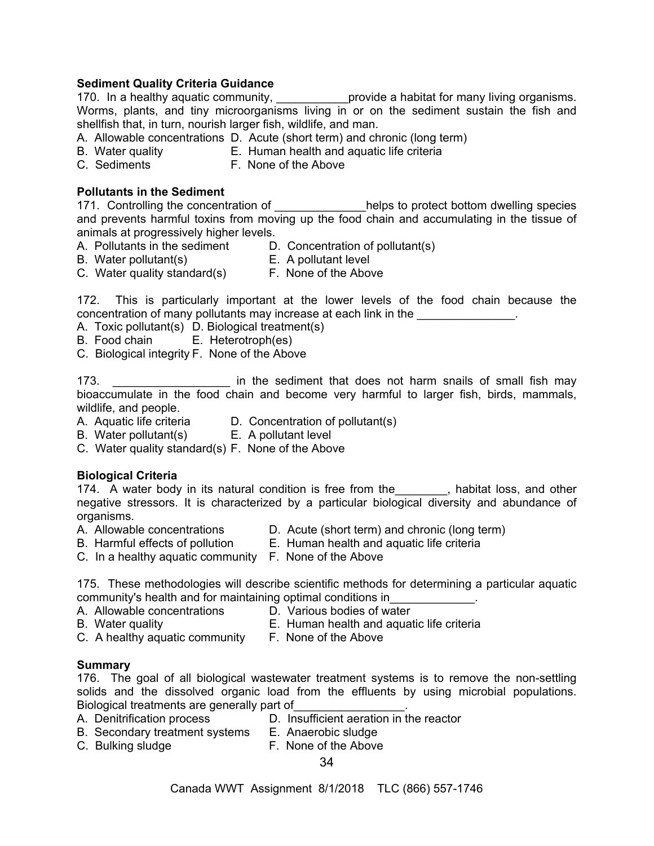## **Sediment Quality Criteria Guidance**

170. In a healthy aquatic community, \_\_\_\_\_\_\_\_\_\_\_\_\_provide a habitat for many living organisms. Worms, plants, and tiny microorganisms living in or on the sediment sustain the fish and shellfish that, in turn, nourish larger fish, wildlife, and man.

- A. Allowable concentrations D. Acute (short term) and chronic (long term)
- B. Water quality E. Human health and aquatic life criteria
- C. Sediments F. None of the Above

## **Pollutants in the Sediment**

171. Controlling the concentration of \_\_\_\_\_\_\_\_\_\_\_\_\_\_\_helps to protect bottom dwelling species and prevents harmful toxins from moving up the food chain and accumulating in the tissue of animals at progressively higher levels.

- A. Pollutants in the sediment D. Concentration of pollutant(s)
- B. Water pollutant(s) E. A pollutant level
- 
- C. Water quality standard(s) F. None of the Above

172. This is particularly important at the lower levels of the food chain because the concentration of many pollutants may increase at each link in the  $\blacksquare$ 

- A. Toxic pollutant(s) D. Biological treatment(s)
- B. Food chain E. Heterotroph(es)
- C. Biological integrity F. None of the Above

173. \_\_\_\_\_\_\_\_\_\_\_\_\_\_\_\_\_\_\_\_\_\_\_\_ in the sediment that does not harm snails of small fish may bioaccumulate in the food chain and become very harmful to larger fish, birds, mammals, wildlife, and people.

- A. Aquatic life criteria D. Concentration of pollutant(s)
- B. Water pollutant(s) E. A pollutant level
- C. Water quality standard(s) F. None of the Above

## **Biological Criteria**

174. A water body in its natural condition is free from the \_\_\_\_\_\_, habitat loss, and other negative stressors. It is characterized by a particular biological diversity and abundance of organisms.

- 
- A. Allowable concentrations  $\begin{array}{ccc} \textsf{D}.\end{array}$  Acute (short term) and chronic (long term)<br>B. Harmful effects of pollution  $\begin{array}{ccc} \textsf{E}.\end{array}$  Human health and aquatic life criteria
	- E. Human health and aquatic life criteria
- C. In a healthy aquatic community F. None of the Above

175. These methodologies will describe scientific methods for determining a particular aquatic community's health and for maintaining optimal conditions in\_\_\_\_\_\_\_\_\_\_\_\_\_.

- A. Allowable concentrations D. Various bodies of water
- 
- B. Water quality E. Human health and aquatic life criteria
- C. A healthy aquatic community F. None of the Above
- 
- **Summary**

176. The goal of all biological wastewater treatment systems is to remove the non-settling solids and the dissolved organic load from the effluents by using microbial populations. Biological treatments are generally part of

- A. Denitrification process D. Insufficient aeration in the reactor
- B. Secondary treatment systems E. Anaerobic sludge
- C. Bulking sludge **F. None of the Above** 
	- 34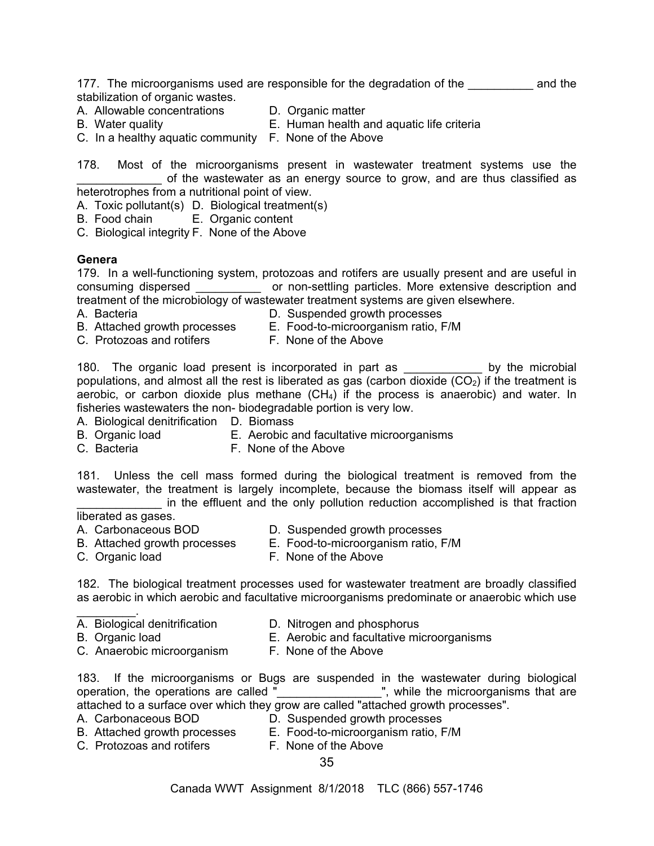177. The microorganisms used are responsible for the degradation of the **constant of the** and the stabilization of organic wastes.

- A. Allowable concentrations D. Organic matter
- 
- 
- 
- B. Water quality E. Human health and aquatic life criteria
- C. In a healthy aquatic community F. None of the Above

178. Most of the microorganisms present in wastewater treatment systems use the of the wastewater as an energy source to grow, and are thus classified as heterotrophes from a nutritional point of view.

A. Toxic pollutant(s) D. Biological treatment(s)

B. Food chain E. Organic content

C. Biological integrity F. None of the Above

## **Genera**

179. In a well-functioning system, protozoas and rotifers are usually present and are useful in consuming dispersed \_\_\_\_\_\_\_\_\_\_ or non-settling particles. More extensive description and treatment of the microbiology of wastewater treatment systems are given elsewhere.

- A. Bacteria D. Suspended growth processes
	-
- B. Attached growth processes E.Food-to-microorganism ratio, F/M
	-

C. Protozoas and rotifersF. None of the Above

180. The organic load present is incorporated in part as \_\_\_\_\_\_\_\_\_\_\_\_ by the microbial populations, and almost all the rest is liberated as gas (carbon dioxide  $(CO<sub>2</sub>)$  if the treatment is aerobic, or carbon dioxide plus methane  $(CH<sub>4</sub>)$  if the process is anaerobic) and water. In fisheries wastewaters the non- biodegradable portion is very low.

A. Biological denitrification D. Biomass

- B.Organic load E. Aerobic and facultative microorganisms
- C.BacteriaF. None of the Above

181. Unless the cell mass formed during the biological treatment is removed from the wastewater, the treatment is largely incomplete, because the biomass itself will appear as in the effluent and the only pollution reduction accomplished is that fraction

## liberated as gases.

- A. Carbonaceous BOD **D.** Suspended growth processes
- B. Attached growth processes E.Food-to-microorganism ratio, F/M
- 

- 
- C. Organic loadF. None of the Above

182. The biological treatment processes used for wastewater treatment are broadly classified as aerobic in which aerobic and facultative microorganisms predominate or anaerobic which use

- $\mathcal{L}=\mathcal{L}^{\mathcal{L}}$
- A. Biological denitrification D. Nitrogen and phosphorus<br>B. Organic load B. Aerobic and facultative mi
- 
- E. Aerobic and facultative microorganisms
- C.Anaerobic microorganismF. None of the Above
	-

183. If the microorganisms or Bugs are suspended in the wastewater during biological operation, the operations are called "\_\_\_\_\_\_\_\_\_\_\_\_\_\_\_\_\_\_", while the microorganisms that are attached to a surface over which they grow are called "attached growth processes".

- 
- A. Carbonaceous BOD **D.** Suspended growth processes B. Attached growth processes E.Food-to-microorganism ratio, F/M
- C. Protozoas and rotifersF. None of the Above
	-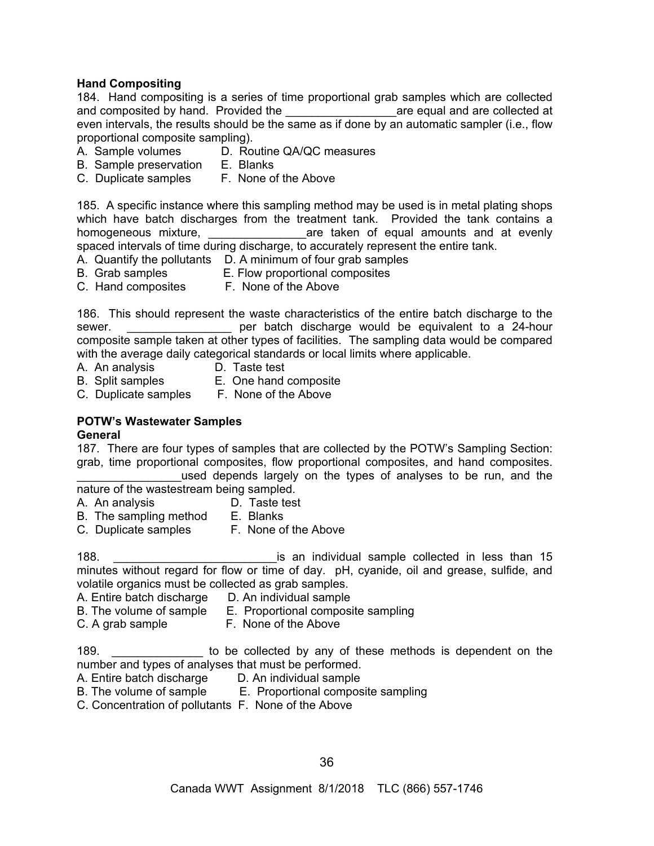## **Hand Compositing**

184. Hand compositing is a series of time proportional grab samples which are collected and composited by hand. Provided the equal and are collected at even intervals, the results should be the same as if done by an automatic sampler (i.e., flow proportional composite sampling).

- A. Sample volumes D. Routine QA/QC measures
- B. Sample preservation E. Blanks
- C. Duplicate samples F. None of the Above

185. A specific instance where this sampling method may be used is in metal plating shops which have batch discharges from the treatment tank. Provided the tank contains a homogeneous mixture, and are taken of equal amounts and at evenly spaced intervals of time during discharge, to accurately represent the entire tank.

- A. Quantify the pollutants D. A minimum of four grab samples
- B. Grab samples E. Flow proportional composites
- C. Hand composites F. None of the Above

186. This should represent the waste characteristics of the entire batch discharge to the sewer. **Example 24-hour** per batch discharge would be equivalent to a 24-hour composite sample taken at other types of facilities. The sampling data would be compared with the average daily categorical standards or local limits where applicable.

- A. An analysis D. Taste test
- 
- B. Split samples E. One hand composite
- C. Duplicate samples F. None of the Above

## **POTW's Wastewater Samples**

#### **General**

187. There are four types of samples that are collected by the POTW's Sampling Section: grab, time proportional composites, flow proportional composites, and hand composites.

used depends largely on the types of analyses to be run, and the nature of the wastestream being sampled.

- A. An analysis D. Taste test
- 
- B. The sampling method E. Blanks<br>C. Duplicate samples F. None of the Above C. Duplicate samples

188. \_\_\_\_\_\_\_\_\_\_\_\_\_\_\_\_\_\_\_\_\_\_\_\_\_is an individual sample collected in less than 15 minutes without regard for flow or time of day. pH, cyanide, oil and grease, sulfide, and volatile organics must be collected as grab samples.

- A. Entire batch discharge D. An individual sample
- B. The volume of sample E. Proportional composite sampling
- 
- C. A grab sample F. None of the Above

189. **189. 189. 189 189 189 189 189 189 189 189 189 189 189 189 189 189 189 189 189 189 189 189 189 189 189 189 189 189 189 189 189 189 189 189 189 189** number and types of analyses that must be performed.

- A. Entire batch discharge D. An individual sample
- B. The volume of sample E. Proportional composite sampling
- C. Concentration of pollutants F. None of the Above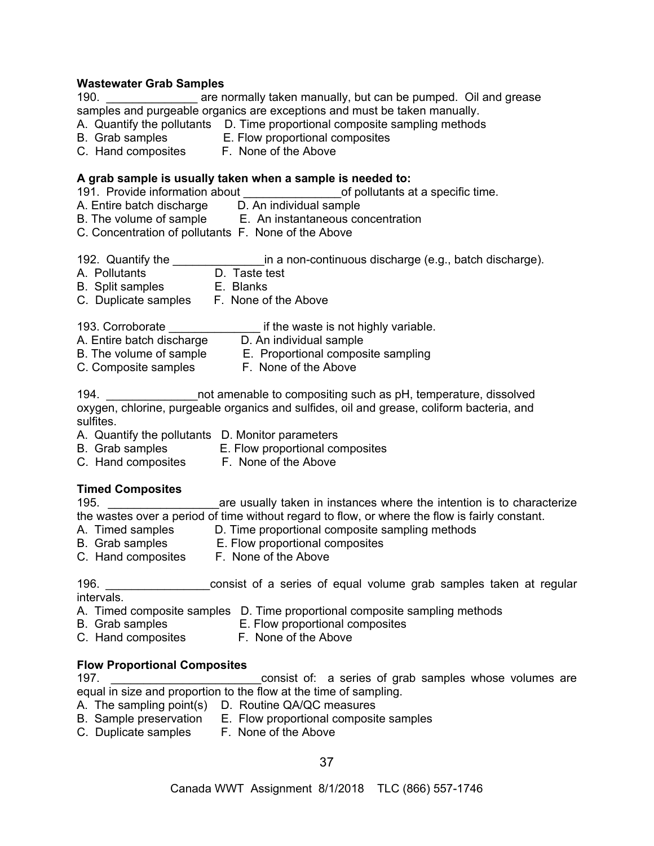#### **Wastewater Grab Samples**

190. \_\_\_\_\_\_\_\_\_\_\_\_\_\_ are normally taken manually, but can be pumped. Oil and grease samples and purgeable organics are exceptions and must be taken manually.

- A. Quantify the pollutants D. Time proportional composite sampling methods
- B. Grab samples E. Flow proportional composites
- C. Hand composites F. None of the Above

#### **A grab sample is usually taken when a sample is needed to:**

191. Provide information about **the contract of pollutants at a specific time.** 

- A. Entire batch discharge D. An individual sample
- B. The volume of sample E. An instantaneous concentration
- C. Concentration of pollutants F. None of the Above
- 192. Quantify the \_\_\_\_\_\_\_\_\_\_\_\_\_\_\_in a non-continuous discharge (e.g., batch discharge).
- A. Pollutants D. Taste test
- B. Split samples E. Blanks
- C. Duplicate samples F. None of the Above

193. Corroborate \_\_\_\_\_\_\_\_\_\_\_\_\_\_\_ if the waste is not highly variable.

- A. Entire batch discharge D. An individual sample
- B. The volume of sample  $\qquad E.$  Proportional composite sampling
- C. Composite samples F. None of the Above

194. \_\_\_\_\_\_\_\_\_\_\_\_\_\_not amenable to compositing such as pH, temperature, dissolved oxygen, chlorine, purgeable organics and sulfides, oil and grease, coliform bacteria, and sulfites.

- A. Quantify the pollutants D. Monitor parameters
- B. Grab samples E. Flow proportional composites
- C. Hand composites F. None of the Above

# **Timed Composites**

195. \_\_\_\_\_\_\_\_\_\_\_\_\_\_\_\_\_are usually taken in instances where the intention is to characterize the wastes over a period of time without regard to flow, or where the flow is fairly constant.<br>A. Timed samples D. Time proportional composite sampling methods

- 
- D. Time proportional composite sampling methods<br>E. Flow proportional composites B. Grab samples **E. Flow proportional composites**
- 
- C. Hand composites F. None of the Above

196. **196. Example 3** consist of a series of equal volume grab samples taken at regular intervals.

- A. Timed composite samples D. Time proportional composite sampling methods
- B. Grab samples E. Flow proportional composites
- C. Hand composites F. None of the Above

#### **Flow Proportional Composites**

197. \_\_\_\_\_\_\_\_\_\_\_\_\_\_\_\_\_\_\_\_\_\_\_consist of: a series of grab samples whose volumes are equal in size and proportion to the flow at the time of sampling.

- A. The sampling point(s) D. Routine QA/QC measures
- B. Sample preservation E. Flow proportional composite samples
- C. Duplicate samples F. None of the Above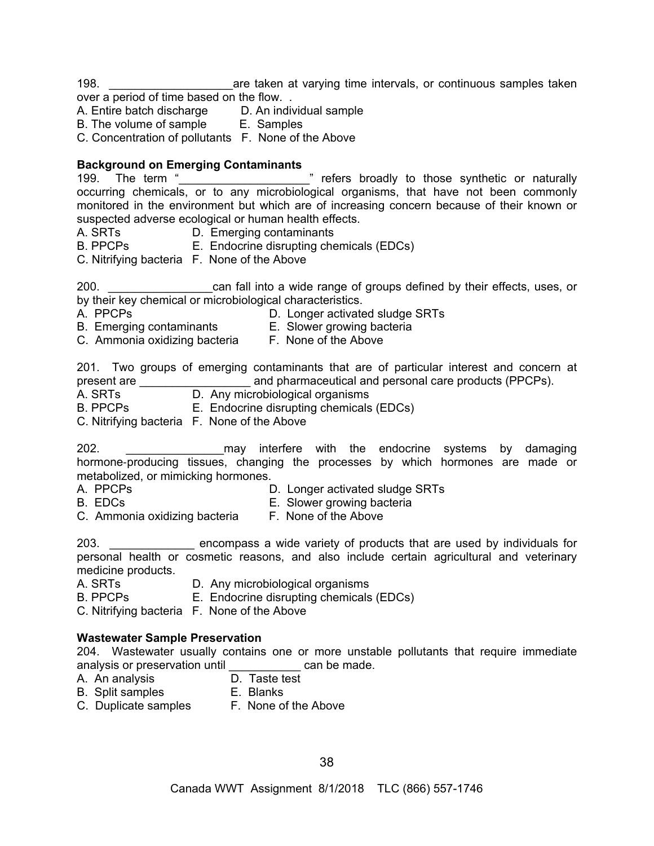198. \_\_\_\_\_\_\_\_\_\_\_\_\_\_\_\_\_\_\_are taken at varying time intervals, or continuous samples taken over a period of time based on the flow. .

A. Entire batch discharge D. An individual sample<br>B. The volume of sample E. Samples

B. The volume of sample

C. Concentration of pollutants F. None of the Above

# **Background on Emerging Contaminants**

| 199. The term "                                       | " refers broadly to those synthetic or naturally                                           |
|-------------------------------------------------------|--------------------------------------------------------------------------------------------|
|                                                       | occurring chemicals, or to any microbiological organisms, that have not been commonly      |
|                                                       | monitored in the environment but which are of increasing concern because of their known or |
| suspected adverse ecological or human health effects. |                                                                                            |

A. SRTs **D. Emerging contaminants** 

B. PPCPs E. Endocrine disrupting chemicals (EDCs)

C. Nitrifying bacteria F. None of the Above

200. \_\_\_\_\_\_\_\_\_\_\_\_\_\_\_\_can fall into a wide range of groups defined by their effects, uses, or by their key chemical or microbiological characteristics.

- A. PPCPs D. Longer activated sludge SRTs
- B. Emerging contaminants E. Slower growing bacteria
- C. Ammonia oxidizing bacteria F. None of the Above
	-

201. Two groups of emerging contaminants that are of particular interest and concern at present are **and pharmaceutical and personal care products (PPCPs).** 

A. SRTs D. Any microbiological organisms

B. PPCPs E. Endocrine disrupting chemicals (EDCs)

C. Nitrifying bacteria F. None of the Above

202. \_\_\_\_\_\_\_\_\_\_\_\_\_\_\_may interfere with the endocrine systems by damaging hormone-producing tissues, changing the processes by which hormones are made or metabolized, or mimicking hormones.

- A. PPCPs D. Longer activated sludge SRTs
- 
- B. EDCs **E.** Slower growing bacteria
- C. Ammonia oxidizing bacteria F. None of the Above

203. \_\_\_\_\_\_\_\_\_\_\_\_\_ encompass a wide variety of products that are used by individuals for personal health or cosmetic reasons, and also include certain agricultural and veterinary medicine products.

- A. SRTs **D.** Any microbiological organisms
- B. PPCPs E. Endocrine disrupting chemicals (EDCs)

C. Nitrifying bacteria F. None of the Above

# **Wastewater Sample Preservation**

204. Wastewater usually contains one or more unstable pollutants that require immediate analysis or preservation until example and be made.

- A. An analysis D. Taste test
	-
- B. Split samples E. Blanks
- C. Duplicate samples F. None of the Above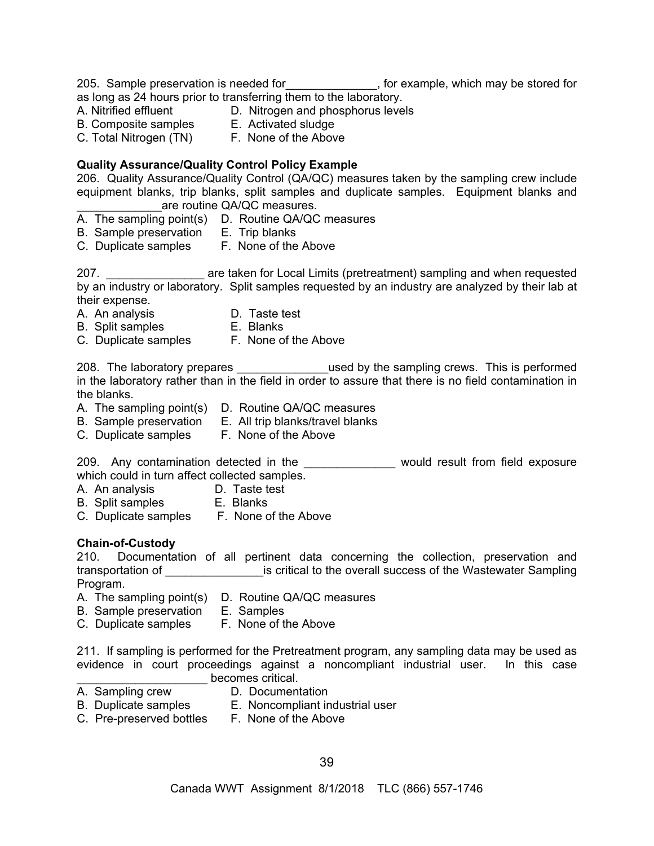205. Sample preservation is needed for\_\_\_\_\_\_\_\_\_\_\_\_\_\_, for example, which may be stored for

as long as 24 hours prior to transferring them to the laboratory.

- A. Nitrified effluent D. Nitrogen and phosphorus levels
- B. Composite samples E. Activated sludge
- 
- C. Total Nitrogen (TN) F. None of the Above

# **Quality Assurance/Quality Control Policy Example**

206. Quality Assurance/Quality Control (QA/QC) measures taken by the sampling crew include equipment blanks, trip blanks, split samples and duplicate samples. Equipment blanks and are routine QA/QC measures.

- A. The sampling point(s) D. Routine QA/QC measures
- B. Sample preservation E. Trip blanks
- C. Duplicate samples F. None of the Above

207. \_\_\_\_\_\_\_\_\_\_\_\_\_\_\_ are taken for Local Limits (pretreatment) sampling and when requested by an industry or laboratory. Split samples requested by an industry are analyzed by their lab at their expense.

- 
- A. An analysis **D. Taste test**<br>B. Split samples **B. Blanks** B. Split samples
- C. Duplicate samples F. None of the Above

208. The laboratory prepares **Exercise 208.** Used by the sampling crews. This is performed in the laboratory rather than in the field in order to assure that there is no field contamination in the blanks.

- A. The sampling point(s) D. Routine QA/QC measures
- B. Sample preservation E. All trip blanks/travel blanks
- C. Duplicate samples F. None of the Above

209. Any contamination detected in the **Example 2008** would result from field exposure which could in turn affect collected samples.

- A. An analysis D. Taste test
- B. Split samples E. Blanks
- C. Duplicate samples F. None of the Above

# **Chain-of-Custody**

210. Documentation of all pertinent data concerning the collection, preservation and transportation of **Example 20** is critical to the overall success of the Wastewater Sampling Program.

- A. The sampling point(s) D. Routine QA/QC measures
- B. Sample preservation E. Samples
- C. Duplicate samples F. None of the Above

211. If sampling is performed for the Pretreatment program, any sampling data may be used as evidence in court proceedings against a noncompliant industrial user. In this case becomes critical.

- 
- A. Sampling crew D. Documentation
- B. Duplicate samples E. Noncompliant industrial user
- C. Pre-preserved bottles F. None of the Above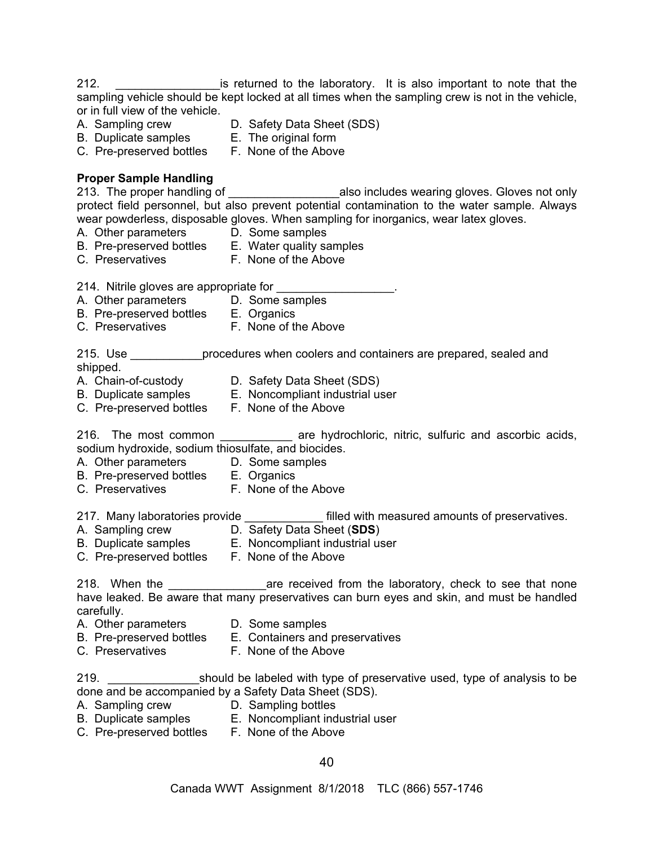212. \_\_\_\_\_\_\_\_\_\_\_\_\_\_\_\_is returned to the laboratory. It is also important to note that the sampling vehicle should be kept locked at all times when the sampling crew is not in the vehicle, or in full view of the vehicle.<br>A. Sampling crew

- 
- D. Safety Data Sheet (SDS)
- B. Duplicate samples E. The original form
- C. Pre-preserved bottles F. None of the Above
- **Proper Sample Handling**

213. The proper handling of \_\_\_\_\_\_\_\_\_\_\_\_\_\_\_\_\_\_\_\_\_\_\_\_\_also includes wearing gloves. Gloves not only protect field personnel, but also prevent potential contamination to the water sample. Always wear powderless, disposable gloves. When sampling for inorganics, wear latex gloves.

- A. Other parameters D. Some samples
- B. Pre-preserved bottles E. Water quality samples
- C. Preservatives F. None of the Above

214. Nitrile gloves are appropriate for

- A. Other parameters D. Some samples
- B. Pre-preserved bottles E. Organics
- C. Preservatives **F. None of the Above**

215. Use \_\_\_\_\_\_\_\_\_\_\_procedures when coolers and containers are prepared, sealed and shipped.

- 
- A. Chain-of-custody D. Safety Data Sheet (SDS)
- B. Duplicate samples E. Noncompliant industrial user<br>C. Pre-preserved bottles F. None of the Above
- C. Pre-preserved bottles

216. The most common **are hydrochloric, nitric, sulfuric and ascorbic acids**, sodium hydroxide, sodium thiosulfate, and biocides.

- A. Other parameters D. Some samples
	-
- B. Pre-preserved bottles E. Organics
- C. Preservatives **F. None of the Above**

217. Many laboratories provide **the set of the set of the filled with measured amounts of preservatives.** 

- A. Sampling crew D. Safety Data Sheet (**SDS**)
- B. Duplicate samples E. Noncompliant industrial user
- C. Pre-preserved bottles F. None of the Above
	-

218. When the **Example 218** are received from the laboratory, check to see that none have leaked. Be aware that many preservatives can burn eyes and skin, and must be handled carefully.

- A. Other parameters D. Some samples
- B. Pre-preserved bottles E. Containers and preservatives
- C. Preservatives **F. None of the Above**

219. \_\_\_\_\_\_\_\_\_\_\_\_\_\_should be labeled with type of preservative used, type of analysis to be done and be accompanied by a Safety Data Sheet (SDS).

- A. Sampling crew D. Sampling bottles
- B. Duplicate samples E. Noncompliant industrial user
- C. Pre-preserved bottles F. None of the Above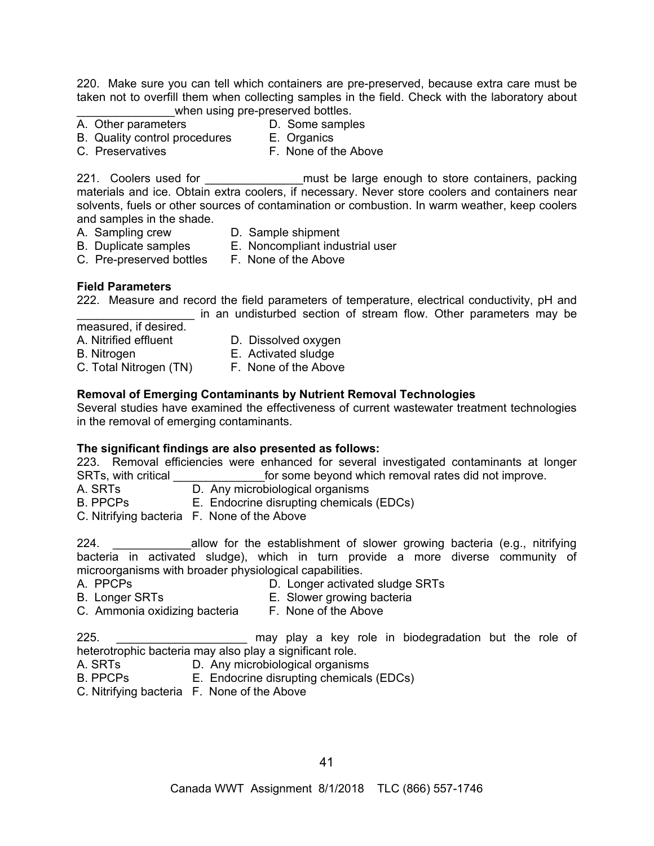220. Make sure you can tell which containers are pre-preserved, because extra care must be taken not to overfill them when collecting samples in the field. Check with the laboratory about when using pre-preserved bottles.

- A. Other parameters **D.** Some samples
- 
- B. Quality control procedures E. Organics<br>C. Preservatives F. None of the
	-
- 

F. None of the Above

221. Coolers used for **the state of the state of the state of the state of the state of the state of the state** materials and ice. Obtain extra coolers, if necessary. Never store coolers and containers near solvents, fuels or other sources of contamination or combustion. In warm weather, keep coolers and samples in the shade.

- 
- A. Sampling crew D. Sample shipment
- B. Duplicate samples E. Noncompliant industrial user
- C. Pre-preserved bottles F. None of the Above

# **Field Parameters**

222. Measure and record the field parameters of temperature, electrical conductivity, pH and in an undisturbed section of stream flow. Other parameters may be

measured, if desired.

- 
- A. Nitrified effluent D. Dissolved oxygen
- 
- B. Nitrogen E. Activated sludge
- C. Total Nitrogen (TN) F. None of the Above

# **Removal of Emerging Contaminants by Nutrient Removal Technologies**

Several studies have examined the effectiveness of current wastewater treatment technologies in the removal of emerging contaminants.

# **The significant findings are also presented as follows:**

223. Removal efficiencies were enhanced for several investigated contaminants at longer SRTs, with critical **Example 20** for some beyond which removal rates did not improve.

- A. SRTs **D.** Any microbiological organisms
- B. PPCPs E. Endocrine disrupting chemicals (EDCs)

C. Nitrifying bacteria F. None of the Above

224. **Example 224.** Ellow for the establishment of slower growing bacteria (e.g., nitrifying bacteria in activated sludge), which in turn provide a more diverse community of microorganisms with broader physiological capabilities.

- 
- A. PPCPs D. Longer activated sludge SRTs
- B. Longer SRTs **E.** Slower growing bacteria
	-
- C. Ammonia oxidizing bacteria F. None of the Above

225. \_\_\_\_\_\_\_\_\_\_\_\_\_\_\_\_\_\_\_\_ may play a key role in biodegradation but the role of heterotrophic bacteria may also play a significant role.

- A. SRTs **D.** Any microbiological organisms
- B. PPCPs E. Endocrine disrupting chemicals (EDCs)
- C. Nitrifying bacteria F. None of the Above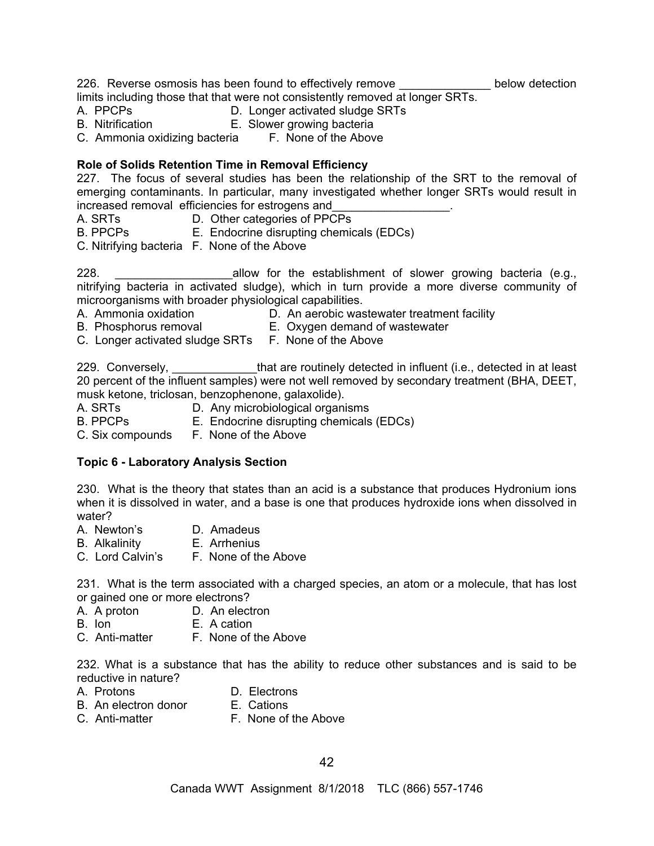226. Reverse osmosis has been found to effectively remove \_\_\_\_\_\_\_\_\_\_\_\_\_\_\_ below detection limits including those that that were not consistently removed at longer SRTs.

- A. PPCPs D. Longer activated sludge SRTs
- B. Nitrification E. Slower growing bacteria
- C. Ammonia oxidizing bacteria F. None of the Above

## **Role of Solids Retention Time in Removal Efficiency**

227. The focus of several studies has been the relationship of the SRT to the removal of emerging contaminants. In particular, many investigated whether longer SRTs would result in increased removal efficiencies for estrogens and

- A. SRTs **D. Other categories of PPCPs**
- B. PPCPs E. Endocrine disrupting chemicals (EDCs)
- C. Nitrifying bacteria F. None of the Above

228. **Example 228. 228. Example 228. Example 228. Conservery conservery and allow for the establishment of slower growing bacteria (e.g.,** nitrifying bacteria in activated sludge), which in turn provide a more diverse community of microorganisms with broader physiological capabilities.

- A. Ammonia oxidation D. An aerobic wastewater treatment facility
- B. Phosphorus removal E. Oxygen demand of wastewater
- C. Longer activated sludge SRTs F. None of the Above

229. Conversely, example that are routinely detected in influent (i.e., detected in at least 20 percent of the influent samples) were not well removed by secondary treatment (BHA, DEET, musk ketone, triclosan, benzophenone, galaxolide).<br>A. SRTs D. Anv microbiological organi

- D. Any microbiological organisms
- B. PPCPs E. Endocrine disrupting chemicals (EDCs)
- C. Six compounds F. None of the Above

# **Topic 6 - Laboratory Analysis Section**

230. What is the theory that states than an acid is a substance that produces Hydronium ions when it is dissolved in water, and a base is one that produces hydroxide ions when dissolved in water?

- A. Newton's D. Amadeus
- B. Alkalinity E. Arrhenius
- C. Lord Calvin's F. None of the Above

231. What is the term associated with a charged species, an atom or a molecule, that has lost or gained one or more electrons?

- A. A proton D. An electron
- B. Ion E. A cation
- C. Anti-matter F. None of the Above

232. What is a substance that has the ability to reduce other substances and is said to be reductive in nature?

- A. Protons D. Electrons
- B. An electron donor
- C. Anti-matter **F. None of the Above**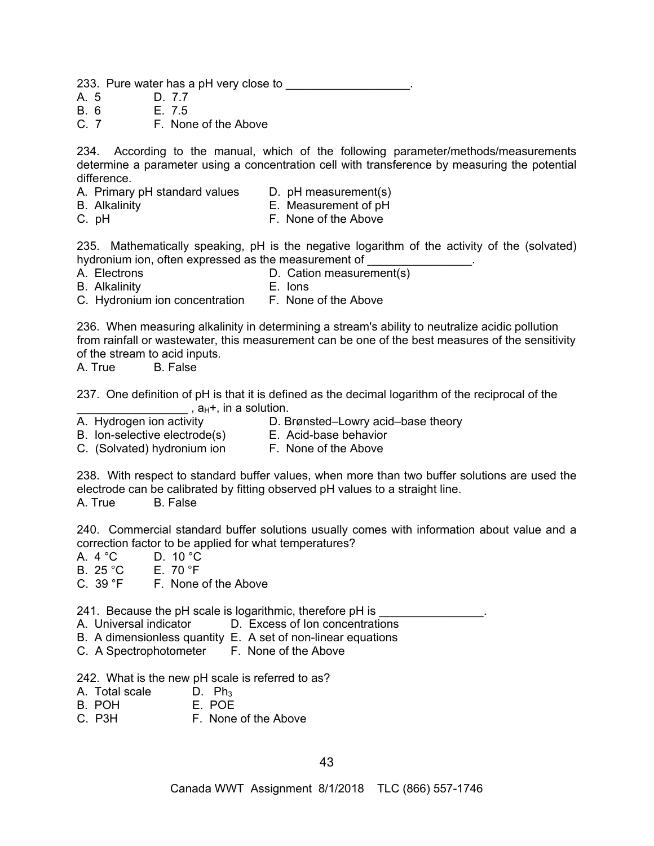233. Pure water has a pH very close to **wareled as a pH** 

- A. 5 D. 7.7
- B. 6 E. 7.5<br>C. 7 F. Nor

F. None of the Above

234. According to the manual, which of the following parameter/methods/measurements determine a parameter using a concentration cell with transference by measuring the potential difference.

- A. Primary pH standard values D. pH measurement(s)
- B. Alkalinity E. Measurement of pH
- C. pH F. None of the Above

235. Mathematically speaking, pH is the negative logarithm of the activity of the (solvated) hydronium ion, often expressed as the measurement of

- 
- A. Electrons **D. Cation measurement(s)**
- B. Alkalinity E. Ions

C. Hydronium ion concentration F. None of the Above

236. When measuring alkalinity in determining a stream's ability to neutralize acidic pollution from rainfall or wastewater, this measurement can be one of the best measures of the sensitivity of the stream to acid inputs.

A. True B. False

237. One definition of pH is that it is defined as the decimal logarithm of the reciprocal of the  $\overline{\phantom{a}}$ , a $\overline{\phantom{a}}$ , in a solution.

A. Hydrogen ion activity **D. Brønsted–Lowry acid–base theory** 

- B. Ion-selective electrode(s) E. Acid-base behavior
- C. (Solvated) hydronium ion F. None of the Above

238. With respect to standard buffer values, when more than two buffer solutions are used the electrode can be calibrated by fitting observed pH values to a straight line. A. True B. False

240. Commercial standard buffer solutions usually comes with information about value and a correction factor to be applied for what temperatures?

- A.  $4 °C$  D.  $10 °C$
- B. 25 °C E. 70 °F
- C. 39 °F F. None of the Above

241. Because the pH scale is logarithmic, therefore pH is

- A. Universal indicator D. Excess of Ion concentrations
- B. A dimensionless quantity E.A set of non-linear equations
- C. A Spectrophotometer F. None of the Above

242. What is the new pH scale is referred to as?

- A. Total scale D. Ph3
- B. POH
- C. P3H F. None of the Above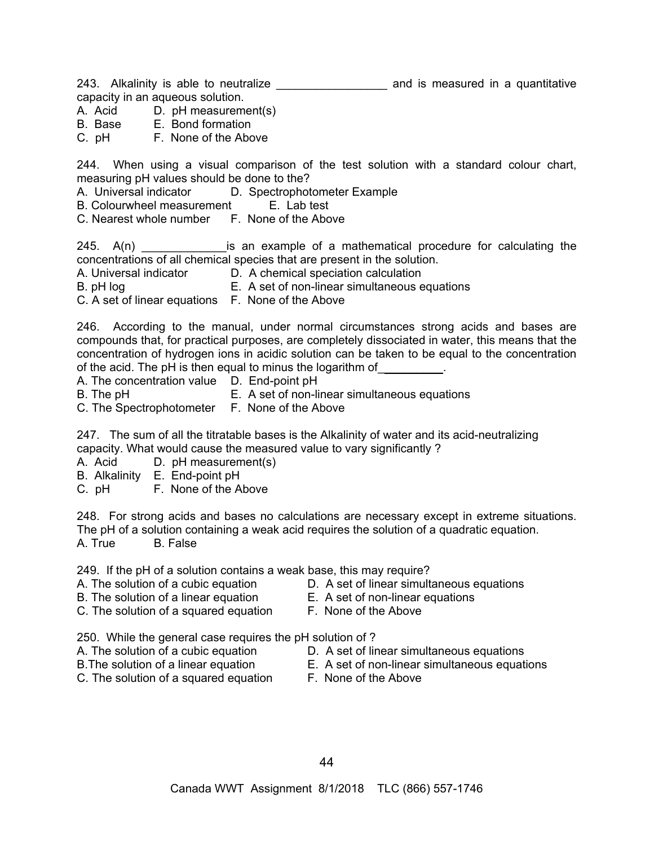243. Alkalinity is able to neutralize \_\_\_\_\_\_\_\_\_\_\_\_\_\_\_\_\_ and is measured in a quantitative

capacity in an aqueous solution.

- A. Acid D. pH measurement(s)
- B. Base E. Bond formation
- C. pH F. None of the Above

244. When using a visual comparison of the test solution with a standard colour chart, measuring pH values should be done to the?

A. Universal indicator D. Spectrophotometer Example

B. Colourwheel measurement E.Lab test

C. Nearest whole number F. None of the Above

 $245.$  A(n)  $\qquad \qquad$  is an example of a mathematical procedure for calculating the concentrations of all chemical species that are present in the solution.

A. Universal indicator D. A chemical speciation calculation

B. pH logE.A set of non-linear simultaneous equations

C. A set of linear equations F. None of the Above

246. According to the manual, under normal circumstances strong acids and bases are compounds that, for practical purposes, are completely dissociated in water, this means that the concentration of hydrogen ions in acidic solution can be taken to be equal to the concentration of the acid. The pH is then equal to minus the logarithm of

- A. The concentration value D. End-point pH
- B. The pHE.A set of non-linear simultaneous equations
- C. The Spectrophotometer F. None of the Above

247. The sum of all the titratable bases is the Alkalinity of water and its acid-neutralizing capacity. What would cause the measured value to vary significantly ?

A. Acid D. pH measurement(s)

- B. Alkalinity E. End-point pH
- C. pH F. None of the Above

248. For strong acids and bases no calculations are necessary except in extreme situations. The pH of a solution containing a weak acid requires the solution of a quadratic equation. A. True B. False

249. If the pH of a solution contains a weak base, this may require?

- 
- B. The solution of a linear equationE.A set of non-linear equations
- 
- A. The solution of a cubic equation **D.** A set of linear simultaneous equations
	-
- C. The solution of a squared equation F. None of the Above
	-

250. While the general case requires the pH solution of ?

- 
- 
- C. The solution of a squared equation F. None of the Above
- A. The solution of a cubic equation **D.** A set of linear simultaneous equations
- B.The solution of a linear equationE.A set of non-linear simultaneous equations
	-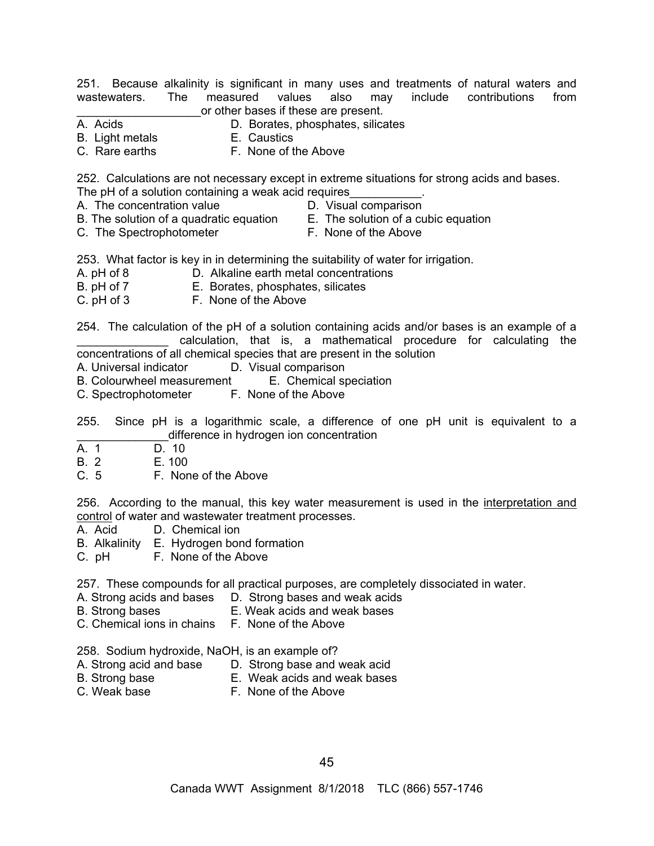251. Because alkalinity is significant in many uses and treatments of natural waters and wastewaters. The measured values also may include contributions from or other bases if these are present.<br>A. Acids **D. Borates**, phosphates, silica

- D. Borates, phosphates, silicates
- B. Light metals E. Caustics
- 
- 
- C. Rare earths **F. None of the Above**

252. Calculations are not necessary except in extreme situations for strong acids and bases.

- The pH of a solution containing a weak acid requires A. The concentration value **D.** Visual comparison
- 
- B. The solution of a quadratic equation E.The solution of a cubic equation
- C. The Spectrophotometer **F. None of the Above**
- 
- 253. What factor is key in in determining the suitability of water for irrigation.
- A. pH of 8 D. Alkaline earth metal concentrations
- B. pH of 7E.Borates, phosphates, silicates
- C. pH of 3 F. None of the Above

254. The calculation of the pH of a solution containing acids and/or bases is an example of a calculation, that is, a mathematical procedure for calculating the concentrations of all chemical species that are present in the solution

A. Universal indicator D. Visual comparison

- B. Colourwheel measurement E.Chemical speciation
- C. Spectrophotometer
- 255. Since pH is a logarithmic scale, a difference of one pH unit is equivalent to a \_\_\_\_\_\_\_\_\_\_\_\_\_\_difference in hydrogen ion concentration
- A. 1 D. 10
- B. 2 E. 100
- C. 5 F. None of the Above

256. According to the manual, this key water measurement is used in the interpretation and control of water and wastewater treatment processes.<br>A. Acid **D. Chemical ion** 

- D. Chemical ion
- B. Alkalinity E. Hydrogen bond formation
- C. pH F. None of the Above

257. These compounds for all practical purposes, are completely dissociated in water.

- A. Strong acids and bases D. Strong bases and weak acids
- B. Strong bases E. Weak acids and weak bases
- C. Chemical ions in chains F. None of the Above

258. Sodium hydroxide, NaOH, is an example of?

- A. Strong acid and base D. Strong base and weak acid
- B. Strong base E. Weak acids and weak bases
- C. Weak base **F. None of the Above**
-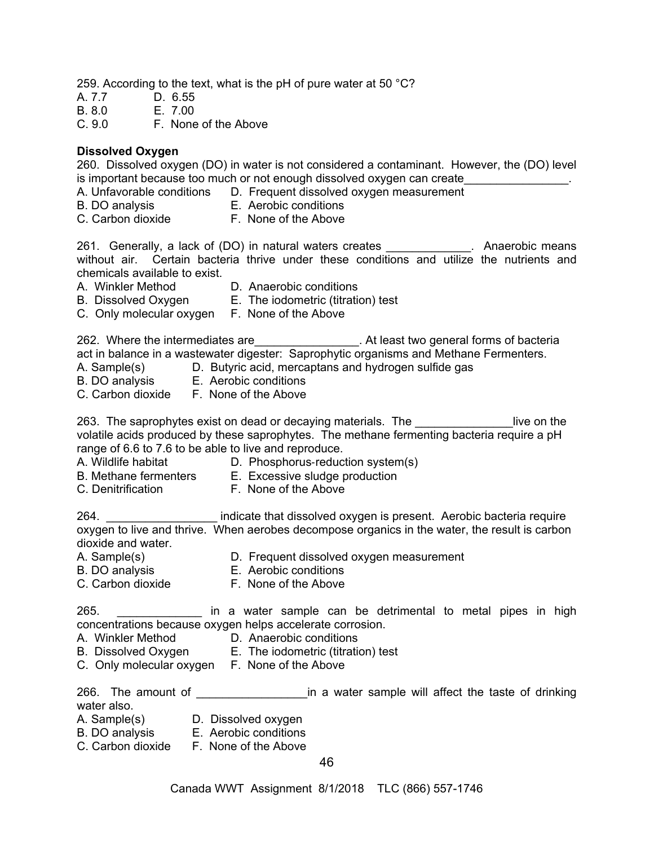259. According to the text, what is the pH of pure water at 50 °C?

- A. 7.7 D. 6.55
- B. 8.0 E. 7.00

C. 9.0 F. None of the Above

#### **Dissolved Oxygen**

260. Dissolved oxygen (DO) in water is not considered a contaminant. However, the (DO) level is important because too much or not enough dissolved oxygen can create

- A. Unfavorable conditions D. Frequent dissolved oxygen measurement
- B. DO analysis E. Aerobic conditions
- C. Carbon dioxide F. None of the Above

261. Generally, a lack of (DO) in natural waters creates **Exercise Langerity** Anaerobic means without air. Certain bacteria thrive under these conditions and utilize the nutrients and chemicals available to exist.

- 
- A. Winkler Method D. Anaerobic conditions
- B. Dissolved Oxygen E. The iodometric (titration) test
- C. Only molecular oxygen F. None of the Above

262. Where the intermediates are \_\_\_\_\_\_\_\_\_\_\_\_\_\_\_\_\_. At least two general forms of bacteria act in balance in a wastewater digester: Saprophytic organisms and Methane Fermenters.<br>A. Sample(s) D. Butyric acid, mercaptans and hydrogen sulfide gas

- D. Butyric acid, mercaptans and hydrogen sulfide gas
- B. DO analysis E. Aerobic conditions
- C. Carbon dioxide F. None of the Above

263. The saprophytes exist on dead or decaying materials. The **the same of the same of the**  $\frac{1}{2}$ volatile acids produced by these saprophytes. The methane fermenting bacteria require a pH range of 6.6 to 7.6 to be able to live and reproduce.

- 
- A. Wildlife habitat D. Phosphorus-reduction system(s)
- B. Methane fermenters E. Excessive sludge production
- C. Denitrification F. None of the Above

264. **\_\_\_\_\_\_\_\_\_\_\_\_\_\_\_\_\_\_** indicate that dissolved oxygen is present. Aerobic bacteria require oxygen to live and thrive. When aerobes decompose organics in the water, the result is carbon dioxide and water.

- 
- 
- A. Sample(s) **D. Frequent dissolved oxygen measurement**<br>B. DO analysis **B. Aerobic conditions** E. Aerobic conditions
- C. Carbon dioxide **F. None of the Above**

265. \_\_\_\_\_\_\_\_\_\_\_\_\_ in a water sample can be detrimental to metal pipes in high concentrations because oxygen helps accelerate corrosion.

- A. Winkler Method D. Anaerobic conditions
- B. Dissolved Oxygen E. The iodometric (titration) test
- C. Only molecular oxygen F. None of the Above

266. The amount of **Exercise 1 is a water sample will affect the taste of drinking** water also.

- A. Sample(s) D. Dissolved oxygen
- B. DO analysis E. Aerobic conditions
- C. Carbon dioxide F. None of the Above

46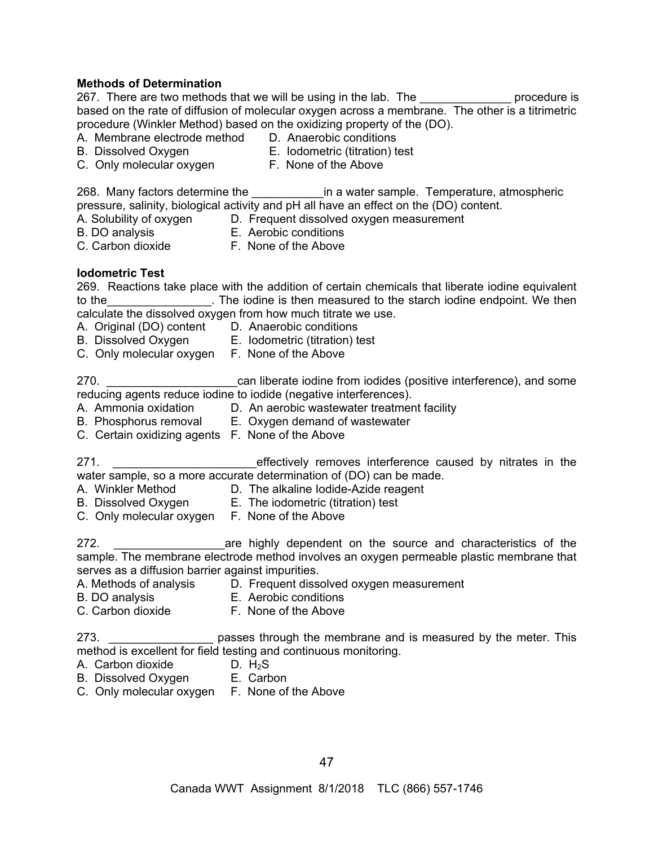## **Methods of Determination**

267. There are two methods that we will be using in the lab. The the summannedure is based on the rate of diffusion of molecular oxygen across a membrane. The other is a titrimetric procedure (Winkler Method) based on the oxidizing property of the (DO).

- A. Membrane electrode method D. Anaerobic conditions
- 
- B. Dissolved Oxygen E. Iodometric (titration) test
- C. Only molecular oxygen F. None of the Above
	-

268. Many factors determine the <u>equal in</u> a water sample. Temperature, atmospheric pressure, salinity, biological activity and pH all have an effect on the (DO) content.

- A. Solubility of oxygen D. Frequent dissolved oxygen measurement
- 
- B. DO analysis E. Aerobic conditions
- 
- C. Carbon dioxide **F. None of the Above**

# **Iodometric Test**

|        | 269. Reactions take place with the addition of certain chemicals that liberate iodine equivalent |                                                                      |  |  |  |
|--------|--------------------------------------------------------------------------------------------------|----------------------------------------------------------------------|--|--|--|
| to the |                                                                                                  | . The iodine is then measured to the starch iodine endpoint. We then |  |  |  |
|        | calculate the dissolved oxygen from how much titrate we use.                                     |                                                                      |  |  |  |

- A. Original (DO) content D. Anaerobic conditions
- 
- B. Dissolved Oxygen E. Iodometric (titration) test
- C. Only molecular oxygen F. None of the Above

270. \_\_\_\_\_\_\_\_\_\_\_\_\_\_\_\_\_\_\_\_\_\_\_\_\_\_\_\_\_\_\_\_can liberate iodine from iodides (positive interference), and some reducing agents reduce iodine to iodide (negative interferences).

- A. Ammonia oxidation D. An aerobic wastewater treatment facility
- B. Phosphorus removal E. Oxygen demand of wastewater
- C. Certain oxidizing agents F. None of the Above

271. \_\_\_\_\_\_\_\_\_\_\_\_\_\_\_\_\_\_\_\_\_\_effectively removes interference caused by nitrates in the water sample, so a more accurate determination of (DO) can be made.

- A. Winkler Method **D. The alkaline lodide-Azide reagent**
- B. Dissolved Oxygen E. The iodometric (titration) test
- C. Only molecular oxygen F. None of the Above
- 272. \_\_\_\_\_\_\_\_\_\_\_\_\_\_\_\_\_are highly dependent on the source and characteristics of the sample. The membrane electrode method involves an oxygen permeable plastic membrane that serves as a diffusion barrier against impurities.
- A. Methods of analysis D. Frequent dissolved oxygen measurement
	-
- B. DO analysis E. Aerobic conditions
- C. Carbon dioxide F. None of the Above

273. \_\_\_\_\_\_\_\_\_\_\_\_\_\_\_\_\_\_\_\_ passes through the membrane and is measured by the meter. This method is excellent for field testing and continuous monitoring.

- A. Carbon dioxide D. H<sub>2</sub>S
- B. Dissolved Oxygen E. Carbon
- C. Only molecular oxygen F. None of the Above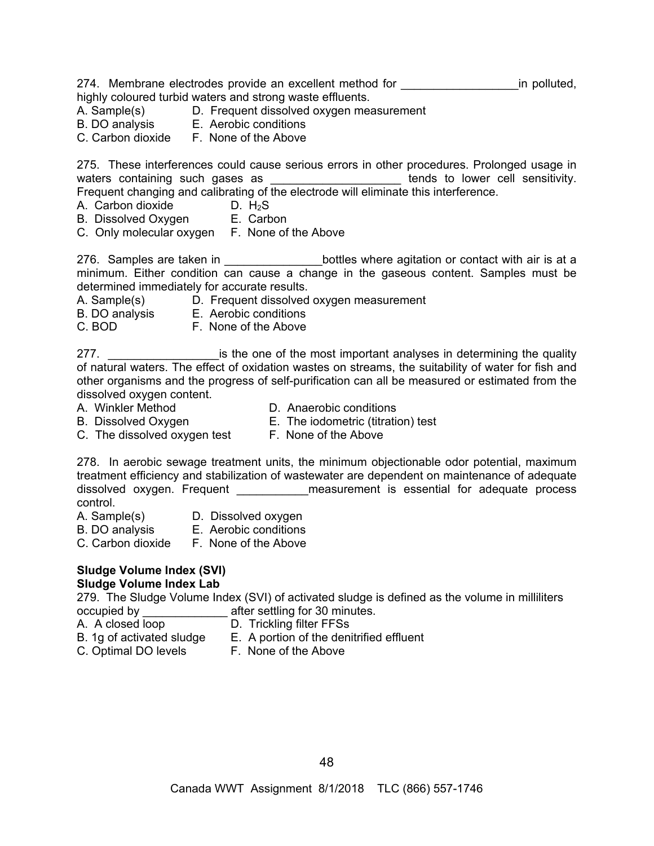274. Membrane electrodes provide an excellent method for **the entity of the entity of the entity** of the polluted, highly coloured turbid waters and strong waste effluents.

- A. Sample(s) D. Frequent dissolved oxygen measurement
- B. DO analysis E. Aerobic conditions
- C. Carbon dioxide F. None of the Above

275. These interferences could cause serious errors in other procedures. Prolonged usage in waters containing such gases as **Exercise 20** and tends to lower cell sensitivity. Frequent changing and calibrating of the electrode will eliminate this interference.

- A. Carbon dioxide D. H<sub>2</sub>S
- B. Dissolved Oxygen E. Carbon
- C. Only molecular oxygen F. None of the Above

276. Samples are taken in \_\_\_\_\_\_\_\_\_\_\_\_\_\_\_\_bottles where agitation or contact with air is at a minimum. Either condition can cause a change in the gaseous content. Samples must be determined immediately for accurate results.

- A. Sample(s) D. Frequent dissolved oxygen measurement
- B. DO analysis E. Aerobic conditions
- C. BOD F. None of the Above

277. **Example 277.** Example 1 is the one of the most important analyses in determining the quality of natural waters. The effect of oxidation wastes on streams, the suitability of water for fish and other organisms and the progress of self-purification can all be measured or estimated from the dissolved oxygen content.

- 
- A. Winkler Method **D.** Anaerobic conditions
- B. Dissolved Oxygen **E. The iodometric (titration) test**
- 
- C. The dissolved oxygen test F. None of the Above
- 

278. In aerobic sewage treatment units, the minimum objectionable odor potential, maximum treatment efficiency and stabilization of wastewater are dependent on maintenance of adequate dissolved oxygen. Frequent \_\_\_\_\_\_\_\_\_\_\_\_\_ measurement is essential for adequate process control.

- A. Sample(s) D. Dissolved oxygen
	-
- 
- B. DO analysis E. Aerobic conditions
- C. Carbon dioxide F. None of the Above

# **Sludge Volume Index (SVI) Sludge Volume Index Lab**

279. The Sludge Volume Index (SVI) of activated sludge is defined as the volume in milliliters occupied by \_\_\_\_\_\_\_\_\_\_\_\_\_ after settling for 30 minutes.

- 
- A. A closed loop D. Trickling filter FFSs
- B. 1g of activated sludge E. A portion of the denitrified effluent
	-
	-
- C. Optimal DO levels **F. None of the Above**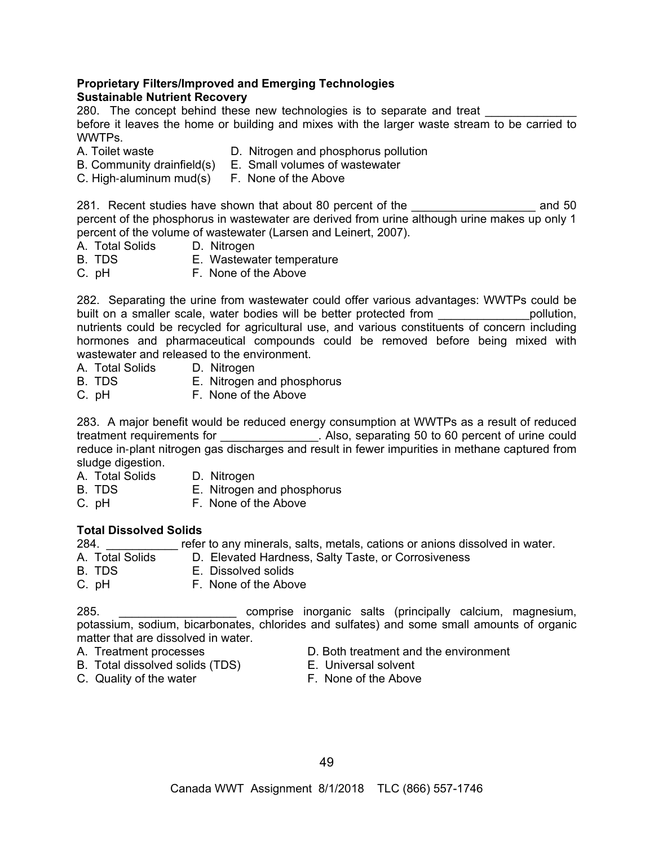#### **Proprietary Filters/Improved and Emerging Technologies Sustainable Nutrient Recovery**

280. The concept behind these new technologies is to separate and treat before it leaves the home or building and mixes with the larger waste stream to be carried to WWTPs.

- 
- A. Toilet waste D. Nitrogen and phosphorus pollution B. Community drainfield(s) E. Small volumes of wastewater
- 
- C. High-aluminum mud(s) F. None of the Above

281. Recent studies have shown that about 80 percent of the **Example 281.** Recent studies have shown that about 80 percent of the percent of the phosphorus in wastewater are derived from urine although urine makes up only 1 percent of the volume of wastewater (Larsen and Leinert, 2007).

- A. Total Solids D. Nitrogen<br>B. TDS B. Wastewa
- **E. Wastewater temperature**
- C. pH F. None of the Above

282. Separating the urine from wastewater could offer various advantages: WWTPs could be built on a smaller scale, water bodies will be better protected from \_\_\_\_\_\_\_\_\_\_\_\_\_\_\_\_\_\_pollution, nutrients could be recycled for agricultural use, and various constituents of concern including hormones and pharmaceutical compounds could be removed before being mixed with wastewater and released to the environment.

- A. Total Solids D. Nitrogen
- B. TDS E. Nitrogen and phosphorus
- C. pH F. None of the Above

283. A major benefit would be reduced energy consumption at WWTPs as a result of reduced treatment requirements for Theorem 2011. Also, separating 50 to 60 percent of urine could reduce in-plant nitrogen gas discharges and result in fewer impurities in methane captured from sludge digestion.

- A. Total Solids D. Nitrogen
- B. TDS E. Nitrogen and phosphorus
- C. pH **F. None of the Above**

# **Total Dissolved Solids**

284. \_\_\_\_\_\_\_\_\_\_\_ refer to any minerals, salts, metals, cations or anions dissolved in water.

- A. Total Solids D. Elevated Hardness, Salty Taste, or Corrosiveness
- B. TDS E. Dissolved solids
- C. pH F. None of the Above

285. \_\_\_\_\_\_\_\_\_\_\_\_\_\_\_\_\_\_ comprise inorganic salts (principally calcium, magnesium, potassium, sodium, bicarbonates, chlorides and sulfates) and some small amounts of organic matter that are dissolved in water.

- 
- A. Treatment processes The Both treatment and the environment
- B. Total dissolved solids (TDS) E. Universal solvent
	-
- C. Quality of the water F. None of the Above
	-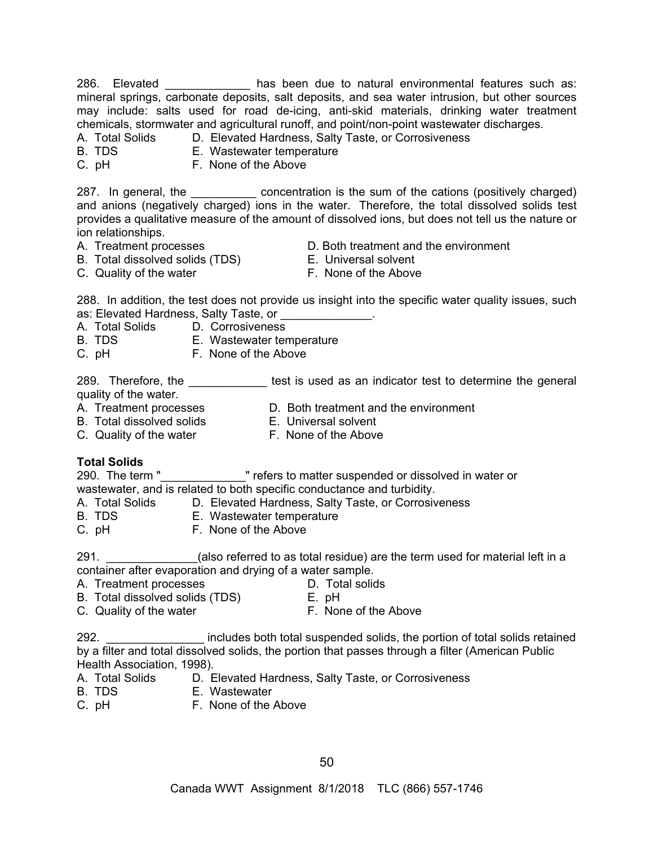286. Elevated \_\_\_\_\_\_\_\_\_\_\_\_\_\_ has been due to natural environmental features such as: mineral springs, carbonate deposits, salt deposits, and sea water intrusion, but other sources may include: salts used for road de-icing, anti-skid materials, drinking water treatment chemicals, stormwater and agricultural runoff, and point/non-point wastewater discharges.

A. Total Solids D. Elevated Hardness, Salty Taste, or Corrosiveness

- 
- B. TDS E. Wastewater temperature
- C. pH F. None of the Above

287. In general, the \_\_\_\_\_\_\_\_\_\_\_\_ concentration is the sum of the cations (positively charged) and anions (negatively charged) ions in the water. Therefore, the total dissolved solids test provides a qualitative measure of the amount of dissolved ions, but does not tell us the nature or ion relationships.

- 
- A. Treatment processes **Exercise EXEC** D. Both treatment and the environment
- B. Total dissolved solids (TDS) E. Universal solvent
- C. Quality of the water **F. None of the Above**
- -

288. In addition, the test does not provide us insight into the specific water quality issues, such as: Elevated Hardness, Salty Taste, or \_\_\_\_\_\_\_\_\_\_\_\_\_\_.

A. Total Solids D. Corrosiveness

B. TDS E. Wastewater temperature

C. pH **F. None of the Above** 

289. Therefore, the \_\_\_\_\_\_\_\_\_\_\_\_\_\_ test is used as an indicator test to determine the general quality of the water.

- 
- B. Total dissolved solids **E. Universal solvent**
- 
- 
- A. Treatment processes CD. Both treatment and the environment<br>
B. Total dissolved solids E. Universal solvent<br>
C. Quality of the water F. None of the Above C. Quality of the water **F. None of the Above**

# **Total Solids**

290. The term "\_\_\_\_\_\_\_\_\_\_\_\_\_\_\_" refers to matter suspended or dissolved in water or wastewater, and is related to both specific conductance and turbidity.

A. Total Solids D. Elevated Hardness, Salty Taste, or Corrosiveness

- B. TDS E. Wastewater temperature
- C. pH F. None of the Above

291. **Example 201.** (also referred to as total residue) are the term used for material left in a container after evaporation and drying of a water sample.

- A. Treatment processes **D. Total solids** 
	-
- B. Total dissolved solids (TDS) E. pH
- C. Quality of the water **F. None of the Above**
- 292. \_\_\_\_\_\_\_\_\_\_\_\_\_\_\_ includes both total suspended solids, the portion of total solids retained by a filter and total dissolved solids, the portion that passes through a filter (American Public Health Association, 1998).
- A. Total Solids D. Elevated Hardness, Salty Taste, or Corrosiveness
- B. TDS E. Wastewater
- C. pH F. None of the Above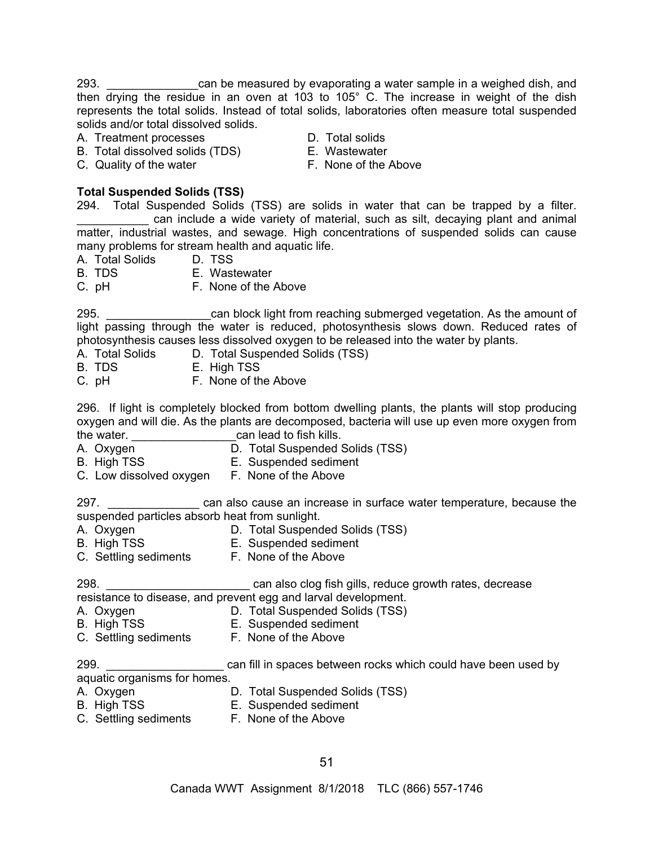293. \_\_\_\_\_\_\_\_\_\_\_\_\_\_can be measured by evaporating a water sample in a weighed dish, and then drying the residue in an oven at 103 to 105° C. The increase in weight of the dish represents the total solids. Instead of total solids, laboratories often measure total suspended solids and/or total dissolved solids.

A. Treatment processes **D.** D. Total solids

- B. Total dissolved solids (TDS) E. Wastewater
- C. Quality of the water F. None of the Above
- 
- 

# **Total Suspended Solids (TSS)**

294. Total Suspended Solids (TSS) are solids in water that can be trapped by a filter. can include a wide variety of material, such as silt, decaying plant and animal matter, industrial wastes, and sewage. High concentrations of suspended solids can cause many problems for stream health and aquatic life.

- A. Total Solids D. TSS
- B. TDS E. Wastewater

C. pH F. None of the Above

295. \_\_\_\_\_\_\_\_\_\_\_\_\_\_\_\_can block light from reaching submerged vegetation. As the amount of light passing through the water is reduced, photosynthesis slows down. Reduced rates of photosynthesis causes less dissolved oxygen to be released into the water by plants.

A. Total Solids D. Total Suspended Solids (TSS)

- B. TDS E. High TSS
- C. pH F. None of the Above

296. If light is completely blocked from bottom dwelling plants, the plants will stop producing oxygen and will die. As the plants are decomposed, bacteria will use up even more oxygen from the water. \_\_\_\_\_\_\_\_\_\_\_\_\_\_\_\_can lead to fish kills.

- A. Oxygen D. Total Suspended Solids (TSS)
- B. High TSS **E.** Suspended sediment
- C. Low dissolved oxygen F. None of the Above

297. **Example 2014** can also cause an increase in surface water temperature, because the suspended particles absorb heat from sunlight.

- A. Oxygen D. Total Suspended Solids (TSS)
- 
- A. Uxygen<br>B. High TSS E. Suspended sediment
- C. Settling sediments F. None of the Above

298. \_\_\_\_\_\_\_\_\_\_\_\_\_\_\_\_\_\_\_\_\_\_ can also clog fish gills, reduce growth rates, decrease

resistance to disease, and prevent egg and larval development.

- A. Oxygen **D. Total Suspended Solids (TSS)**
- B. High TSS **E.** Suspended sediment
- C. Settling sediments F. None of the Above

299. **Example 2008** 299. **Example 2014** can fill in spaces between rocks which could have been used by aquatic organisms for homes.

- 
- A. Oxygen D. Total Suspended Solids (TSS)
- 
- E. Suspended sediment
- C. Settling sediments F. None of the Above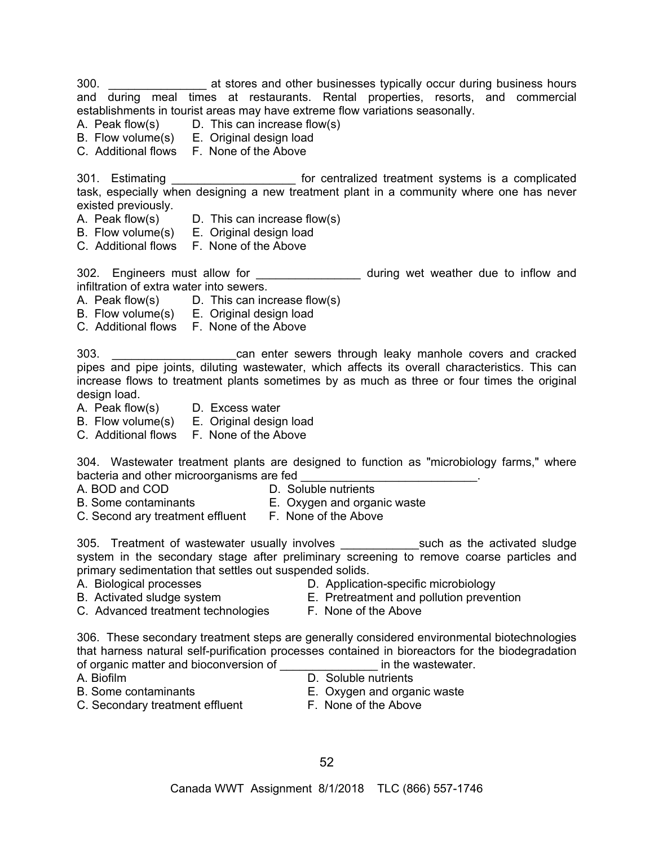300. \_\_\_\_\_\_\_\_\_\_\_\_\_\_\_ at stores and other businesses typically occur during business hours and during meal times at restaurants. Rental properties, resorts, and commercial establishments in tourist areas may have extreme flow variations seasonally.

- A. Peak flow(s) D. This can increase flow(s)
- B. Flow volume(s) E. Original design load
- C. Additional flows F. None of the Above

301. Estimating *\_\_\_\_\_\_\_\_\_\_\_\_\_\_\_\_\_\_\_\_\_* for centralized treatment systems is a complicated task, especially when designing a new treatment plant in a community where one has never existed previously.

- A. Peak flow(s) D. This can increase flow(s)
- B. Flow volume(s) E. Original design load
- C. Additional flows F. None of the Above

302. Engineers must allow for \_\_\_\_\_\_\_\_\_\_\_\_\_\_\_\_\_ during wet weather due to inflow and infiltration of extra water into sewers.

- A. Peak flow(s) D. This can increase flow(s)
- B. Flow volume(s) E. Original design load
- C. Additional flows F. None of the Above

303. \_\_\_\_\_\_\_\_\_\_\_\_\_\_\_\_\_\_\_can enter sewers through leaky manhole covers and cracked pipes and pipe joints, diluting wastewater, which affects its overall characteristics. This can increase flows to treatment plants sometimes by as much as three or four times the original design load.

- A. Peak flow(s) D. Excess water
- B. Flow volume(s) E. Original design load
- C. Additional flows F. None of the Above

304. Wastewater treatment plants are designed to function as "microbiology farms," where bacteria and other microorganisms are fed

- A. BOD and COD D. Soluble nutrients
- B. Some contaminants E. Oxygen and organic waste
- C. Second ary treatment effluent F. None of the Above

305. Treatment of wastewater usually involves \_\_\_\_\_\_\_\_\_\_\_\_\_\_\_such as the activated sludge system in the secondary stage after preliminary screening to remove coarse particles and primary sedimentation that settles out suspended solids.

- 
- 
- A. Biological processes **D. Application-specific microbiology**
- B. Activated sludge system **E. Pretreatment and pollution prevention**
- C. Advanced treatment technologies F. None of the Above
- 
- 
- 
- 

306. These secondary treatment steps are generally considered environmental biotechnologies that harness natural self-purification processes contained in bioreactors for the biodegradation of organic matter and bioconversion of \_\_\_\_\_\_\_\_\_\_\_\_\_\_\_ in the wastewater.

- 
- A. Biofilm D. Soluble nutrients
- B. Some contaminants E. Oxygen and organic waste
- -
- C. Secondary treatment effluent F. None of the Above
	-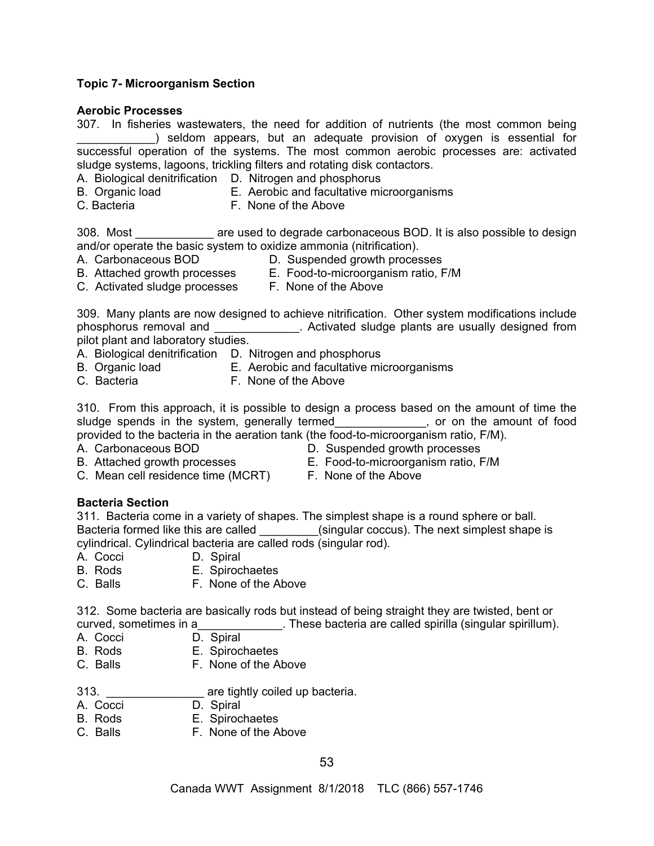## **Topic 7- Microorganism Section**

#### **Aerobic Processes**

|                                                                          |  | 307. In fisheries wastewaters, the need for addition of nutrients (the most common being |
|--------------------------------------------------------------------------|--|------------------------------------------------------------------------------------------|
|                                                                          |  | seldom appears, but an adequate provision of oxygen is essential for                     |
|                                                                          |  | successful operation of the systems. The most common aerobic processes are: activated    |
| sludge systems, lagoons, trickling filters and rotating disk contactors. |  |                                                                                          |

- A. Biological denitrification D. Nitrogen and phosphorus
- B. Organic load **E.** Aerobic and facultative microorganisms
- C. BacteriaF. None of the Above

308. Most **Subset Lace are used to degrade carbonaceous BOD.** It is also possible to design and/or operate the basic system to oxidize ammonia (nitrification).

- 
- A. Carbonaceous BOD D. Suspended growth processes
- B. Attached growth processes E.Food-to-microorganism ratio, F/M
- 
- C. Activated sludge processes F. None of the Above
- 309. Many plants are now designed to achieve nitrification. Other system modifications include phosphorus removal and **the same of the set of the set of the set of the set of the set of the set of the set of the set of the set of the set of the set of the set of the set of the set of the set of the set of the set of** pilot plant and laboratory studies.
- A. Biological denitrification D. Nitrogen and phosphorus
- B.Organic load E. Aerobic and facultative microorganisms
- C.BacteriaF. None of the Above

310. From this approach, it is possible to design a process based on the amount of time the sludge spends in the system, generally termed entity is not on the amount of food provided to the bacteria in the aeration tank (the food-to-microorganism ratio, F/M).

- A. Carbonaceous BOD **D.** Suspended growth processes
- B. Attached growth processes E.Food-to-microorganism ratio, F/M
- C. Mean cell residence time (MCRT) F. None of the Above

# **Bacteria Section**

311. Bacteria come in a variety of shapes. The simplest shape is a round sphere or ball. Bacteria formed like this are called **Examples** (singular coccus). The next simplest shape is cylindrical. Cylindrical bacteria are called rods (singular rod).

- A. Cocci D. Spiral
- B. Rods E. Spirochaetes
- C. Balls F. None of the Above

312. Some bacteria are basically rods but instead of being straight they are twisted, bent or curved, sometimes in a\_\_\_\_\_\_\_\_\_\_\_\_\_. These bacteria are called spirilla (singular spirillum).

- A. Cocci D. Spiral
- B. Rods E. Spirochaetes
- C. Balls F. None of the Above
- 313. \_\_\_\_\_\_\_\_\_\_\_\_\_\_\_ are tightly coiled up bacteria.
- A. Cocci D. Spiral
- B. Rods E. Spirochaetes<br>C. Balls E. None of the A
- F. None of the Above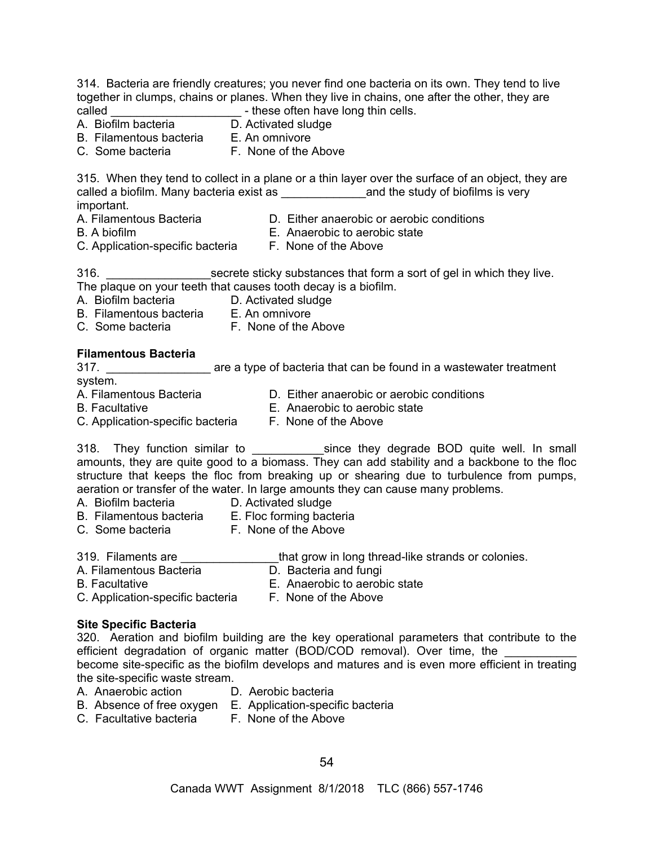314. Bacteria are friendly creatures; you never find one bacteria on its own. They tend to live together in clumps, chains or planes. When they live in chains, one after the other, they are called \_\_\_\_\_\_\_\_\_\_\_\_\_\_\_\_\_\_\_\_ - these often have long thin cells.

- 
- $\overline{D}$ . Activated sludge
- B. Filamentous bacteria E. An omnivore
- C. Some bacteria **F. None of the Above**

315. When they tend to collect in a plane or a thin layer over the surface of an object, they are called a biofilm. Many bacteria exist as \_\_\_\_\_\_\_\_\_\_\_\_\_and the study of biofilms is very important.<br>A. Filamentous Bacteria

- 
- D. Either anaerobic or aerobic conditions
- 
- B. A biofilm E. Anaerobic to aerobic state
- C. Application-specific bacteria F. None of the Above
	-

316. **Example 316.** Secrete sticky substances that form a sort of gel in which they live. The plaque on your teeth that causes tooth decay is a biofilm.

- A. Biofilm bacteria D. Activated sludge
- B. Filamentous bacteria E. An omnivore
- C. Some bacteria F. None of the Above

#### **Filamentous Bacteria**

317. \_\_\_\_\_\_\_\_\_\_\_\_\_\_\_\_ are a type of bacteria that can be found in a wastewater treatment system. A. Filamentous Bacteria D. Either anaerobic or aerobic conditions

- 
- B. Facultative E. Anaerobic to aerobic state
- C. Application-specific bacteria F. None of the Above
	-

318. They function similar to **Example 20 since they degrade BOD** quite well. In small amounts, they are quite good to a biomass. They can add stability and a backbone to the floc structure that keeps the floc from breaking up or shearing due to turbulence from pumps, aeration or transfer of the water. In large amounts they can cause many problems.

- A. Biofilm bacteria D. Activated sludge
- B. Filamentous bacteria E. Floc forming bacteria
- C. Some bacteria F. None of the Above
- 319. Filaments are \_\_\_\_\_\_\_\_\_\_\_\_\_\_\_that grow in long thread-like strands or colonies.
- A. Filamentous Bacteria **D.** Bacteria and fungi
- 
- 
- B. Facultative E. Anaerobic to aerobic state
- C. Application-specific bacteria F. None of the Above

#### **Site Specific Bacteria**

320. Aeration and biofilm building are the key operational parameters that contribute to the efficient degradation of organic matter (BOD/COD removal). Over time, the become site-specific as the biofilm develops and matures and is even more efficient in treating the site-specific waste stream.

- A. Anaerobic action D. Aerobic bacteria
	-
- B. Absence of free oxygen E. Application-specific bacteria
- C. Facultative bacteria F. None of the Above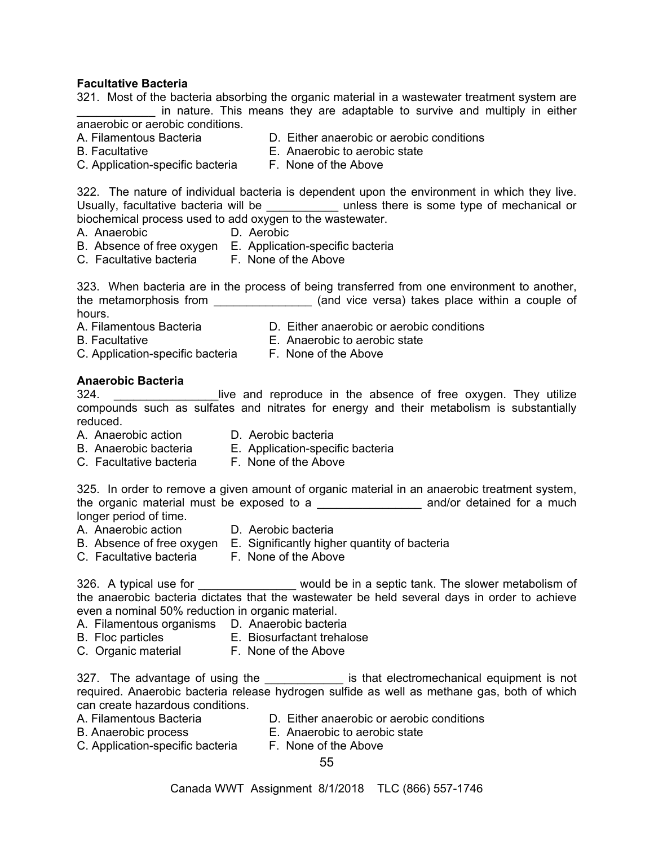## **Facultative Bacteria**

321. Most of the bacteria absorbing the organic material in a wastewater treatment system are in nature. This means they are adaptable to survive and multiply in either anaerobic or aerobic conditions.

- A. Filamentous Bacteria D. Either anaerobic or aerobic conditions
- B. Facultative E. Anaerobic to aerobic state
- C. Application-specific bacteria F. None of the Above

322. The nature of individual bacteria is dependent upon the environment in which they live. Usually, facultative bacteria will be \_\_\_\_\_\_\_\_\_\_\_\_ unless there is some type of mechanical or biochemical process used to add oxygen to the wastewater.

- A. Anaerobic D. Aerobic
- B. Absence of free oxygen E. Application-specific bacteria
- C. Facultative bacteria F. None of the Above

323. When bacteria are in the process of being transferred from one environment to another, the metamorphosis from \_\_\_\_\_\_\_\_\_\_\_\_\_\_\_\_\_ (and vice versa) takes place within a couple of hours.<br>A. Filamentous Bacteria

- 
- 
- D. Either anaerobic or aerobic conditions B. Facultative E. Anaerobic to aerobic state
- 
- C. Application-specific bacteria F. None of the Above

# **Anaerobic Bacteria**

324. **Example 20 Except** live and reproduce in the absence of free oxygen. They utilize compounds such as sulfates and nitrates for energy and their metabolism is substantially reduced.

- 
- A. Anaerobic action D. Aerobic bacteria
- B. Anaerobic bacteria E. Application-specific bacteria
- C. Facultative bacteria F. None of the Above

325. In order to remove a given amount of organic material in an anaerobic treatment system, the organic material must be exposed to a \_\_\_\_\_\_\_\_\_\_\_\_\_\_\_\_\_\_\_\_\_ and/or detained for a much

- longer period of time.
- D. Aerobic bacteria
- B. Absence of free oxygen E. Significantly higher quantity of bacteria
	-
- 
- C. Facultative bacteria F. None of the Above

326. A typical use for \_\_\_\_\_\_\_\_\_\_\_\_\_\_\_\_ would be in a septic tank. The slower metabolism of the anaerobic bacteria dictates that the wastewater be held several days in order to achieve even a nominal 50% reduction in organic material.

- A. Filamentous organisms D. Anaerobic bacteria
- B. Floc particles E. Biosurfactant trehalose
- C. Organic material F. None of the Above

327. The advantage of using the \_\_\_\_\_\_\_\_\_\_\_\_\_ is that electromechanical equipment is not required. Anaerobic bacteria release hydrogen sulfide as well as methane gas, both of which can create hazardous conditions.

- A. Filamentous Bacteria D. Either anaerobic or aerobic conditions
- B. Anaerobic process E. Anaerobic to aerobic state
- C. Application-specific bacteria F. None of the Above

55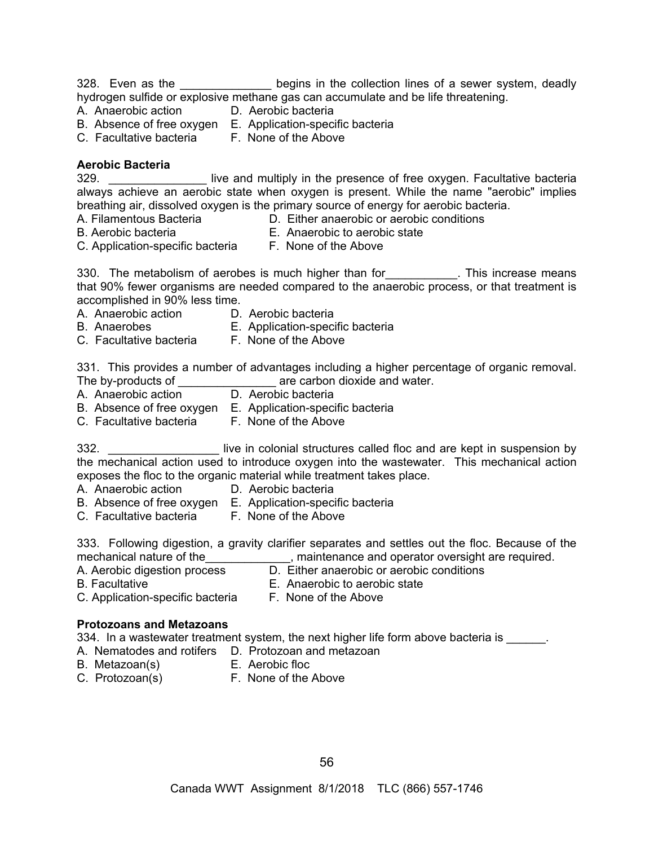328. Even as the \_\_\_\_\_\_\_\_\_\_\_\_\_\_\_ begins in the collection lines of a sewer system, deadly hydrogen sulfide or explosive methane gas can accumulate and be life threatening.

- A. Anaerobic action D. Aerobic bacteria
- B. Absence of free oxygen E. Application-specific bacteria
- C. Facultative bacteria F. None of the Above

# **Aerobic Bacteria**

329. **Example 329.** Iive and multiply in the presence of free oxygen. Facultative bacteria always achieve an aerobic state when oxygen is present. While the name "aerobic" implies breathing air, dissolved oxygen is the primary source of energy for aerobic bacteria.

- 
- A. Filamentous Bacteria D. Either anaerobic or aerobic conditions
- 
- B. Aerobic bacteria E. Anaerobic to aerobic state
- C. Application-specific bacteria F. None of the Above
	-

330. The metabolism of aerobes is much higher than for \_\_\_\_\_\_\_\_\_\_. This increase means that 90% fewer organisms are needed compared to the anaerobic process, or that treatment is accomplished in 90% less time.

- A. Anaerobic action D. Aerobic bacteria
- B. Anaerobes E. Application-specific bacteria
- C. Facultative bacteria F. None of the Above

331. This provides a number of advantages including a higher percentage of organic removal. The by-products of **Exercise 2** are carbon dioxide and water.

- A. Anaerobic action D. Aerobic bacteria
- B. Absence of free oxygen E. Application-specific bacteria
- C. Facultative bacteria F. None of the Above

332. **Example 332.** Iive in colonial structures called floc and are kept in suspension by the mechanical action used to introduce oxygen into the wastewater. This mechanical action exposes the floc to the organic material while treatment takes place.

- A. Anaerobic action D. Aerobic bacteria
- B. Absence of free oxygen E. Application-specific bacteria
- C. Facultative bacteria F. None of the Above

333. Following digestion, a gravity clarifier separates and settles out the floc. Because of the mechanical nature of the metal maintenance and operator oversight are required.

A. Aerobic digestion process D. Either anaerobic or aerobic conditions

- 
- B. Facultative E. Anaerobic to aerobic state
- C. Application-specific bacteria F. None of the Above
	-

# **Protozoans and Metazoans**

334. In a wastewater treatment system, the next higher life form above bacteria is

- A. Nematodes and rotifers D. Protozoan and metazoan
- B. Metazoan(s) E. Aerobic floc
	-
- 
- C. Protozoan(s) F. None of the Above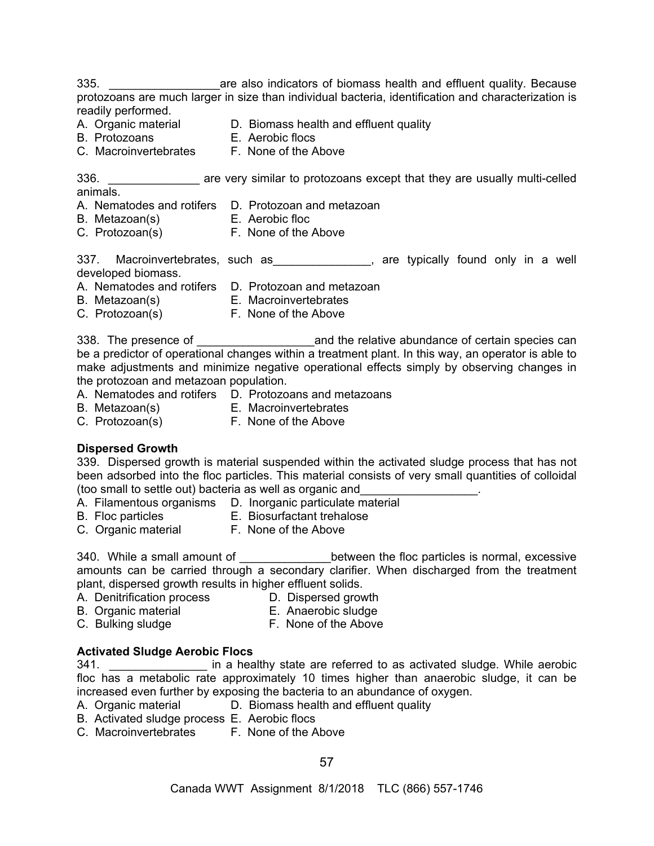335. \_\_\_\_\_\_\_\_\_\_\_\_\_\_\_\_\_are also indicators of biomass health and effluent quality. Because protozoans are much larger in size than individual bacteria, identification and characterization is readily performed.

A. Organic material **D. Biomass health and effluent quality** 

- B. Protozoans E. Aerobic flocs
- C. Macroinvertebrates F. None of the Above

336. **Example 336.** The very similar to protozoans except that they are usually multi-celled animals.

- A. Nematodes and rotifers D. Protozoan and metazoan
- B. Metazoan(s) E. Aerobic floc
	-
- C. Protozoan(s) F. None of the Above

337. Macroinvertebrates, such as \_\_\_\_\_\_\_\_\_\_\_\_\_, are typically found only in a well developed biomass.

- A. Nematodes and rotifers D. Protozoan and metazoan
- B. Metazoan(s) E. Macroinvertebrates
- C. Protozoan(s) F. None of the Above

338. The presence of \_\_\_\_\_\_\_\_\_\_\_\_\_\_\_\_\_\_and the relative abundance of certain species can be a predictor of operational changes within a treatment plant. In this way, an operator is able to make adjustments and minimize negative operational effects simply by observing changes in the protozoan and metazoan population.

- A. Nematodes and rotifers D. Protozoans and metazoans
- B. Metazoan(s) E. Macroinvertebrates
- 
- C. Protozoan(s) F. None of the Above

# **Dispersed Growth**

339. Dispersed growth is material suspended within the activated sludge process that has not been adsorbed into the floc particles. This material consists of very small quantities of colloidal (too small to settle out) bacteria as well as organic and\_\_\_\_\_\_\_\_\_\_\_\_\_\_\_\_\_\_.

- A. Filamentous organisms D. Inorganic particulate material
- 
- B. Floc particles E. Biosurfactant trehalose
- C. Organic material F. None of the Above
	-

340. While a small amount of \_\_\_\_\_\_\_\_\_\_\_\_\_\_\_between the floc particles is normal, excessive amounts can be carried through a secondary clarifier. When discharged from the treatment plant, dispersed growth results in higher effluent solids.

- A. Denitrification process D. Dispersed growth
	-
- 
- B. Organic material E. Anaerobic sludge C. Bulking sludge **F. None of the Above**

# **Activated Sludge Aerobic Flocs**

341. **Example 341.** The angular in a healthy state are referred to as activated sludge. While aerobic floc has a metabolic rate approximately 10 times higher than anaerobic sludge, it can be increased even further by exposing the bacteria to an abundance of oxygen.<br>A. Organic material **D. Biomass health and effluent quality** 

- D. Biomass health and effluent quality
- B. Activated sludge process E. Aerobic flocs
- C. Macroinvertebrates F. None of the Above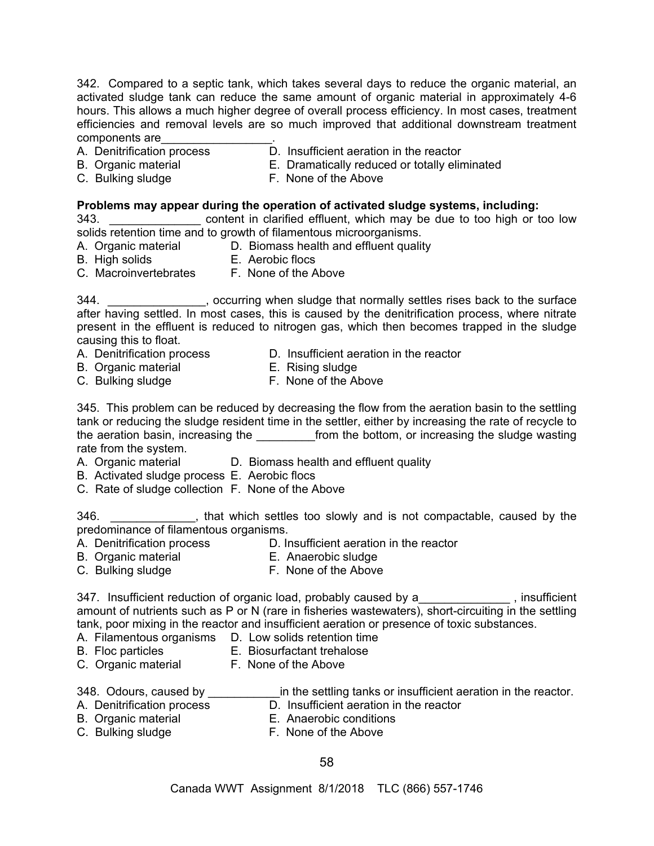342. Compared to a septic tank, which takes several days to reduce the organic material, an activated sludge tank can reduce the same amount of organic material in approximately 4-6 hours. This allows a much higher degree of overall process efficiency. In most cases, treatment efficiencies and removal levels are so much improved that additional downstream treatment components are\_\_\_\_\_\_\_\_\_\_\_\_\_\_\_\_\_.

- 
- A. Denitrification process D. Insufficient aeration in the reactor
- B. Organic material E. Dramatically reduced or totally eliminated
- C. Bulking sludge F. None of the Above

## **Problems may appear during the operation of activated sludge systems, including:**

343. \_\_\_\_\_\_\_\_\_\_\_\_\_\_\_\_\_\_ content in clarified effluent, which may be due to too high or too low solids retention time and to growth of filamentous microorganisms.

A. Organic material **D. Biomass health and effluent quality** 

B. High solids E. Aerobic flocs

C. Macroinvertebrates F. None of the Above

344. \_\_\_\_\_\_\_\_\_\_\_\_\_\_\_, occurring when sludge that normally settles rises back to the surface after having settled. In most cases, this is caused by the denitrification process, where nitrate present in the effluent is reduced to nitrogen gas, which then becomes trapped in the sludge causing this to float.

- A. Denitrification process D. Insufficient aeration in the reactor
- B. Organic material E. Rising sludge
- 
- C. Bulking sludge **F. None of the Above**

345. This problem can be reduced by decreasing the flow from the aeration basin to the settling tank or reducing the sludge resident time in the settler, either by increasing the rate of recycle to the aeration basin, increasing the strom the bottom, or increasing the sludge wasting rate from the system.

- 
- A. Organic material **D. Biomass health and effluent quality**
- B. Activated sludge process E. Aerobic flocs
- C. Rate of sludge collection F. None of the Above

346. **Example 246.** A state which settles too slowly and is not compactable, caused by the predominance of filamentous organisms.

- A. Denitrification process D. Insufficient aeration in the reactor
- B. Organic material E. Anaerobic sludge
- C. Bulking sludge **F. None of the Above**

347. Insufficient reduction of organic load, probably caused by a\_\_\_\_\_\_\_\_\_\_\_\_\_\_, insufficient amount of nutrients such as P or N (rare in fisheries wastewaters), short-circuiting in the settling tank, poor mixing in the reactor and insufficient aeration or presence of toxic substances.

- A. Filamentous organisms D. Low solids retention time
- B. Floc particles E. Biosurfactant trehalose
- C. Organic material F. None of the Above
- 348. Odours, caused by **example 20 in the settling tanks or insufficient aeration in the reactor.**
- A. Denitrification process D. Insufficient aeration in the reactor
	-
- 
- A. Deminication process<br>B. Organic material E. Anaerobic conditions<br>E. Nano of the Above
- C. Bulking sludge **F. None of the Above**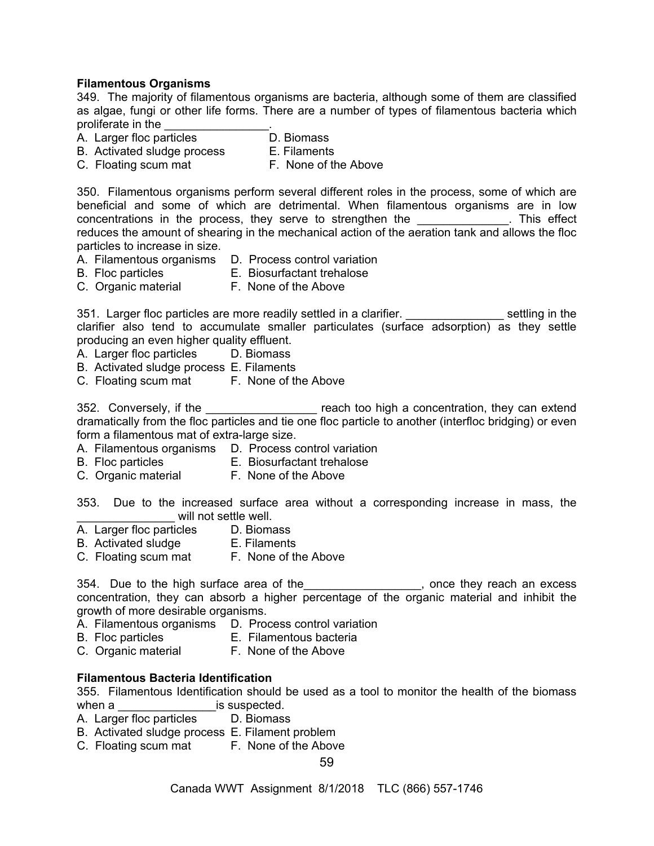## **Filamentous Organisms**

349. The majority of filamentous organisms are bacteria, although some of them are classified as algae, fungi or other life forms. There are a number of types of filamentous bacteria which proliferate in the

- A. Larger floc particles D. Biomass
- B. Activated sludge process E. Filaments
- C. Floating scum mat F. None of the Above

350. Filamentous organisms perform several different roles in the process, some of which are beneficial and some of which are detrimental. When filamentous organisms are in low concentrations in the process, they serve to strengthen the **with the concentrations** in the process, they serve to strengthen the reduces the amount of shearing in the mechanical action of the aeration tank and allows the floc particles to increase in size.

- A. Filamentous organisms D. Process control variation
- B. Floc particles E. Biosurfactant trehalose
- 
- C. Organic material F. None of the Above

351. Larger floc particles are more readily settled in a clarifier. \_\_\_\_\_\_\_\_\_\_\_\_\_\_\_\_\_\_\_\_ settling in the clarifier also tend to accumulate smaller particulates (surface adsorption) as they settle producing an even higher quality effluent.

- A. Larger floc particles D. Biomass
- B. Activated sludge process E. Filaments
- C. Floating scum mat F. None of the Above

352. Conversely, if the \_\_\_\_\_\_\_\_\_\_\_\_\_\_\_\_\_ reach too high a concentration, they can extend dramatically from the floc particles and tie one floc particle to another (interfloc bridging) or even form a filamentous mat of extra-large size.

- A. Filamentous organisms D. Process control variation
- B. Floc particles E. Biosurfactant trehalose
- C. Organic material F. None of the Above

353. Due to the increased surface area without a corresponding increase in mass, the will not settle well.

- A. Larger floc particles D. Biomass
- B. Activated sludge **E. Filaments**
- C. Floating scum mat F. None of the Above

354. Due to the high surface area of the\_\_\_\_\_\_\_\_\_\_\_\_\_\_\_\_\_, once they reach an excess concentration, they can absorb a higher percentage of the organic material and inhibit the growth of more desirable organisms.

- A. Filamentous organisms D. Process control variation
- B. Floc particles E. Filamentous bacteria
- C. Organic material F. None of the Above

#### **Filamentous Bacteria Identification**

355. Filamentous Identification should be used as a tool to monitor the health of the biomass when a \_\_\_\_\_\_\_\_\_\_\_\_\_\_\_\_\_\_\_\_\_\_ is suspected.

- A. Larger floc particles D. Biomass
- B. Activated sludge process E. Filament problem
- C. Floating scum mat F. None of the Above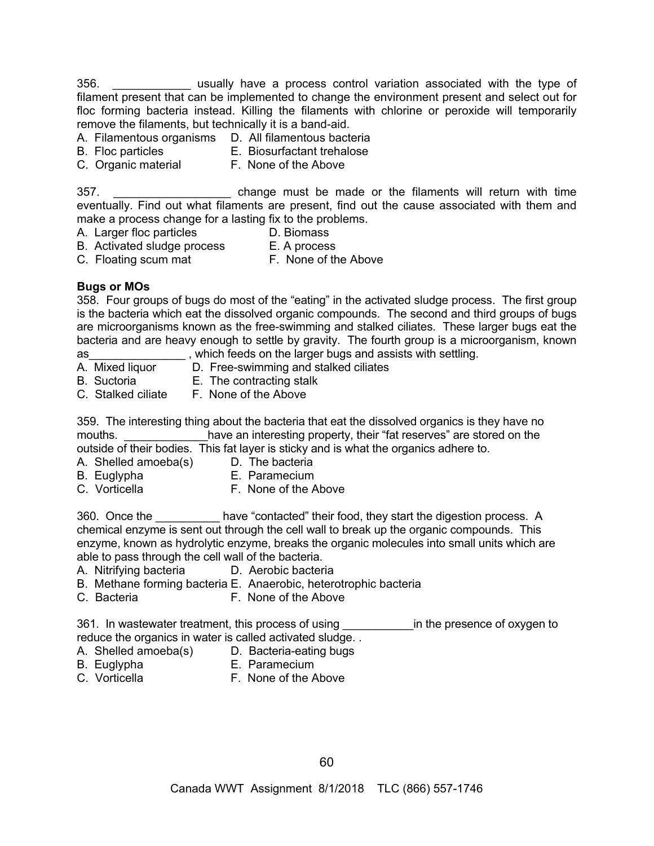356. \_\_\_\_\_\_\_\_\_\_\_\_ usually have a process control variation associated with the type of filament present that can be implemented to change the environment present and select out for floc forming bacteria instead. Killing the filaments with chlorine or peroxide will temporarily remove the filaments, but technically it is a band-aid.

- A. Filamentous organisms D. All filamentous bacteria
- B. Floc particles E. Biosurfactant trehalose
- C. Organic material F. None of the Above

357. \_\_\_\_\_\_\_\_\_\_\_\_\_\_\_\_\_\_ change must be made or the filaments will return with time eventually. Find out what filaments are present, find out the cause associated with them and make a process change for a lasting fix to the problems.

- A. Larger floc particles **D. Biomass**
- B. Activated sludge process E. A process
- C. Floating scum mat F. None of the Above

# **Bugs or MOs**

358. Four groups of bugs do most of the "eating" in the activated sludge process. The first group is the bacteria which eat the dissolved organic compounds. The second and third groups of bugs are microorganisms known as the free-swimming and stalked ciliates. These larger bugs eat the bacteria and are heavy enough to settle by gravity. The fourth group is a microorganism, known as\_\_\_\_\_\_\_\_\_\_\_\_\_\_\_ , which feeds on the larger bugs and assists with settling.

- A. Mixed liquor D. Free-swimming and stalked ciliates
- B. Suctoria E. The contracting stalk
- C. Stalked ciliate F. None of the Above

359. The interesting thing about the bacteria that eat the dissolved organics is they have no mouths. The vean interesting property, their "fat reserves" are stored on the outside of their bodies. This fat layer is sticky and is what the organics adhere to.

- A. Shelled amoeba(s) D. The bacteria
	-
- 
- B. Euglypha E. Paramecium
- 
- C. Vorticella **F. None of the Above**

360. Once the have "contacted" their food, they start the digestion process. A chemical enzyme is sent out through the cell wall to break up the organic compounds. This enzyme, known as hydrolytic enzyme, breaks the organic molecules into small units which are able to pass through the cell wall of the bacteria.

- A. Nitrifying bacteria D. Aerobic bacteria
- B. Methane forming bacteria E. Anaerobic, heterotrophic bacteria
- C. Bacteria F. None of the Above

361. In wastewater treatment, this process of using The using the presence of oxygen to reduce the organics in water is called activated sludge. .

- A. Shelled amoeba(s) D. Bacteria-eating bugs
- B. Euglypha E. Paramecium
- 
- C. Vorticella **F. None of the Above**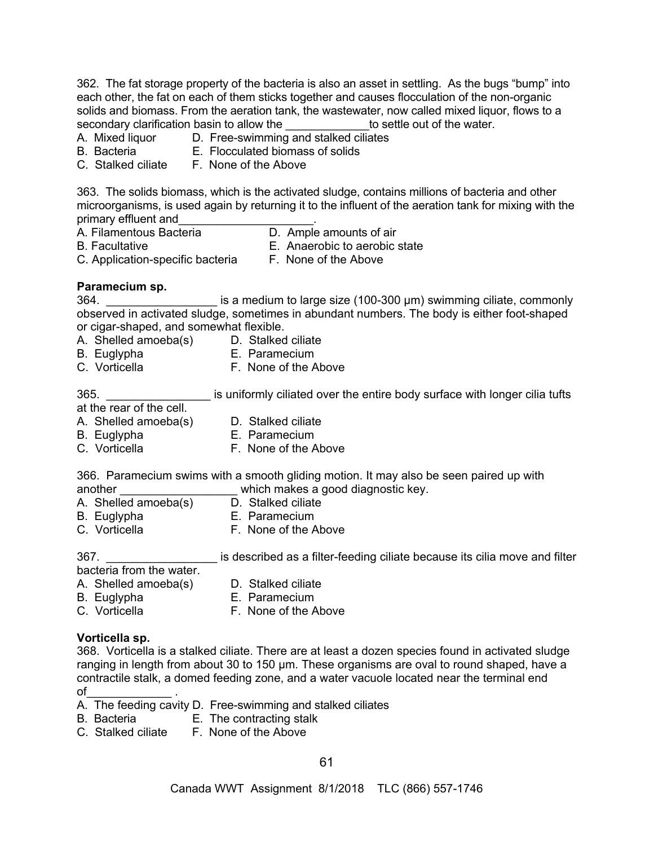362. The fat storage property of the bacteria is also an asset in settling. As the bugs "bump" into each other, the fat on each of them sticks together and causes flocculation of the non-organic solids and biomass. From the aeration tank, the wastewater, now called mixed liquor, flows to a secondary clarification basin to allow the the settle out of the water.

- A. Mixed liquor D. Free-swimming and stalked ciliates
- 
- B. Bacteria E. Flocculated biomass of solids
- C. Stalked ciliate F. None of the Above

363. The solids biomass, which is the activated sludge, contains millions of bacteria and other microorganisms, is used again by returning it to the influent of the aeration tank for mixing with the primary effluent and

- 
- A. Filamentous Bacteria **D.** Ample amounts of air
- 
- B. Facultative E. Anaerobic to aerobic state
- C. Application-specific bacteria F. None of the Above
- 

#### **Paramecium sp.**

364. \_\_\_\_\_\_\_\_\_\_\_\_\_\_\_\_\_\_\_\_\_\_ is a medium to large size (100-300 µm) swimming ciliate, commonly observed in activated sludge, sometimes in abundant numbers. The body is either foot-shaped or cigar-shaped, and somewhat flexible.

- A. Shelled amoeba(s) D. Stalked ciliate
	-
- B. Euglypha E. Paramecium
- C. Vorticella **F. None of the Above**

365. **Example 265** is uniformly ciliated over the entire body surface with longer cilia tufts

at the rear of the cell.

- A. Shelled amoeba(s) D. Stalked ciliate
- B. Euglypha E. Paramecium
- C. Vorticella **F. None of the Above**

366. Paramecium swims with a smooth gliding motion. It may also be seen paired up with another  $\frac{1}{2}$  which makes a good diagnostic key.<br>A Shelled amoeba(s) D Stalked ciliate

- A. Shelled amoeba(s)
- 
- B. Euglypha E. Paramecium<br>C. Vorticella F. None of the *P* F. None of the Above

367. \_\_\_\_\_\_\_\_\_\_\_\_\_\_\_\_\_ is described as a filter-feeding ciliate because its cilia move and filter bacteria from the water.

A. Shelled amoeba(s) D. Stalked ciliate

- 
- B. Euglypha E. Paramecium<br>C. Vorticella F. None of the A
- F. None of the Above

#### **Vorticella sp.**

368. Vorticella is a stalked ciliate. There are at least a dozen species found in activated sludge ranging in length from about 30 to 150 μm. These organisms are oval to round shaped, have a contractile stalk, a domed feeding zone, and a water vacuole located near the terminal end of

- A. The feeding cavity D. Free-swimming and stalked ciliates
- B. Bacteria **E.** The contracting stalk
- C. Stalked ciliate F. None of the Above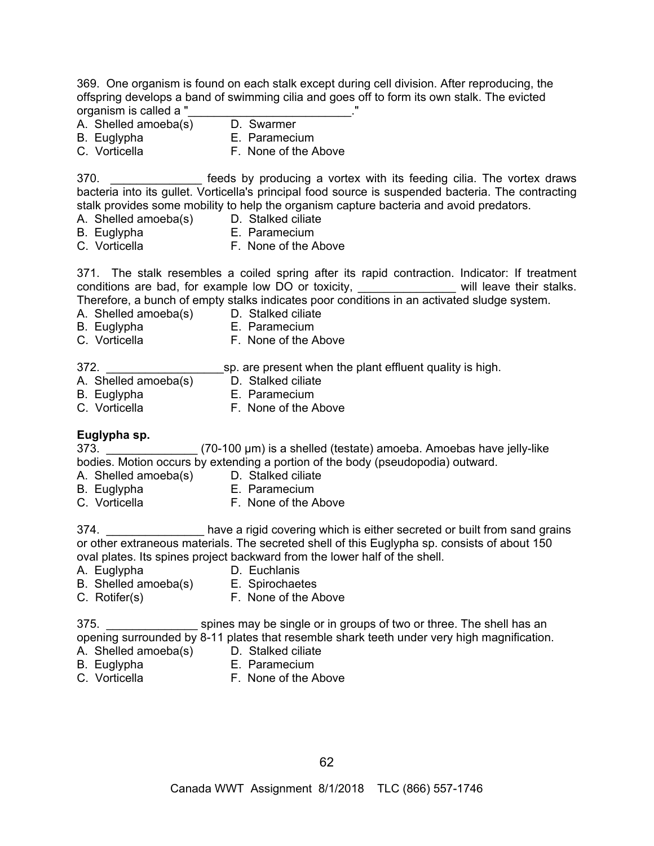369. One organism is found on each stalk except during cell division. After reproducing, the offspring develops a band of swimming cilia and goes off to form its own stalk. The evicted organism is called a "<br>A. Shelled amoeba(s) D. Swarmer

- A. Shelled amoeba(s)
- 
- 
- B. Euglypha E. Paramecium C. Vorticella **F. None of the Above**

370. **Example 12 Foode** by producing a vortex with its feeding cilia. The vortex draws bacteria into its gullet. Vorticella's principal food source is suspended bacteria. The contracting stalk provides some mobility to help the organism capture bacteria and avoid predators.

- A. Shelled amoeba(s)
- B. Euglypha E. Paramecium
- 
- 
- C. Vorticella F. None of the Above

371. The stalk resembles a coiled spring after its rapid contraction. Indicator: If treatment conditions are bad, for example low DO or toxicity, \_\_\_\_\_\_\_\_\_\_\_\_\_\_\_ will leave their stalks. Therefore, a bunch of empty stalks indicates poor conditions in an activated sludge system.

- A. Shelled amoeba(s) D. Stalked ciliate
- 
- B. Euglypha E. Paramecium
- 
- C. Vorticella **F. None of the Above**
- 372. \_\_\_\_\_\_\_\_\_\_\_\_\_\_\_\_\_\_sp. are present when the plant effluent quality is high.
- A. Shelled amoeba(s) D. Stalked ciliate
- B. Euglypha E. Paramecium
- 
- C. Vorticella **F. None of the Above**

# **Euglypha sp.**

373. *CO-100 μm)* is a shelled (testate) amoeba. Amoebas have jelly-like bodies. Motion occurs by extending a portion of the body (pseudopodia) outward.

- A. Shelled amoeba(s) D. Stalked ciliate
- B. Euglypha E. Paramecium
	-
- C. Vorticella **F. None of the Above**

374. **Example 20 have a rigid covering which is either secreted or built from sand grains** or other extraneous materials. The secreted shell of this Euglypha sp. consists of about 150 oval plates. Its spines project backward from the lower half of the shell.

- A. Euglypha D. Euchlanis
	-
- B. Shelled amoeba(s) E. Spirochaetes
- C. Rotifer(s) F. None of the Above

375. **Example 375.** Spines may be single or in groups of two or three. The shell has an opening surrounded by 8-11 plates that resemble shark teeth under very high magnification.

- A. Shelled amoeba(s) D. Stalked ciliate
- B. Euglypha E. Paramecium
- 
- 
- C. Vorticella **F. None of the Above**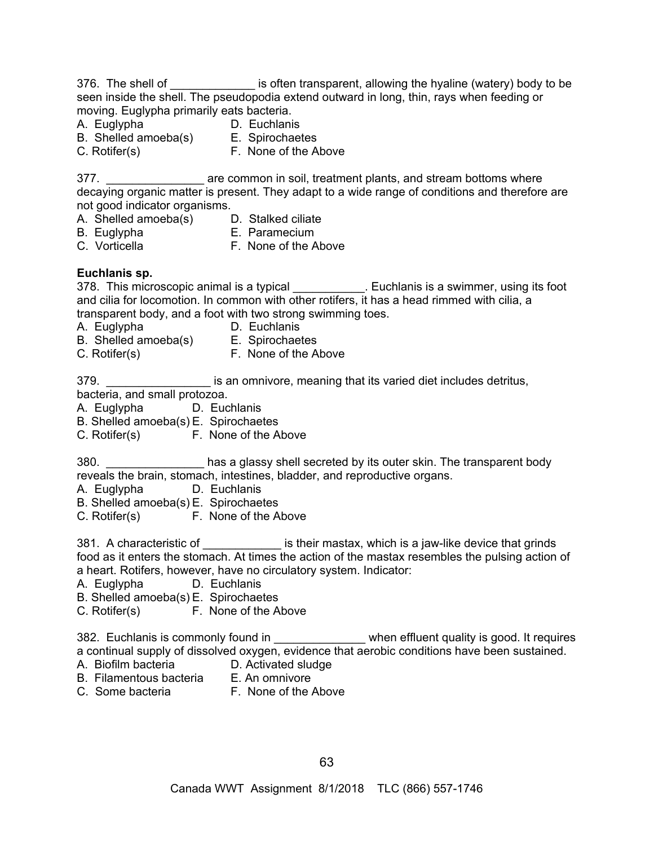|                                           | 376. The shell of _______________ is often transparent, allowing the hyaline (watery) body to be                                                                        |
|-------------------------------------------|-------------------------------------------------------------------------------------------------------------------------------------------------------------------------|
|                                           | seen inside the shell. The pseudopodia extend outward in long, thin, rays when feeding or                                                                               |
| moving. Euglypha primarily eats bacteria. |                                                                                                                                                                         |
|                                           |                                                                                                                                                                         |
|                                           |                                                                                                                                                                         |
|                                           |                                                                                                                                                                         |
|                                           |                                                                                                                                                                         |
|                                           | 377. ______________________ are common in soil, treatment plants, and stream bottoms where                                                                              |
|                                           | decaying organic matter is present. They adapt to a wide range of conditions and therefore are                                                                          |
| not good indicator organisms.             |                                                                                                                                                                         |
|                                           |                                                                                                                                                                         |
|                                           |                                                                                                                                                                         |
|                                           |                                                                                                                                                                         |
|                                           |                                                                                                                                                                         |
| Euchlanis sp.                             |                                                                                                                                                                         |
|                                           | 378. This microscopic animal is a typical ___________. Euchlanis is a swimmer, using its foot                                                                           |
|                                           | and cilia for locomotion. In common with other rotifers, it has a head rimmed with cilia, a                                                                             |
|                                           | transparent body, and a foot with two strong swimming toes.                                                                                                             |
| A. Euglypha                               | <b>Example 1</b> D. Euchlanis                                                                                                                                           |
|                                           | B. Shelled amoeba(s) E. Spirochaetes<br>C. Rotifer(s) F. None of the Above                                                                                              |
|                                           |                                                                                                                                                                         |
|                                           |                                                                                                                                                                         |
| 379.                                      | is an omnivore, meaning that its varied diet includes detritus,                                                                                                         |
| bacteria, and small protozoa.             |                                                                                                                                                                         |
| A. Euglypha D. Euchlanis                  |                                                                                                                                                                         |
| B. Shelled amoeba(s) E. Spirochaetes      |                                                                                                                                                                         |
| C. Rotifer(s) F. None of the Above        |                                                                                                                                                                         |
|                                           |                                                                                                                                                                         |
|                                           | 380. _________________ has a glassy shell secreted by its outer skin. The transparent body<br>reveals the brain, stomach, intestines, bladder, and reproductive organs. |
| A. Euglypha D. Euchlanis                  |                                                                                                                                                                         |
| B. Shelled amoeba(s) E. Spirochaetes      |                                                                                                                                                                         |
| C. Rotifer(s) F. None of the Above        |                                                                                                                                                                         |
|                                           |                                                                                                                                                                         |
|                                           | 381. A characteristic of _____________ is their mastax, which is a jaw-like device that grinds                                                                          |
|                                           | food as it enters the stomach. At times the action of the mastax resembles the pulsing action of                                                                        |
|                                           | a heart. Rotifers, however, have no circulatory system. Indicator:                                                                                                      |
| A. Euglypha                               | D. Euchlanis                                                                                                                                                            |
| B. Shelled amoeba(s) E. Spirochaetes      |                                                                                                                                                                         |
| C. Rotifer(s) F. None of the Above        |                                                                                                                                                                         |
|                                           |                                                                                                                                                                         |
|                                           | 382. Euchlanis is commonly found in _______________ when effluent quality is good. It requires                                                                          |
|                                           | a continual supply of dissolved oxygen, evidence that aerobic conditions have been sustained.                                                                           |
| A. Biofilm bacteria                       | D. Activated sludge                                                                                                                                                     |
| B. Filamentous bacteria E. An omnivore    |                                                                                                                                                                         |
|                                           | C. Some bacteria F. None of the Above                                                                                                                                   |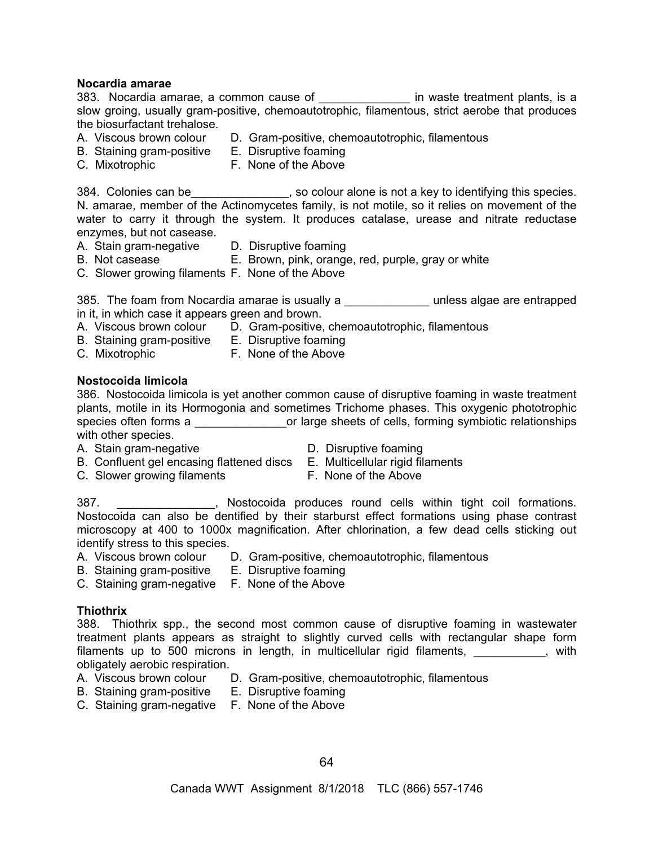#### **Nocardia amarae**

383. Nocardia amarae, a common cause of \_\_\_\_\_\_\_\_\_\_\_\_\_\_ in waste treatment plants, is a slow groing, usually gram-positive, chemoautotrophic, filamentous, strict aerobe that produces the biosurfactant trehalose.

- A. Viscous brown colour D. Gram-positive, chemoautotrophic, filamentous
- B. Staining gram-positive E. Disruptive foaming
- C. Mixotrophic F. None of the Above

384. Colonies can be subsequently so colour alone is not a key to identifying this species. N. amarae, member of the Actinomycetes family, is not motile, so it relies on movement of the water to carry it through the system. It produces catalase, urease and nitrate reductase enzymes, but not casease.

- -
- A. Stain gram-negative D. Disruptive foaming<br>B. Not casease B. Brown. bink. orange E. Brown, pink, orange, red, purple, gray or white
- C. Slower growing filaments F. None of the Above

385. The foam from Nocardia amarae is usually a **The Conveysion Conveysion Conveysion** unless algae are entrapped in it, in which case it appears green and brown.

- A. Viscous brown colour D. Gram-positive, chemoautotrophic, filamentous
- B. Staining gram-positive E. Disruptive foaming
- C. Mixotrophic F. None of the Above
- 

#### **Nostocoida limicola**

386. Nostocoida limicola is yet another common cause of disruptive foaming in waste treatment plants, motile in its Hormogonia and sometimes Trichome phases. This oxygenic phototrophic species often forms a \_\_\_\_\_\_\_\_\_\_\_\_\_\_\_\_\_\_\_\_\_or large sheets of cells, forming symbiotic relationships with other species.

- A. Stain gram-negative D. Disruptive foaming
	-
- B. Confluent gel encasing flattened discs E. Multicellular rigid filaments
- C. Slower growing filaments F. None of the Above
- -

387. \_\_\_\_\_\_\_\_\_\_\_\_\_\_\_, Nostocoida produces round cells within tight coil formations. Nostocoida can also be dentified by their starburst effect formations using phase contrast microscopy at 400 to 1000x magnification. After chlorination, a few dead cells sticking out identify stress to this species.

- A. Viscous brown colour D. Gram-positive, chemoautotrophic, filamentous
- B. Staining gram-positive E. Disruptive foaming
- C. Staining gram-negative F. None of the Above

#### **Thiothrix**

388. Thiothrix spp., the second most common cause of disruptive foaming in wastewater treatment plants appears as straight to slightly curved cells with rectangular shape form filaments up to 500 microns in length, in multicellular rigid filaments, entity and the swith obligately aerobic respiration.

- 
- A. Viscous brown colour D. Gram-positive, chemoautotrophic, filamentous
- B. Staining gram-positive E. Disruptive foaming
- C. Staining gram-negative F. None of the Above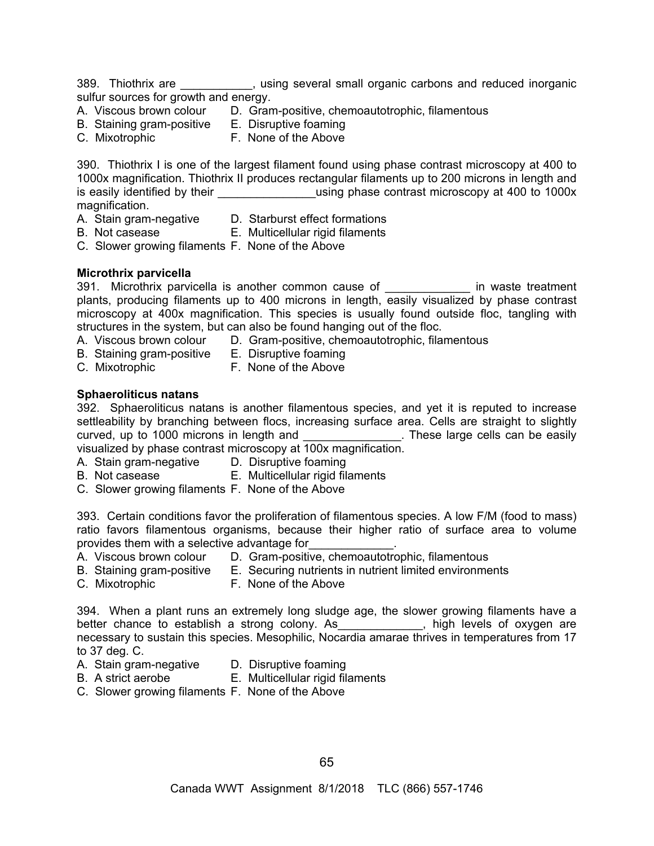389. Thiothrix are \_\_\_\_\_\_\_\_\_\_\_, using several small organic carbons and reduced inorganic sulfur sources for growth and energy.

- A. Viscous brown colour D. Gram-positive, chemoautotrophic, filamentous
- B. Staining gram-positive E. Disruptive foaming
- 
- C. Mixotrophic F. None of the Above

390. Thiothrix I is one of the largest filament found using phase contrast microscopy at 400 to 1000x magnification. Thiothrix II produces rectangular filaments up to 200 microns in length and is easily identified by their \_\_\_\_\_\_\_\_\_\_\_\_\_\_\_\_\_\_\_using phase contrast microscopy at 400 to 1000x magnification.

- 
- A. Stain gram-negative D. Starburst effect formations
- 
- B. Not casease E. Multicellular rigid filaments
- C. Slower growing filaments F. None of the Above

# **Microthrix parvicella**

391. Microthrix parvicella is another common cause of \_\_\_\_\_\_\_\_\_\_\_\_\_\_ in waste treatment plants, producing filaments up to 400 microns in length, easily visualized by phase contrast microscopy at 400x magnification. This species is usually found outside floc, tangling with structures in the system, but can also be found hanging out of the floc.

- A. Viscous brown colour D. Gram-positive, chemoautotrophic, filamentous
- B. Staining gram-positive E. Disruptive foaming
	-
- 
- C. Mixotrophic **F. None of the Above**

# **Sphaeroliticus natans**

392. Sphaeroliticus natans is another filamentous species, and yet it is reputed to increase settleability by branching between flocs, increasing surface area. Cells are straight to slightly curved, up to 1000 microns in length and \_\_\_\_\_\_\_\_\_\_\_\_\_\_\_. These large cells can be easily visualized by phase contrast microscopy at 100x magnification.

- A. Stain gram-negative D. Disruptive foaming
- B. Not casease E. Multicellular rigid filaments
- C. Slower growing filaments F. None of the Above

393. Certain conditions favor the proliferation of filamentous species. A low F/M (food to mass) ratio favors filamentous organisms, because their higher ratio of surface area to volume provides them with a selective advantage for

- A. Viscous brown colour D. Gram-positive, chemoautotrophic, filamentous
- B. Staining gram-positive E. Securing nutrients in nutrient limited environments
- C. Mixotrophic F. None of the Above
	-

394. When a plant runs an extremely long sludge age, the slower growing filaments have a better chance to establish a strong colony. As Thigh levels of oxygen are necessary to sustain this species. Mesophilic, Nocardia amarae thrives in temperatures from 17 to 37 deg. C.

- A. Stain gram-negative D. Disruptive foaming
- B. A strict aerobe E. Multicellular rigid filaments
- C. Slower growing filaments F. None of the Above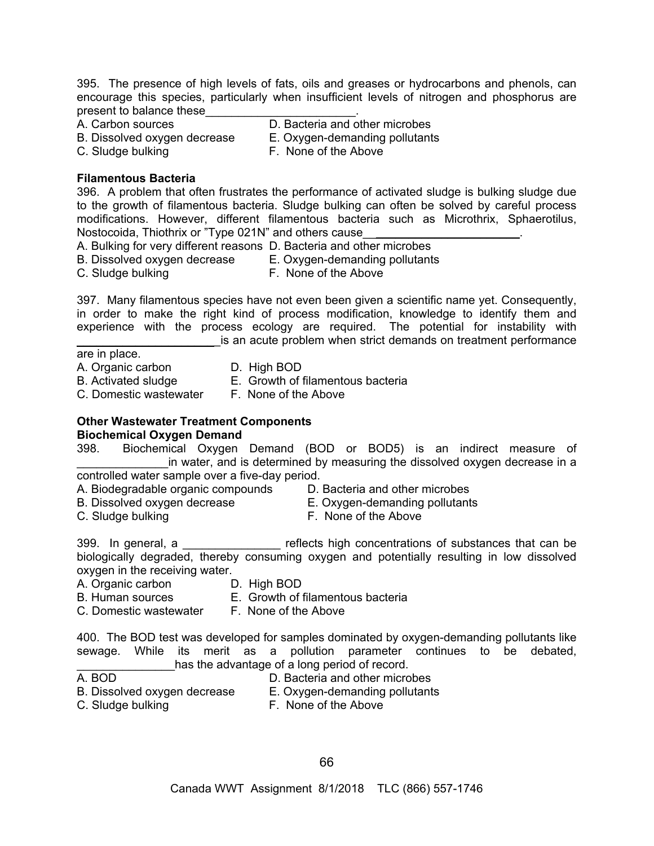395. The presence of high levels of fats, oils and greases or hydrocarbons and phenols, can encourage this species, particularly when insufficient levels of nitrogen and phosphorus are present to balance these

A. Carbon sources D. Bacteria and other microbes

B. Dissolved oxygen decrease E. Oxygen-demanding pollutants

C. Sludge bulking F. None of the Above

#### **Filamentous Bacteria**

396. A problem that often frustrates the performance of activated sludge is bulking sludge due to the growth of filamentous bacteria. Sludge bulking can often be solved by careful process modifications. However, different filamentous bacteria such as Microthrix, Sphaerotilus, Nostocoida, Thiothrix or "Type 021N" and others cause

A. Bulking for very different reasons D. Bacteria and other microbes

B. Dissolved oxygen decrease E. Oxygen-demanding pollutants

C. Sludge bulking F. None of the Above

397. Many filamentous species have not even been given a scientific name yet. Consequently, in order to make the right kind of process modification, knowledge to identify them and experience with the process ecology are required. The potential for instability with is an acute problem when strict demands on treatment performance

#### are in place.

A. Organic carbon D. High BOD

B. Activated sludge E. Growth of filamentous bacteria

- 
- 
- C. Domestic wastewater F. None of the Above

#### **Other Wastewater Treatment Components Biochemical Oxygen Demand**

398. Biochemical Oxygen Demand (BOD or BOD5) is an indirect measure of in water, and is determined by measuring the dissolved oxygen decrease in a controlled water sample over a five-day period.

- A. Biodegradable organic compounds D. Bacteria and other microbes
- 
- B. Dissolved oxygen decrease E. Oxygen-demanding pollutants
- 
- C. Sludge bulking **F. None of the Above**

399. In general, a \_\_\_\_\_\_\_\_\_\_\_\_\_\_\_ reflects high concentrations of substances that can be biologically degraded, thereby consuming oxygen and potentially resulting in low dissolved oxygen in the receiving water.

- A. Organic carbon D. High BOD
- B. Human sources E. Growth of filamentous bacteria
- C. Domestic wastewater F. None of the Above

400. The BOD test was developed for samples dominated by oxygen-demanding pollutants like sewage. While its merit as a pollution parameter continues to be debated, has the advantage of a long period of record.

- 
- A. BOD **D. Bacteria and other microbes**
- B. Dissolved oxygen decrease E. Oxygen-demanding pollutants
	-
- C. Sludge bulking F. None of the Above
	- 66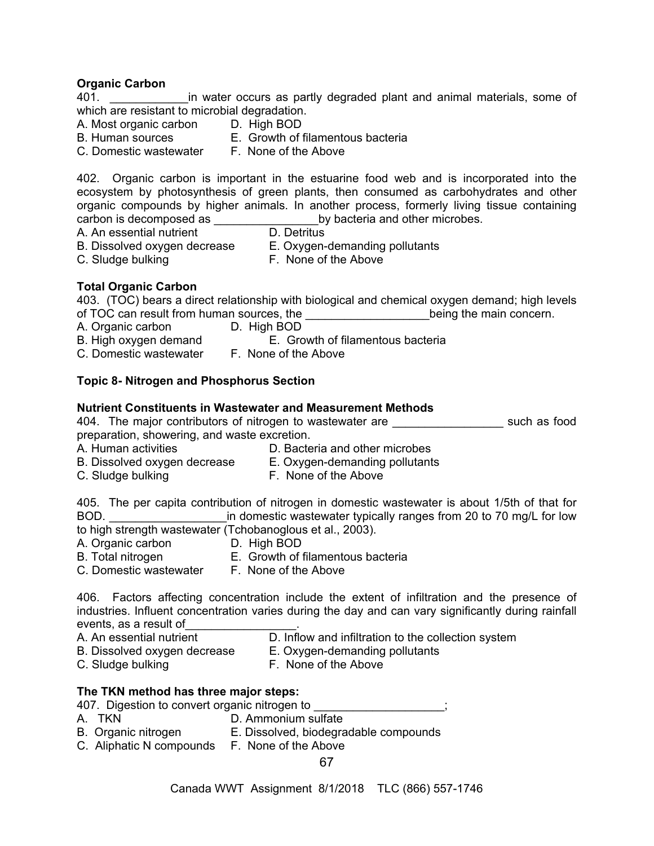#### **Organic Carbon**

401. **Example 201.** The water occurs as partly degraded plant and animal materials, some of which are resistant to microbial degradation.

- A. Most organic carbon D. High BOD
	-
- B. Human sources E. Growth of filamentous bacteria
- C. Domestic wastewater F. None of the Above

402. Organic carbon is important in the estuarine food web and is incorporated into the ecosystem by photosynthesis of green plants, then consumed as carbohydrates and other organic compounds by higher animals. In another process, formerly living tissue containing carbon is decomposed as  $\frac{1}{\sqrt{1-\frac{1}{n}}}$  by bacteria and other microbes.<br>A. An essential nutrient D. Detritus

- A. An essential nutrient
- 
- 
- B. Dissolved oxygen decrease E. Oxygen-demanding pollutants
- C. Sludge bulking The C. Sludge bulking The Above
- **Total Organic Carbon**
- 403. (TOC) bears a direct relationship with biological and chemical oxygen demand; high levels of TOC can result from human sources, the **with the manual supplier of TOC** can result from human sources, the
- A. Organic carbon D. High BOD
- B. High oxygen demand E. Growth of filamentous bacteria
- C. Domestic wastewater F. None of the Above

# **Topic 8- Nitrogen and Phosphorus Section**

#### **Nutrient Constituents in Wastewater and Measurement Methods**

404. The major contributors of nitrogen to wastewater are **the such as food** preparation, showering, and waste excretion.

A. Human activities **D. Bacteria and other microbes** 

- B. Dissolved oxygen decrease E. Oxygen-demanding pollutants
- C. Sludge bulking The C. Sludge bulking The Above

405. The per capita contribution of nitrogen in domestic wastewater is about 1/5th of that for BOD. **EXECUTE:**  $\frac{1}{2}$  in domestic wastewater typically ranges from 20 to 70 mg/L for low to high strength wastewater (Tchobanoglous et al., 2003).

A. Organic carbon D. High BOD

- 
- B. Total nitrogen E. Growth of filamentous bacteria
- C. Domestic wastewater F. None of the Above

406. Factors affecting concentration include the extent of infiltration and the presence of industries. Influent concentration varies during the day and can vary significantly during rainfall events, as a result of\_\_\_\_\_\_\_\_\_\_\_\_\_\_\_\_\_.

- D. Inflow and infiltration to the collection system A. An essential nutrient D. Inflow and infiltration to the col<br>B. Dissolved oxygen decrease E. Oxygen-demanding pollutants
- 
- 
- 
- C. Sludge bulking F. None of the Above

#### **The TKN method has three major steps:**

407. Digestion to convert organic nitrogen to

- A. TKN D. Ammonium sulfate
- B. Organic nitrogen E. Dissolved, biodegradable compounds
- C. Aliphatic N compounds F. None of the Above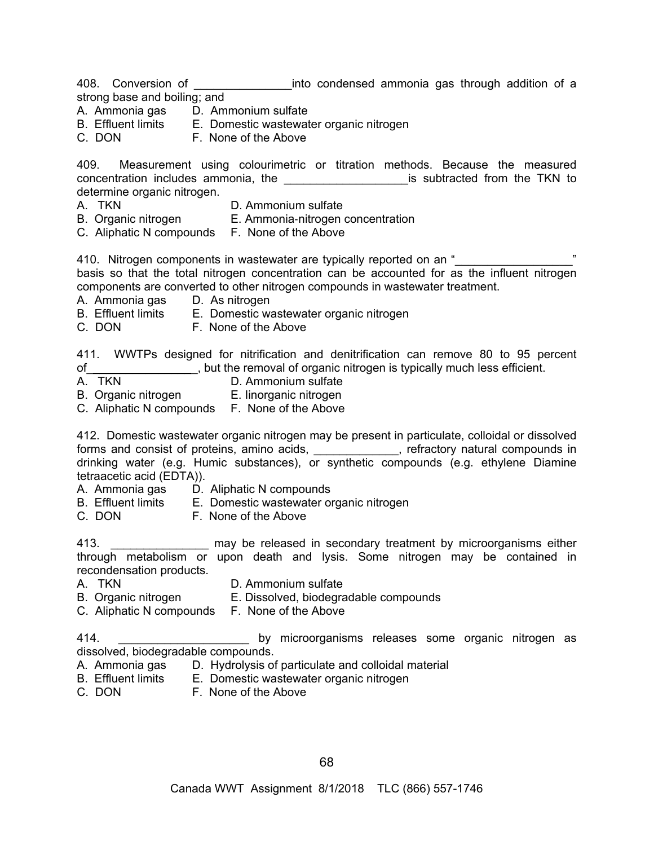408. Conversion of \_\_\_\_\_\_\_\_\_\_\_\_\_\_\_into condensed ammonia gas through addition of a strong base and boiling; and

- A. Ammonia gas D. Ammonium sulfate
- B. Effluent limits E. Domestic wastewater organic nitrogen
- C. DON F. None of the Above

409. Measurement using colourimetric or titration methods. Because the measured concentration includes ammonia, the example of the subtracted from the TKN to determine organic nitrogen.

- A. TKN D. Ammonium sulfate
- B. Organic nitrogen E. Ammonia-nitrogen concentration
- C. Aliphatic N compounds F. None of the Above

410. Nitrogen components in wastewater are typically reported on an "\_\_\_\_\_\_\_\_\_\_\_\_\_\_\_\_\_\_" basis so that the total nitrogen concentration can be accounted for as the influent nitrogen components are converted to other nitrogen compounds in wastewater treatment.

- A. Ammonia gas D. As nitrogen
- B. Effluent limits E. Domestic wastewater organic nitrogen
- C. DON F. None of the Above

411. WWTPs designed for nitrification and denitrification can remove 80 to 95 percent of\_\_\_\_\_\_\_\_\_\_\_\_\_\_\_\_\_, but the removal of organic nitrogen is typically much less efficient.

- A. TKN D. Ammonium sulfate
- B. Organic nitrogen E. Iinorganic nitrogen
- C. Aliphatic N compounds F. None of the Above

412. Domestic wastewater organic nitrogen may be present in particulate, colloidal or dissolved forms and consist of proteins, amino acids, \_\_\_\_\_\_\_\_\_\_\_, refractory natural compounds in drinking water (e.g. Humic substances), or synthetic compounds (e.g. ethylene Diamine tetraacetic acid (EDTA)).

- A. Ammonia gas D. Aliphatic N compounds
- B. Effluent limits E. Domestic wastewater organic nitrogen
- C. DON F. None of the Above

413. \_\_\_\_\_\_\_\_\_\_\_\_\_\_\_ may be released in secondary treatment by microorganisms either through metabolism or upon death and lysis. Some nitrogen may be contained in recondensation products.

- 
- A. TKN D. Ammonium sulfate
- B. Organic nitrogen E. Dissolved, biodegradable compounds
- C. Aliphatic N compounds F. None of the Above

414. \_\_\_\_\_\_\_\_\_\_\_\_\_\_\_\_\_\_\_\_\_\_\_\_ by microorganisms releases some organic nitrogen as dissolved, biodegradable compounds.

- A. Ammonia gas D. Hydrolysis of particulate and colloidal material
- B. Effluent limits E. Domestic wastewater organic nitrogen
- C. DON F. None of the Above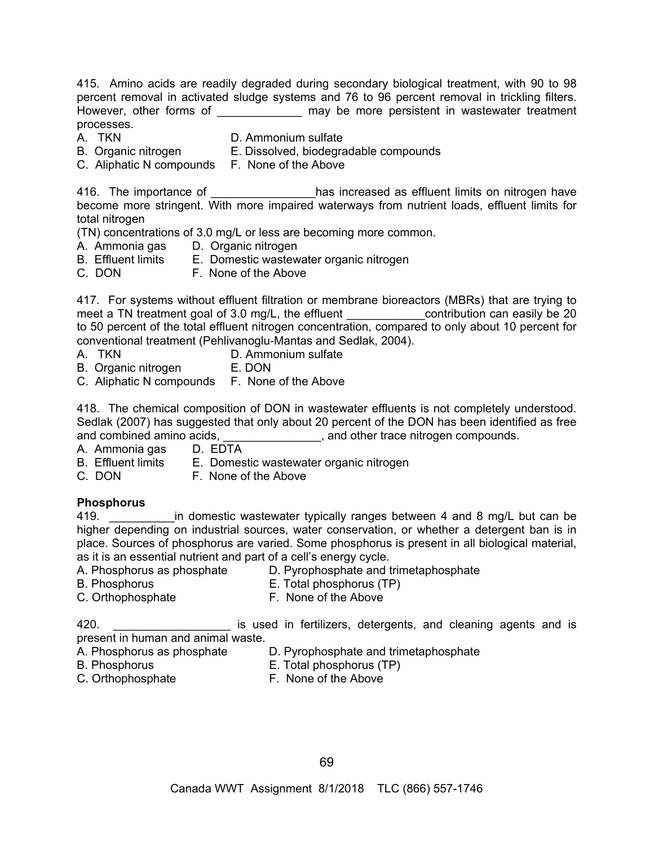415. Amino acids are readily degraded during secondary biological treatment, with 90 to 98 percent removal in activated sludge systems and 76 to 96 percent removal in trickling filters. However, other forms of **Example 20** may be more persistent in wastewater treatment processes.

- 
- A. TKN D. Ammonium sulfate
- B. Organic nitrogen E. Dissolved, biodegradable compounds
- C. Aliphatic N compounds F. None of the Above

416. The importance of \_\_\_\_\_\_\_\_\_\_\_\_\_\_\_has increased as effluent limits on nitrogen have become more stringent. With more impaired waterways from nutrient loads, effluent limits for total nitrogen

(TN) concentrations of 3.0 mg/L or less are becoming more common.

- A. Ammonia gas D. Organic nitrogen
- B. Effluent limits E. Domestic wastewater organic nitrogen
- C. DON F. None of the Above

417. For systems without effluent filtration or membrane bioreactors (MBRs) that are trying to meet a TN treatment goal of 3.0 mg/L, the effluent \_\_\_\_\_\_\_\_\_\_\_\_\_\_contribution can easily be 20 to 50 percent of the total effluent nitrogen concentration, compared to only about 10 percent for conventional treatment (Pehlivanoglu-Mantas and Sedlak, 2004).

- 
- A. TKN D. Ammonium sulfate
- B. Organic nitrogen E. DON
- C. Aliphatic N compounds F. None of the Above

418. The chemical composition of DON in wastewater effluents is not completely understood. Sedlak (2007) has suggested that only about 20 percent of the DON has been identified as free and combined amino acids,  $\qquad \qquad$ , and other trace nitrogen compounds.

- A. Ammonia gas D. EDTA<br>B. Effluent limits E. Domest
	- E. Domestic wastewater organic nitrogen
- C. DON F. None of the Above

# **Phosphorus**

419. \_\_\_\_\_\_\_\_\_\_\_\_\_in domestic wastewater typically ranges between 4 and 8 mg/L but can be higher depending on industrial sources, water conservation, or whether a detergent ban is in place. Sources of phosphorus are varied. Some phosphorus is present in all biological material, as it is an essential nutrient and part of a cell's energy cycle.

- A. Phosphorus as phosphate D. Pyrophosphate and trimetaphosphate
- 
- B. Phosphorus E. Total phosphorus (TP)
- C. Orthophosphate **F. None of the Above**
- 
- 

420. **Example 20.** Example 1 is used in fertilizers, detergents, and cleaning agents and is present in human and animal waste.

- A. Phosphorus as phosphate <br>B. Phosphorus B. Phosphorus (TP)
- 
- B. Phosphorus E. Total phosphorus (TP)
- 
- C. Orthophosphate F. None of the Above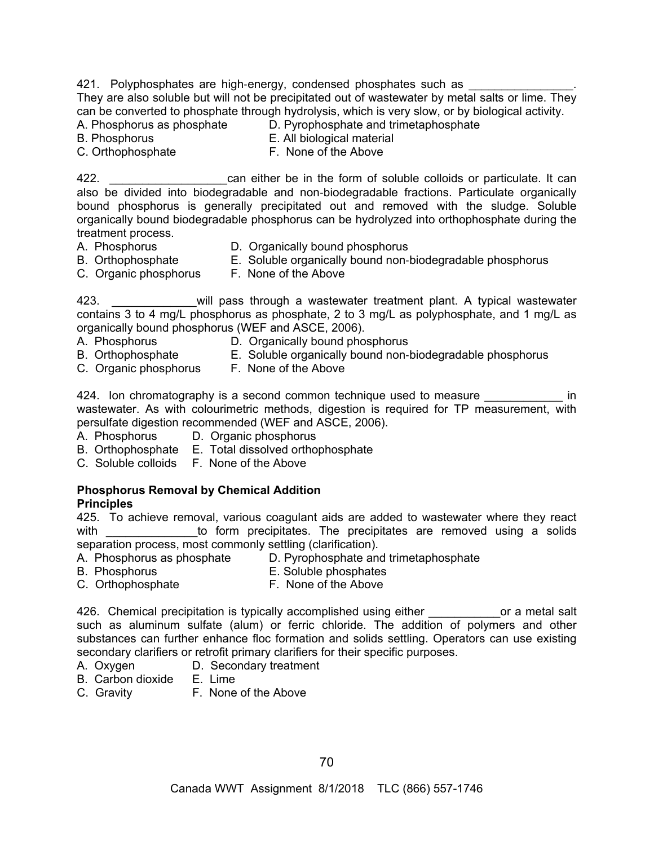421. Polyphosphates are high-energy, condensed phosphates such as They are also soluble but will not be precipitated out of wastewater by metal salts or lime. They can be converted to phosphate through hydrolysis, which is very slow, or by biological activity.

- A. Phosphorus as phosphate D. Pyrophosphate and trimetaphosphate
- 
- B. Phosphorus E. All biological material

C. Orthophosphate F. None of the Above

422. \_\_\_\_\_\_\_\_\_\_\_\_\_\_\_\_\_\_can either be in the form of soluble colloids or particulate. It can also be divided into biodegradable and non-biodegradable fractions. Particulate organically bound phosphorus is generally precipitated out and removed with the sludge. Soluble organically bound biodegradable phosphorus can be hydrolyzed into orthophosphate during the treatment process.

- 
- A. Phosphorus **D.** Organically bound phosphorus
- B. Orthophosphate E. Soluble organically bound non-biodegradable phosphorus
- C. Organic phosphorus F. None of the Above
	-

423. \_\_\_\_\_\_\_\_\_\_\_\_\_will pass through a wastewater treatment plant. A typical wastewater contains 3 to 4 mg/L phosphorus as phosphate, 2 to 3 mg/L as polyphosphate, and 1 mg/L as organically bound phosphorus (WEF and ASCE, 2006).

- 
- A. Phosphorus D. Organically bound phosphorus
- B. Orthophosphate E. Soluble organically bound non-biodegradable phosphorus
- C. Organic phosphorus F. None of the Above
	-

424. Ion chromatography is a second common technique used to measure **Example** 2014 wastewater. As with colourimetric methods, digestion is required for TP measurement, with persulfate digestion recommended (WEF and ASCE, 2006).

- A. Phosphorus D. Organic phosphorus
- B. Orthophosphate E. Total dissolved orthophosphate
- C. Soluble colloids F. None of the Above

#### **Phosphorus Removal by Chemical Addition Principles**

425. To achieve removal, various coagulant aids are added to wastewater where they react with to form precipitates. The precipitates are removed using a solids separation process, most commonly settling (clarification).

- A. Phosphorus as phosphate D. Pyrophosphate and trimetaphosphate
- 
- B. Phosphorus E. Soluble phosphates
- C. Orthophosphate F. None of the Above

426. Chemical precipitation is typically accomplished using either **the container of a metal salt** such as aluminum sulfate (alum) or ferric chloride. The addition of polymers and other substances can further enhance floc formation and solids settling. Operators can use existing secondary clarifiers or retrofit primary clarifiers for their specific purposes.

- A. Oxygen D. Secondary treatment
- B. Carbon dioxide E. Lime
- C. Gravity F. None of the Above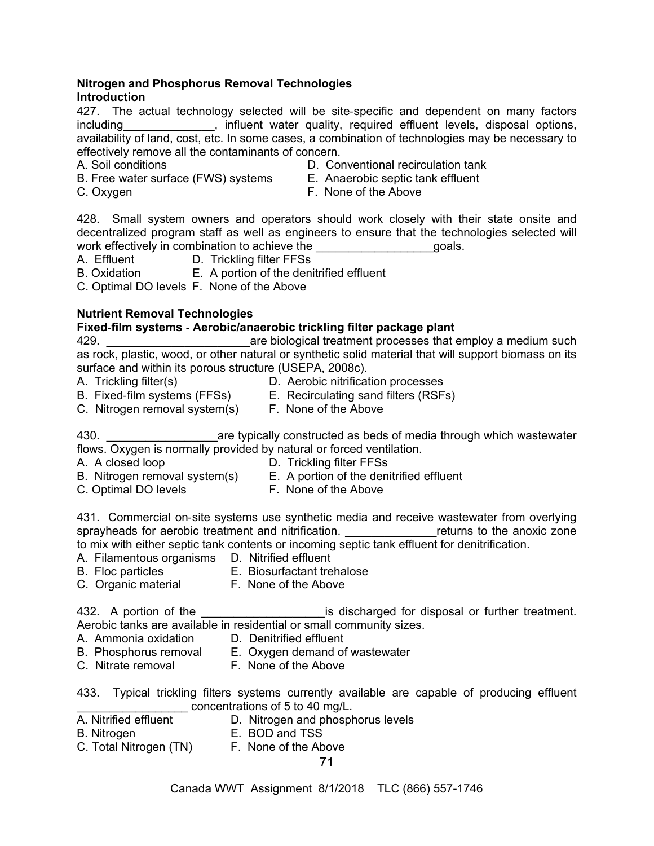#### **Nitrogen and Phosphorus Removal Technologies Introduction**

427. The actual technology selected will be site-specific and dependent on many factors including entity influent water quality, required effluent levels, disposal options, availability of land, cost, etc. In some cases, a combination of technologies may be necessary to effectively remove all the contaminants of concern.

- 
- A. Soil conditions D. Conventional recirculation tank
- B. Free water surface (FWS) systems E. Anaerobic septic tank effluent
- 
- 
- C. Oxygen F. None of the Above

428. Small system owners and operators should work closely with their state onsite and decentralized program staff as well as engineers to ensure that the technologies selected will work effectively in combination to achieve the **EXACCO EXACCOM** goals.

- A. Effluent D. Trickling filter FFSs
- B. Oxidation E. A portion of the denitrified effluent

C. Optimal DO levels F. None of the Above

# **Nutrient Removal Technologies**

# **Fixed**-**film systems** - **Aerobic/anaerobic trickling filter package plant**

429. **Example 20** are biological treatment processes that employ a medium such as rock, plastic, wood, or other natural or synthetic solid material that will support biomass on its surface and within its porous structure (USEPA, 2008c).

- 
- A. Trickling filter(s)  $D.$  Aerobic nitrification processes
- B. Fixed-film systems (FFSs) E. Recirculating sand filters (RSFs)
- C. Nitrogen removal system(s) F. None of the Above

430. **Example 30.** The typically constructed as beds of media through which wastewater flows. Oxygen is normally provided by natural or forced ventilation.

- 
- A. A closed loop D. Trickling filter FFSs
- B. Nitrogen removal system(s) E. A portion of the denitrified effluent
- C. Optimal DO levels **F. None of the Above**
- 

431. Commercial on-site systems use synthetic media and receive wastewater from overlying sprayheads for aerobic treatment and nitrification. The meturns to the anoxic zone to mix with either septic tank contents or incoming septic tank effluent for denitrification.

- A. Filamentous organisms D. Nitrified effluent
- B. Floc particles E. Biosurfactant trehalose
- C. Organic material F. None of the Above

432. A portion of the the same section is discharged for disposal or further treatment. Aerobic tanks are available in residential or small community sizes.

- A. Ammonia oxidation D. Denitrified effluent
- B. Phosphorus removal E. Oxygen demand of wastewater
- C. Nitrate removal F. None of the Above

433. Typical trickling filters systems currently available are capable of producing effluent concentrations of 5 to 40 mg/L.

- A. Nitrified effluent D. Nitrogen and phosphorus levels
	-
- B. Nitrogen **E. BOD and TSS**<br>C. Total Nitrogen (TN) **E. None of the Above** C. Total Nitrogen (TN)
	- 71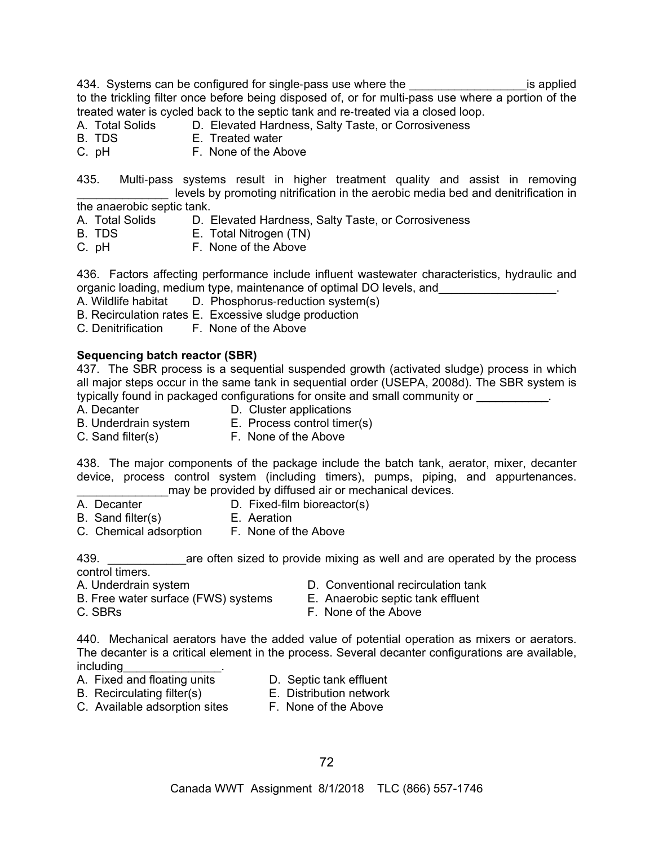434. Systems can be configured for single-pass use where the \_\_\_\_\_\_\_\_\_\_\_\_\_\_\_\_\_\_\_\_\_\_\_\_\_is applied to the trickling filter once before being disposed of, or for multi-pass use where a portion of the treated water is cycled back to the septic tank and re-treated via a closed loop.

A. Total Solids D. Elevated Hardness, Salty Taste, or Corrosiveness

- B. TDS E. Treated water
- C. pH F. None of the Above

435. Multi-pass systems result in higher treatment quality and assist in removing levels by promoting nitrification in the aerobic media bed and denitrification in the anaerobic septic tank.

- A. Total Solids D. Elevated Hardness, Salty Taste, or Corrosiveness
- B. TDS E. Total Nitrogen (TN)
- C. pH F. None of the Above

436. Factors affecting performance include influent wastewater characteristics, hydraulic and organic loading, medium type, maintenance of optimal DO levels, and  $\Box$ 

- A. Wildlife habitat D. Phosphorus-reduction system(s)
- B. Recirculation rates E. Excessive sludge production
- C. Denitrification F. None of the Above

#### **Sequencing batch reactor (SBR)**

437. The SBR process is a sequential suspended growth (activated sludge) process in which all major steps occur in the same tank in sequential order (USEPA, 2008d). The SBR system is typically found in packaged configurations for onsite and small community or  $\qquad \qquad$ .

- 
- A. Decanter **D.** Cluster applications
- B. Underdrain system E. Process control timer(s)
	-
- C. Sand filter(s) F. None of the Above

438. The major components of the package include the batch tank, aerator, mixer, decanter device, process control system (including timers), pumps, piping, and appurtenances. may be provided by diffused air or mechanical devices.

- 
- A. Decanter D. Fixed-film bioreactor(s)
- 
- B. Sand filter(s) E. Aeration
- C. Chemical adsorption F. None of the Above

439. **Example 20 are often sized to provide mixing as well and are operated by the process** control timers.

- 
- A. Underdrain system D. Conventional recirculation tank
- B. Free water surface (FWS) systems E. Anaerobic septic tank effluent
- 
- C. SBRs **F. None of the Above**

440. Mechanical aerators have the added value of potential operation as mixers or aerators. The decanter is a critical element in the process. Several decanter configurations are available, including<br>A. Fixed and floating units

- 
- D. Septic tank effluent
- 
- C. Available adsorption sites F. None of the Above
- B. Recirculating filter(s) E. Distribution network
	-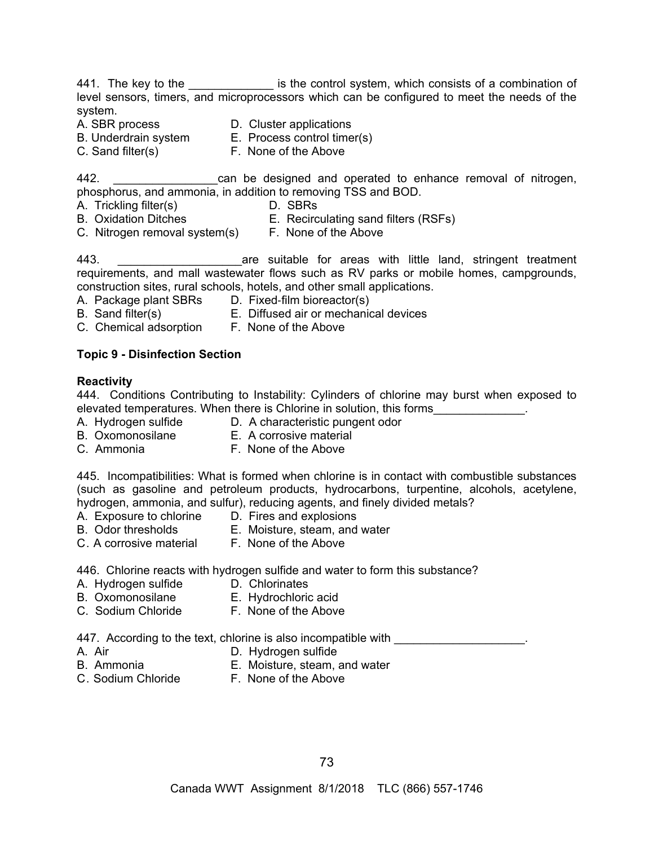441. The key to the \_\_\_\_\_\_\_\_\_\_\_\_\_\_\_ is the control system, which consists of a combination of level sensors, timers, and microprocessors which can be configured to meet the needs of the system.

- 
- A. SBR process D. Cluster applications
- B. Underdrain system E. Process control timer(s)
- 
- 
- C. Sand filter(s) F. None of the Above

442. **Example 20 and be designed and operated to enhance removal of nitrogen,** phosphorus, and ammonia, in addition to removing TSS and BOD.

- A. Trickling filter(s) D. SBRs
- B. Oxidation Ditches E. Recirculating sand filters (RSFs)
- C. Nitrogen removal system(s) F. None of the Above

443. **I EXECUTE:** The suitable for areas with little land, stringent treatment requirements, and mall wastewater flows such as RV parks or mobile homes, campgrounds, construction sites, rural schools, hotels, and other small applications.

- A. Package plant SBRs D. Fixed-film bioreactor(s)
- B. Sand filter(s) E. Diffused air or mechanical devices
- C. Chemical adsorption F. None of the Above

### **Topic 9 - Disinfection Section**

### **Reactivity**

444.Conditions Contributing to Instability: Cylinders of chlorine may burst when exposed to elevated temperatures. When there is Chlorine in solution, this forms

- A. Hydrogen sulfide D. A characteristic pungent odor
	-
- B. Oxomonosilane E. A corrosive material C. Ammonia F. None of the Above
- 

445. Incompatibilities: What is formed when chlorine is in contact with combustible substances (such as gasoline and petroleum products, hydrocarbons, turpentine, alcohols, acetylene, hydrogen, ammonia, and sulfur), reducing agents, and finely divided metals?

- A. Exposure to chlorine D. Fires and explosions
	-
- B. Odor thresholds E. Moisture, steam, and water
- C. A corrosive material F. None of the Above

446. Chlorine reacts with hydrogen sulfide and water to form this substance?

- A. Hydrogen sulfide D. Chlorinates
	-
- B. Oxomonosilane E. Hydrochloric acid
- C. Sodium Chloride F. None of the Above

447. According to the text, chlorine is also incompatible with  $\qquad \qquad \qquad$ 

- 
- A. Air D. Hydrogen sulfide
- 
- B. Ammonia E. Moisture, steam, and water
- 
- C. Sodium Chloride F. None of the Above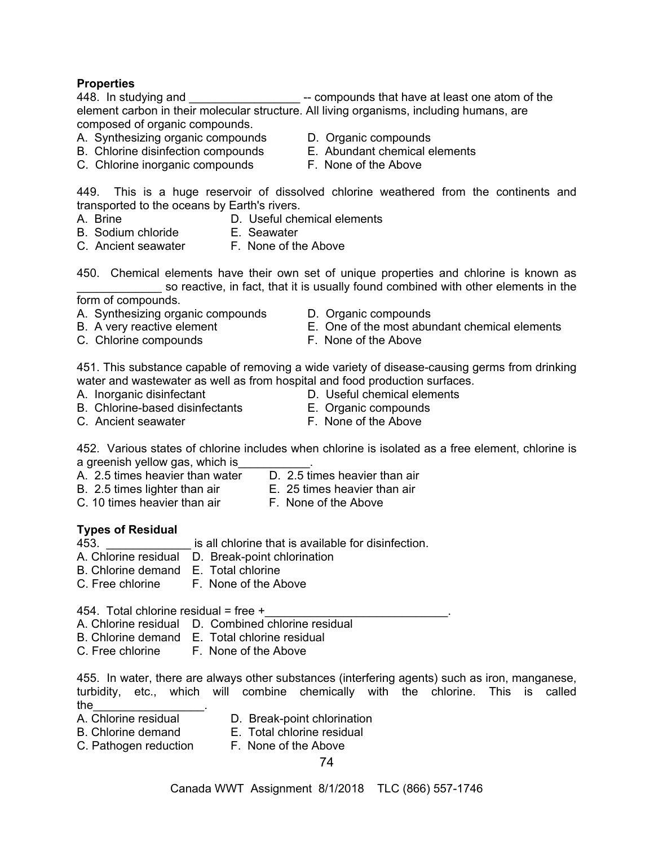### **Properties**

448. In studying and **Example 3** -- compounds that have at least one atom of the element carbon in their molecular structure. All living organisms, including humans, are composed of organic compounds.

- A. Synthesizing organic compounds D. Organic compounds
- B. Chlorine disinfection compounds E. Abundant chemical elements
- C. Chlorine inorganic compounds F. None of the Above
- 
- - -

449. This is a huge reservoir of dissolved chlorine weathered from the continents and transported to the oceans by Earth's rivers.

- A. Brine D. Useful chemical elements
- B. Sodium chloride E. Seawater
- 
- C. Ancient seawater F. None of the Above
- 450. Chemical elements have their own set of unique properties and chlorine is known as so reactive, in fact, that it is usually found combined with other elements in the

form of compounds.

- A. Synthesizing organic compounds D. Organic compounds
- 
- C. Chlorine compounds F. None of the Above
- 
- B. A very reactive element E. One of the most abundant chemical elements
	-

451. This substance capable of removing a wide variety of disease-causing germs from drinking water and wastewater as well as from hospital and food production surfaces.

- A. Inorganic disinfectant D. Useful chemical elements
- B. Chlorine-based disinfectants E. Organic compounds
- C. Ancient seawater **F. None of the Above**
- 
- -

452. Various states of chlorine includes when chlorine is isolated as a free element, chlorine is a greenish yellow gas, which is

- A. 2.5 times heavier than water D. 2.5 times heavier than air
- B. 2.5 times lighter than air E. 25 times heavier than air
- 
- C. 10 times heavier than air F. None of the Above

### **Types of Residual**

- 453. \_\_\_\_\_\_\_\_\_\_\_\_\_ is all chlorine that is available for disinfection.
- A. Chlorine residual D. Break-point chlorination
- B. Chlorine demand E. Total chlorine
- C. Free chlorine F. None of the Above

454. Total chlorine residual = free  $+$ 

A. Chlorine residual D. Combined chlorine residual

- B. Chlorine demand E. Total chlorine residual
- C. Free chlorine F. None of the Above

455. In water, there are always other substances (interfering agents) such as iron, manganese, turbidity, etc., which will combine chemically with the chlorine. This is called the\_\_\_\_\_\_\_\_\_\_\_\_\_\_\_\_\_.

- 
- D. Break-point chlorination
- B. Chlorine demand E. Total chlorine residual
	-
- C. Pathogen reduction F. None of the Above
	- 74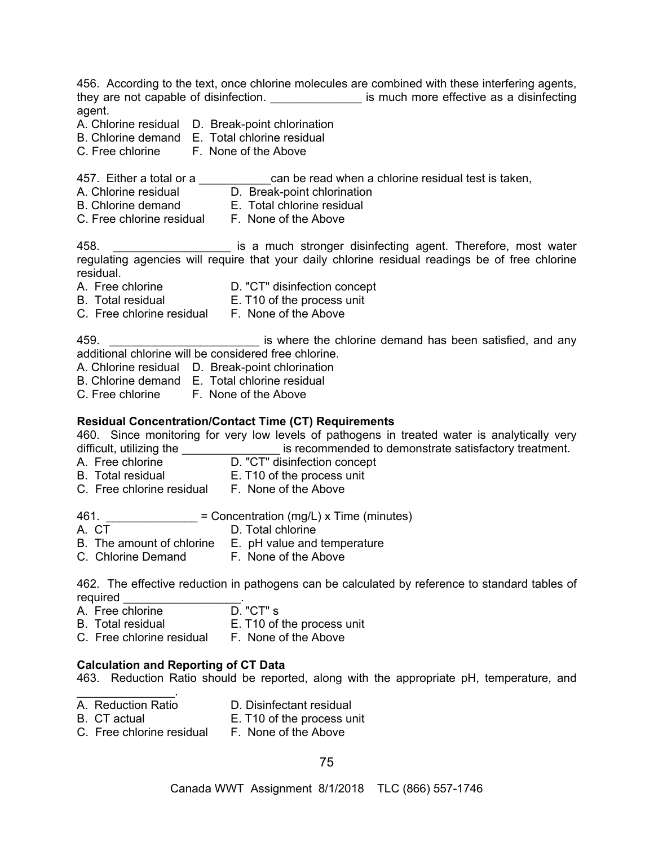456. According to the text, once chlorine molecules are combined with these interfering agents, they are not capable of disinfection. \_\_\_\_\_\_\_\_\_\_\_\_\_\_\_\_\_ is much more effective as a disinfecting agent. A. Chlorine residual D. Break-point chlorination B. Chlorine demand E. Total chlorine residual C. Free chlorine F. None of the Above 457. Either a total or a \_\_\_\_\_\_\_\_\_\_\_\_can be read when a chlorine residual test is taken, A. Chlorine residual **D. Break-point chlorination** B. Chlorine demand E. Total chlorine residual C. Free chlorine residual F. None of the Above 458. \_\_\_\_\_\_\_\_\_\_\_\_\_\_\_\_\_\_ is a much stronger disinfecting agent. Therefore, most water regulating agencies will require that your daily chlorine residual readings be of free chlorine residual. A. Free chlorine D. "CT" disinfection concept B. Total residual E. T10 of the process unit C. Free chlorine residual F. None of the Above 459. **Example 20 and 59.** Also is where the chlorine demand has been satisfied, and any additional chlorine will be considered free chlorine. A. Chlorine residual D. Break-point chlorination B. Chlorine demand E. Total chlorine residual C. Free chlorine F. None of the Above **Residual Concentration/Contact Time (CT) Requirements**  460. Since monitoring for very low levels of pathogens in treated water is analytically very difficult, utilizing the **witch contract in the set of the contract** is recommended to demonstrate satisfactory treatment. A. Free chlorine D. "CT" disinfection concept B. Total residual E. T10 of the process unit C. Free chlorine residual F. None of the Above 461.  $\frac{1}{2}$  = Concentration (mg/L) x Time (minutes)<br>A. CT D. Total chlorine D. Total chlorine B. The amount of chlorine E. pH value and temperature C. Chlorine Demand F. None of the Above 462. The effective reduction in pathogens can be calculated by reference to standard tables of required \_\_\_\_\_\_\_\_\_\_\_\_\_\_\_\_\_\_. A. Free chlorine D. "CT" s B. Total residual E. T10 of the process unit C. Free chlorine residual F. None of the Above **Calculation and Reporting of CT Data**  463. Reduction Ratio should be reported, along with the appropriate pH, temperature, and  $\mathcal{L}_\text{max}$  . The set of the set of the set of the set of the set of the set of the set of the set of the set of the set of the set of the set of the set of the set of the set of the set of the set of the set of the set

- A. Reduction Ratio D. Disinfectant residual
- B. CT actual E. T10 of the process unit
- C. Free chlorine residual F. None of the Above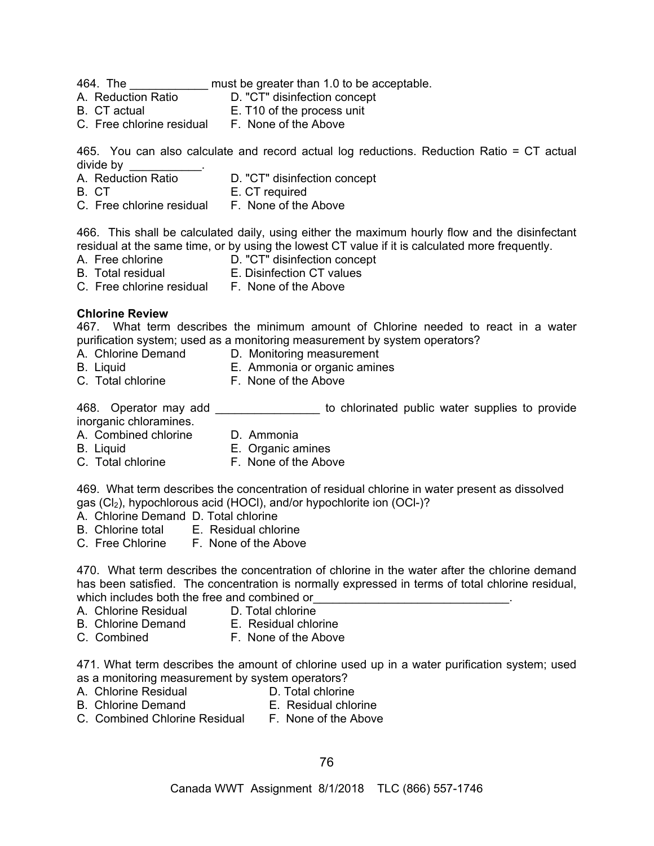464. The \_\_\_\_\_\_\_\_\_\_\_\_ must be greater than 1.0 to be acceptable.

- D. "CT" disinfection concept
- B. CT actual E. T10 of the process unit
- C. Free chlorine residual F. None of the Above

465. You can also calculate and record actual log reductions. Reduction Ratio = CT actual divide by

- A. Reduction Ratio D. "CT" disinfection concept
- B. CT **E. CT** required
- C. Free chlorine residual F. None of the Above

466. This shall be calculated daily, using either the maximum hourly flow and the disinfectant residual at the same time, or by using the lowest CT value if it is calculated more frequently.

- A. Free chlorine D. "CT" disinfection concept
- B. Total residual **E. Disinfection CT values**
- C. Free chlorine residual F. None of the Above

## **Chlorine Review**

467. What term describes the minimum amount of Chlorine needed to react in a water purification system; used as a monitoring measurement by system operators?

- A. Chlorine Demand D. Monitoring measurement
- 
- B. Liquid E. Ammonia or organic amines
- C. Total chlorine F. None of the Above

468. Operator may add \_\_\_\_\_\_\_\_\_\_\_\_\_\_\_\_\_\_ to chlorinated public water supplies to provide inorganic chloramines.

- A. Combined chlorine D. Ammonia
- B. Liquid E. Organic amines
- C. Total chlorine F. None of the Above

469. What term describes the concentration of residual chlorine in water present as dissolved gas (Cl<sub>2</sub>), hypochlorous acid (HOCl), and/or hypochlorite ion (OCl-)?

- A. Chlorine Demand D. Total chlorine<br>B. Chlorine total E. Residual chlo
	- E. Residual chlorine
- C. Free Chlorine F. None of the Above

470. What term describes the concentration of chlorine in the water after the chlorine demand has been satisfied. The concentration is normally expressed in terms of total chlorine residual, which includes both the free and combined or

- A. Chlorine Residual D. Total chlorine
- B. Chlorine Demand E. Residual chlorine
	-
- C. Combined F. None of the Above

471. What term describes the amount of chlorine used up in a water purification system; used as a monitoring measurement by system operators?

- A. Chlorine Residual **D. Total chlorine** 
	-
- B. Chlorine Demand **E. Residual chlorine** 
	-
- C. Combined Chlorine Residual F. None of the Above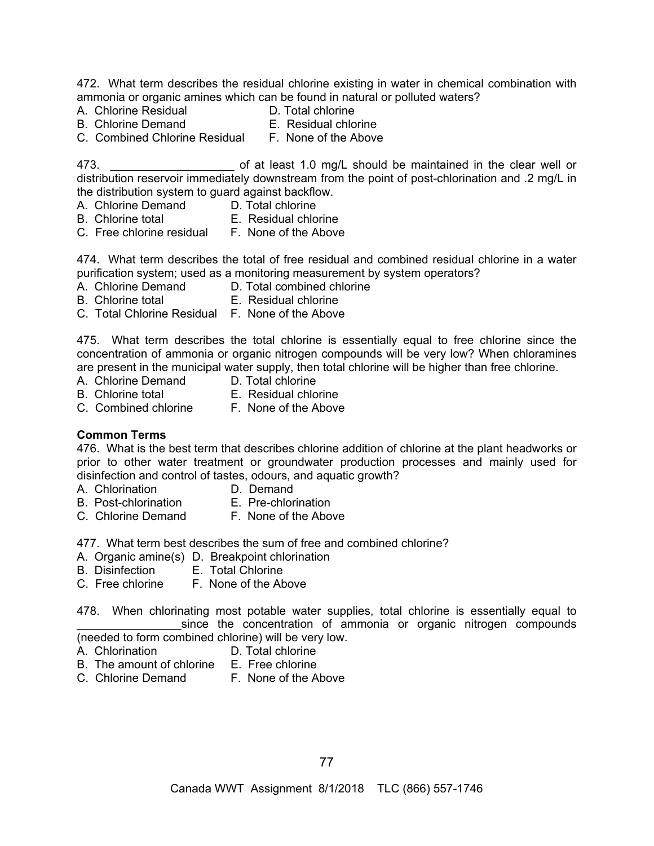472. What term describes the residual chlorine existing in water in chemical combination with ammonia or organic amines which can be found in natural or polluted waters?

- A. Chlorine Residual D. Total chlorine
- 
- B. Chlorine Demand
- 
- C. Combined Chlorine Residual F. None of the Above
	-

473. **Example 20 and 5 and 5 of at least 1.0 mg/L should be maintained in the clear well or** distribution reservoir immediately downstream from the point of post-chlorination and .2 mg/L in the distribution system to guard against backflow.

- A. Chlorine Demand D. Total chlorine
- B. Chlorine total **E.** Residual chlorine
- C. Free chlorine residual F. None of the Above

474. What term describes the total of free residual and combined residual chlorine in a water purification system; used as a monitoring measurement by system operators?

- A. Chlorine Demand D. Total combined chlorine
- B. Chlorine total E. Residual chlorine
- C. Total Chlorine Residual F. None of the Above

475. What term describes the total chlorine is essentially equal to free chlorine since the concentration of ammonia or organic nitrogen compounds will be very low? When chloramines are present in the municipal water supply, then total chlorine will be higher than free chlorine.

- A. Chlorine Demand D. Total chlorine
- B. Chlorine total E. Residual chlorine
- C. Combined chlorine F. None of the Above
- **Common Terms**

476. What is the best term that describes chlorine addition of chlorine at the plant headworks or prior to other water treatment or groundwater production processes and mainly used for disinfection and control of tastes, odours, and aquatic growth?

- A. Chlorination D. Demand
- B. Post-chlorination E. Pre-chlorination
- 
- C. Chlorine Demand F. None of the Above
- -

477. What term best describes the sum of free and combined chlorine?

- A. Organic amine(s) D. Breakpoint chlorination
- B. Disinfection E. Total Chlorine
- C. Free chlorine F. None of the Above

478. When chlorinating most potable water supplies, total chlorine is essentially equal to since the concentration of ammonia or organic nitrogen compounds (needed to form combined chlorine) will be very low.

- A. Chlorination D. Total chlorine
- B. The amount of chlorine E. Free chlorine
- C. Chlorine Demand F. None of the Above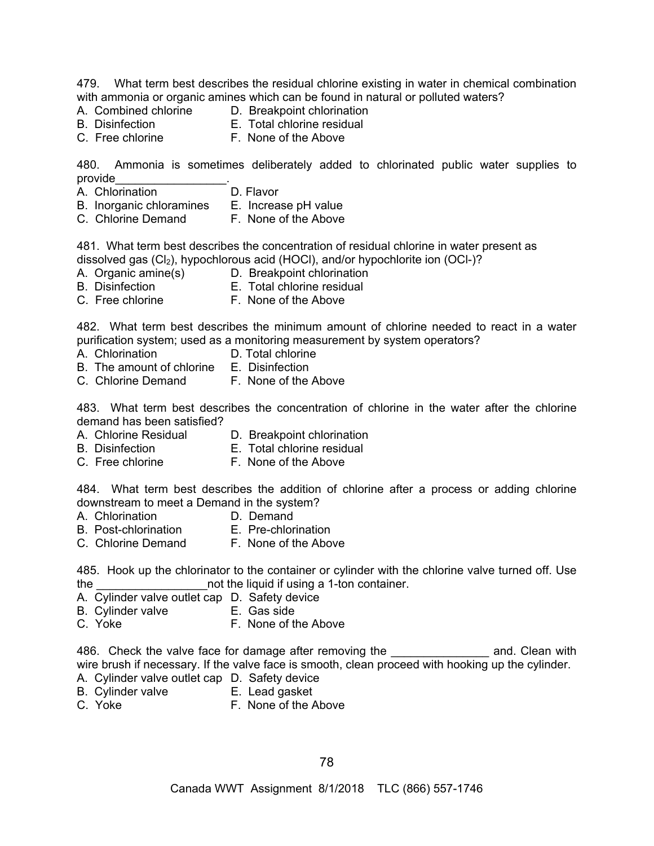479. What term best describes the residual chlorine existing in water in chemical combination with ammonia or organic amines which can be found in natural or polluted waters?

- 
- A. Combined chlorine D. Breakpoint chlorination
- B. Disinfection E. Total chlorine residual
- 
- C. Free chlorine **F. None of the Above**

480. Ammonia is sometimes deliberately added to chlorinated public water supplies to provide\_\_\_\_\_\_\_\_\_\_\_\_\_\_\_\_\_.

- A. Chlorination **D. Flavor**
- B. Inorganic chloramines E. Increase pH value<br>C. Chlorine Demand F. None of the Above
- C. Chlorine Demand

481. What term best describes the concentration of residual chlorine in water present as dissolved gas (Cl<sub>2</sub>), hypochlorous acid (HOCl), and/or hypochlorite ion (OCl-)?

- A. Organic amine(s) D. Breakpoint chlorination
- B. Disinfection E. Total chlorine residual
- C. Free chlorine **F. None of the Above**

482. What term best describes the minimum amount of chlorine needed to react in a water purification system; used as a monitoring measurement by system operators?

- 
- A. Chlorination D. Total chlorine
- B. The amount of chlorine E. Disinfection
- C. Chlorine Demand F. None of the Above

483. What term best describes the concentration of chlorine in the water after the chlorine demand has been satisfied?

- A. Chlorine Residual D. Breakpoint chlorination
- B. Disinfection E. Total chlorine residual
- C. Free chlorine F. None of the Above

484. What term best describes the addition of chlorine after a process or adding chlorine downstream to meet a Demand in the system?

- 
- A. Chlorination **D. Demand**<br>B. Post-chlorination **E. Pre-chlorination**
- B. Post-chlorination
- C. Chlorine Demand F. None of the Above

485. Hook up the chlorinator to the container or cylinder with the chlorine valve turned off. Use the **the container** the liquid if using a 1-ton container.

- A. Cylinder valve outlet cap D. Safety device
- B. Cylinder valve **E.** Gas side
- C. Yoke **F. None of the Above**

486. Check the valve face for damage after removing the **constantler and.** Clean with wire brush if necessary. If the valve face is smooth, clean proceed with hooking up the cylinder.

- A. Cylinder valve outlet cap D. Safety device
- 
- 
- B. Cylinder valve E. Lead gasket<br>C. Yoke F. None of the A F. None of the Above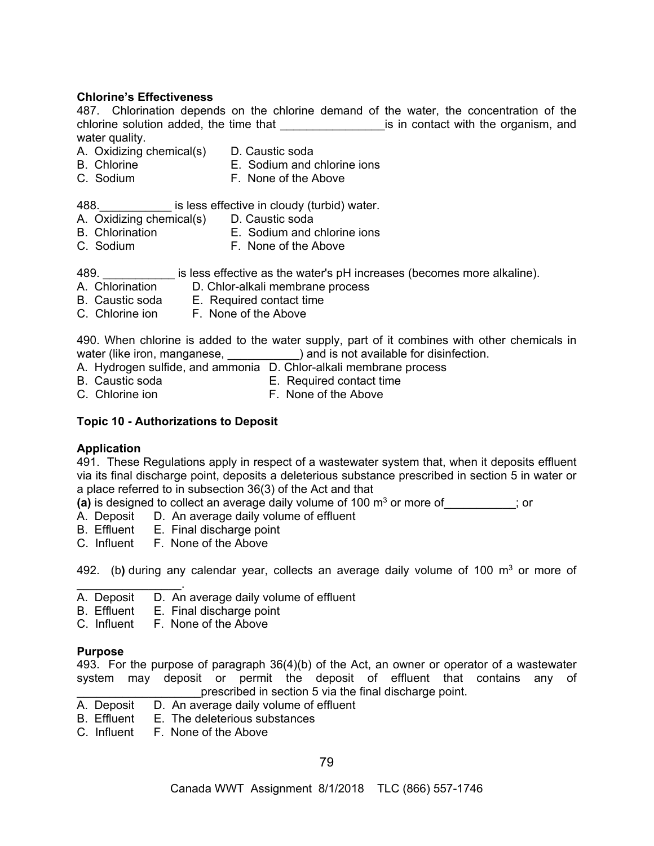### **Chlorine's Effectiveness**

487. Chlorination depends on the chlorine demand of the water, the concentration of the chlorine solution added, the time that **that** is in contact with the organism, and water quality.

- A. Oxidizing chemical(s) D. Caustic soda
- B. Chlorine **E.** Sodium and chlorine ions
- C. Sodium F. None of the Above

488. **Example 3 is less effective in cloudy (turbid) water.** 

- A. Oxidizing chemical(s) D. Caustic soda
- B. Chlorination E. Sodium and chlorine ions
- 
- C. Sodium **F. None of the Above**

489. **Example 3 is less effective as the water's pH increases (becomes more alkaline).** 

- A. Chlorination D. Chlor-alkali membrane process
- B. Caustic soda E. Required contact time
- C. Chlorine ion F. None of the Above

490. When chlorine is added to the water supply, part of it combines with other chemicals in water (like iron, manganese, \_\_\_\_\_\_\_\_\_\_\_) and is not available for disinfection.

- A. Hydrogen sulfide, and ammonia D. Chlor-alkali membrane process
- 
- B. Caustic soda E. Required contact time
- C. Chlorine ion **F. None of the Above**

## **Topic 10 - Authorizations to Deposit**

### **Application**

491. These Regulations apply in respect of a wastewater system that, when it deposits effluent via its final discharge point, deposits a deleterious substance prescribed in section 5 in water or a place referred to in subsection 36(3) of the Act and that

**(a)** is designed to collect an average daily volume of 100 m<sup>3</sup> or more of  $\qquad \qquad$  ; or

- A. Deposit D. An average daily volume of effluent B. Effluent E. Final discharge point
- E. Final discharge point
- C. Influent F. None of the Above

492. (b**)** during any calendar year, collects an average daily volume of 100 m3 or more of

- $\mathcal{L}_\text{max}$  . The set of the set of the set of the set of the set of the set of the set of the set of the set of the set of the set of the set of the set of the set of the set of the set of the set of the set of the set A. Deposit D. An average daily volume of effluent
- B. Effluent E. Final discharge point

C. Influent F. None of the Above

### **Purpose**

493. For the purpose of paragraph 36(4)(b) of the Act, an owner or operator of a wastewater system may deposit or permit the deposit of effluent that contains any of \_\_\_\_\_\_\_\_\_\_\_\_\_\_\_\_\_\_\_\_\_\_\_\_prescribed in section 5 via the final discharge point.<br>A. Deposit D. An average daily volume of effluent

- $\overline{D}$ . An average daily volume of effluent
- B. Effluent E. The deleterious substances
- C. Influent F. None of the Above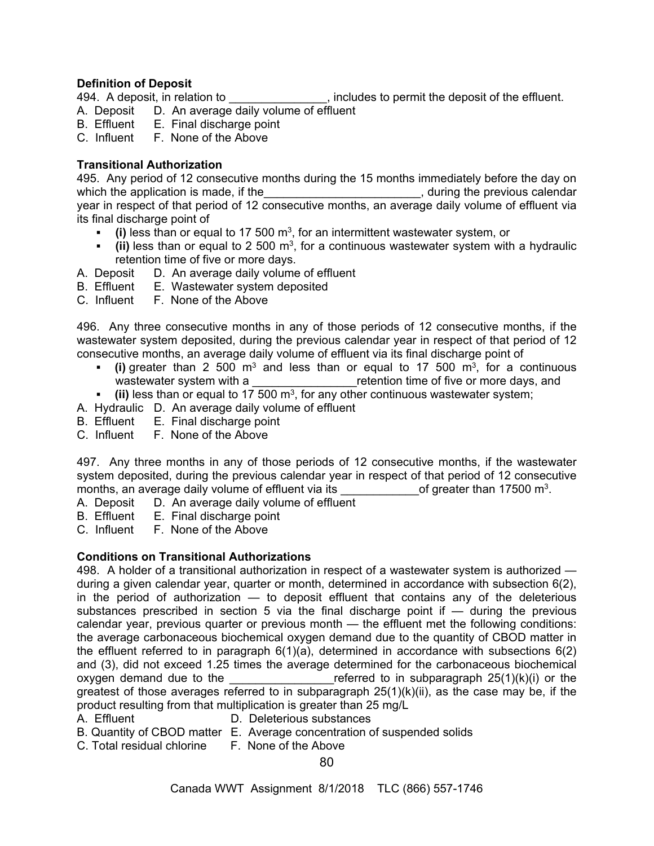## **Definition of Deposit**

494. A deposit, in relation to  $\qquad \qquad$ , includes to permit the deposit of the effluent.

- A. Deposit D. An average daily volume of effluent B. Effluent E. Final discharge point
- E. Final discharge point
- C. Influent F. None of the Above

## **Transitional Authorization**

495. Any period of 12 consecutive months during the 15 months immediately before the day on which the application is made, if the \_\_\_\_\_\_\_\_\_\_\_\_\_\_\_\_\_\_\_\_\_\_\_\_\_\_\_\_\_, during the previous calendar year in respect of that period of 12 consecutive months, an average daily volume of effluent via its final discharge point of

- **(i)** less than or equal to 17 500 m3, for an intermittent wastewater system, or
- **(ii)** less than or equal to 2 500 m3, for a continuous wastewater system with a hydraulic retention time of five or more days.
- A. Deposit D. An average daily volume of effluent
- B. Effluent E. Wastewater system deposited
- C. Influent F. None of the Above

496. Any three consecutive months in any of those periods of 12 consecutive months, if the wastewater system deposited, during the previous calendar year in respect of that period of 12 consecutive months, an average daily volume of effluent via its final discharge point of

- **(i)** greater than 2 500 m<sup>3</sup> and less than or equal to 17 500 m<sup>3</sup>, for a continuous wastewater system with a **Exercice 1** and the set of five or more days, and
- **(ii)** less than or equal to 17 500 m3, for any other continuous wastewater system;
- A. Hydraulic D. An average daily volume of effluent
- B. Effluent E. Final discharge point<br>C. Influent F. None of the Above
- F. None of the Above

497. Any three months in any of those periods of 12 consecutive months, if the wastewater system deposited, during the previous calendar year in respect of that period of 12 consecutive months, an average daily volume of effluent via its  $\qquad \qquad$  of greater than 17500 m<sup>3</sup>.

- A. Deposit D. An average daily volume of effluent
- B. Effluent E. Final discharge point
- C. Influent F. None of the Above

# **Conditions on Transitional Authorizations**

498. A holder of a transitional authorization in respect of a wastewater system is authorized during a given calendar year, quarter or month, determined in accordance with subsection 6(2), in the period of authorization — to deposit effluent that contains any of the deleterious substances prescribed in section 5 via the final discharge point if  $-$  during the previous calendar year, previous quarter or previous month — the effluent met the following conditions: the average carbonaceous biochemical oxygen demand due to the quantity of CBOD matter in the effluent referred to in paragraph 6(1)(a), determined in accordance with subsections 6(2) and (3), did not exceed 1.25 times the average determined for the carbonaceous biochemical oxygen demand due to the  $\blacksquare$  referred to in subparagraph 25(1)(k)(i) or the greatest of those averages referred to in subparagraph 25(1)(k)(ii), as the case may be, if the product resulting from that multiplication is greater than 25 mg/L

- A. Effluent D. Deleterious substances
- B. Quantity of CBOD matter E. Average concentration of suspended solids
- C. Total residual chlorine F. None of the Above